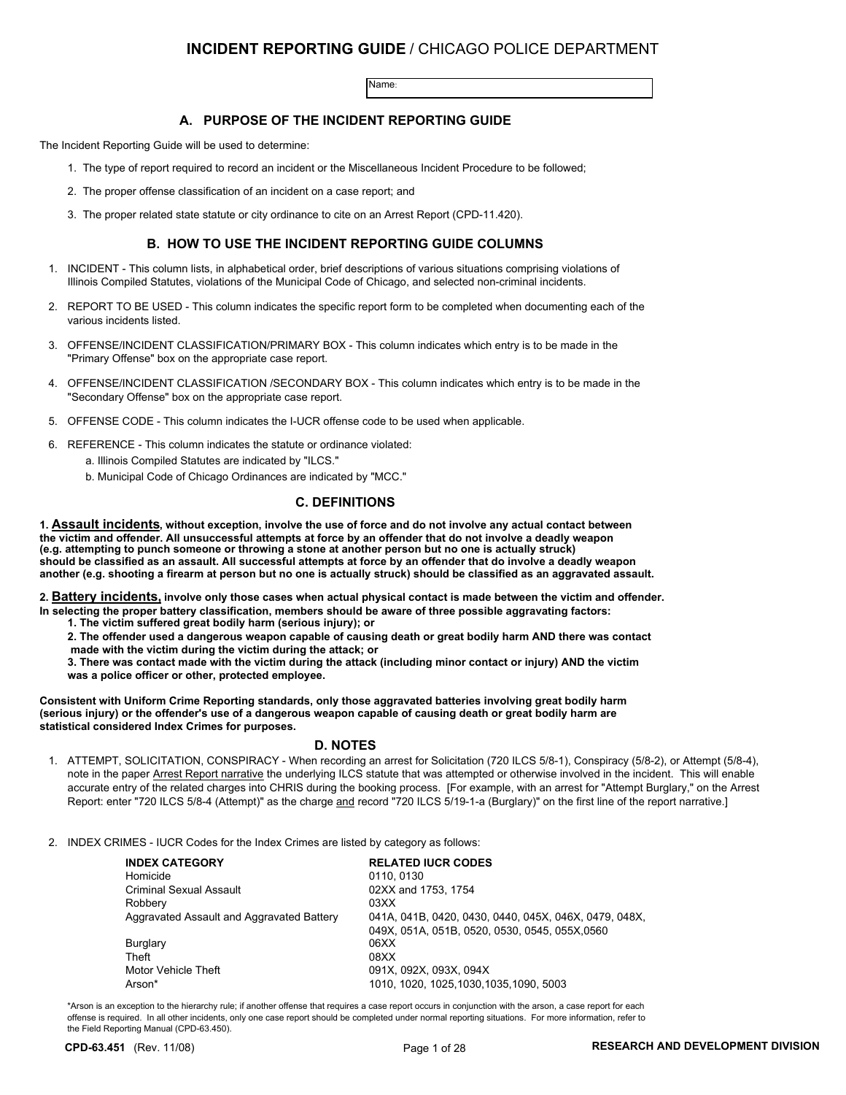### **INCIDENT REPORTING GUIDE** / CHICAGO POLICE DEPARTMENT

Name:

#### **A. PURPOSE OF THE INCIDENT REPORTING GUIDE**

The Incident Reporting Guide will be used to determine:

- 1. The type of report required to record an incident or the Miscellaneous Incident Procedure to be followed;
- 2. The proper offense classification of an incident on a case report; and
- 3. The proper related state statute or city ordinance to cite on an Arrest Report (CPD-11.420).

#### **B. HOW TO USE THE INCIDENT REPORTING GUIDE COLUMNS**

- 1. INCIDENT This column lists, in alphabetical order, brief descriptions of various situations comprising violations of Illinois Compiled Statutes, violations of the Municipal Code of Chicago, and selected non-criminal incidents.
- 2. REPORT TO BE USED This column indicates the specific report form to be completed when documenting each of the various incidents listed.
- 3. OFFENSE/INCIDENT CLASSIFICATION/PRIMARY BOX This column indicates which entry is to be made in the "Primary Offense" box on the appropriate case report.
- 4. OFFENSE/INCIDENT CLASSIFICATION /SECONDARY BOX This column indicates which entry is to be made in the "Secondary Offense" box on the appropriate case report.
- 5. OFFENSE CODE This column indicates the I-UCR offense code to be used when applicable.
- 6. REFERENCE This column indicates the statute or ordinance violated:
	- a. Illinois Compiled Statutes are indicated by "ILCS."
	- b. Municipal Code of Chicago Ordinances are indicated by "MCC."

#### **C. DEFINITIONS**

**1. Assault incidents, without exception, involve the use of force and do not involve any actual contact between the victim and offender. All unsuccessful attempts at force by an offender that do not involve a deadly weapon (e.g. attempting to punch someone or throwing a stone at another person but no one is actually struck) should be classified as an assault. All successful attempts at force by an offender that do involve a deadly weapon another (e.g. shooting a firearm at person but no one is actually struck) should be classified as an aggravated assault.**

**2. Battery incidents, involve only those cases when actual physical contact is made between the victim and offender. In selecting the proper battery classification, members should be aware of three possible aggravating factors:**

- **1. The victim suffered great bodily harm (serious injury); or**
- **2. The offender used a dangerous weapon capable of causing death or great bodily harm AND there was contact made with the victim during the victim during the attack; or**

**3. There was contact made with the victim during the attack (including minor contact or injury) AND the victim was a police officer or other, protected employee.**

**Consistent with Uniform Crime Reporting standards, only those aggravated batteries involving great bodily harm (serious injury) or the offender's use of a dangerous weapon capable of causing death or great bodily harm are statistical considered Index Crimes for purposes.**

#### **D. NOTES**

1. ATTEMPT, SOLICITATION, CONSPIRACY - When recording an arrest for Solicitation (720 ILCS 5/8-1), Conspiracy (5/8-2), or Attempt (5/8-4), note in the paper Arrest Report narrative the underlying ILCS statute that was attempted or otherwise involved in the incident. This will enable accurate entry of the related charges into CHRIS during the booking process. [For example, with an arrest for "Attempt Burglary," on the Arrest Report: enter "720 ILCS 5/8-4 (Attempt)" as the charge and record "720 ILCS 5/19-1-a (Burglary)" on the first line of the report narrative.]

2. INDEX CRIMES - IUCR Codes for the Index Crimes are listed by category as follows:

| <b>INDEX CATEGORY</b>                     | <b>RELATED IUCR CODES</b>                             |
|-------------------------------------------|-------------------------------------------------------|
| Homicide                                  | 0110, 0130                                            |
| <b>Criminal Sexual Assault</b>            | 02XX and 1753, 1754                                   |
| Robbery                                   | 03XX                                                  |
| Aggravated Assault and Aggravated Battery | 041A, 041B, 0420, 0430, 0440, 045X, 046X, 0479, 048X, |
|                                           | 049X, 051A, 051B, 0520, 0530, 0545, 055X, 0560        |
| Burglary                                  | 06XX                                                  |
| Theft                                     | 08XX                                                  |
| Motor Vehicle Theft                       | 091X, 092X, 093X, 094X                                |
| Arson*                                    | 1010, 1020, 1025, 1030, 1035, 1090, 5003              |

\*Arson is an exception to the hierarchy rule; if another offense that requires a case report occurs in conjunction with the arson, a case report for each offense is required. In all other incidents, only one case report should be completed under normal reporting situations. For more information, refer to the Field Reporting Manual (CPD-63.450).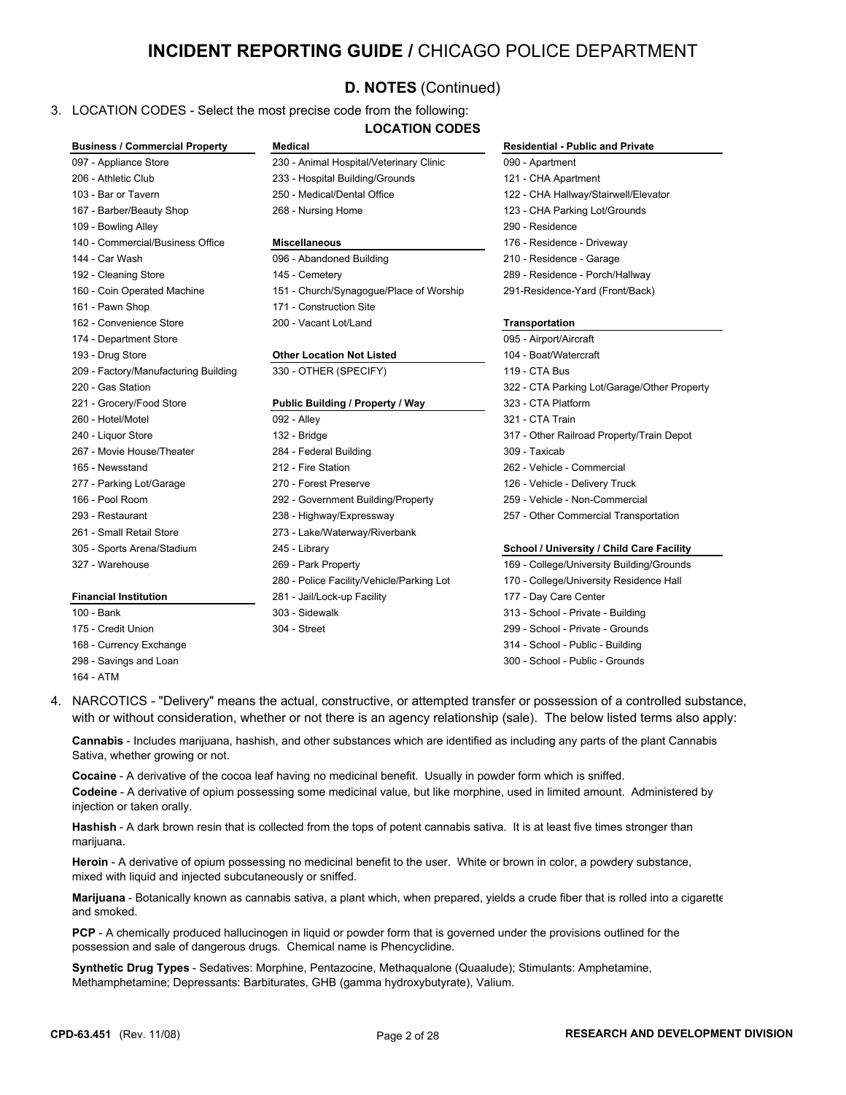## **INCIDENT REPORTING GUIDE /** CHICAGO POLICE DEPARTMENT

## **D. NOTES** (Continued)

#### 3. LOCATION CODES - Select the most precise code from the following: **LOCATION CODES**

| <b>Business / Commercial Property</b> | <b>Medical</b>                            | <b>Residential - Public and Private</b>     |
|---------------------------------------|-------------------------------------------|---------------------------------------------|
| 097 - Appliance Store                 | 230 - Animal Hospital/Veterinary Clinic   | 090 - Apartment                             |
| 206 - Athletic Club                   | 233 - Hospital Building/Grounds           | 121 - CHA Apartment                         |
| 103 - Bar or Tavern                   | 250 - Medical/Dental Office               | 122 - CHA Hallway/Stairwell/Elevator        |
| 167 - Barber/Beauty Shop              | 268 - Nursing Home                        | 123 - CHA Parking Lot/Grounds               |
| 109 - Bowling Alley                   |                                           | 290 - Residence                             |
| 140 - Commercial/Business Office      | <b>Miscellaneous</b>                      | 176 - Residence - Driveway                  |
| 144 - Car Wash                        | 096 - Abandoned Building                  | 210 - Residence - Garage                    |
| 192 - Cleaning Store                  | 145 - Cemetery                            | 289 - Residence - Porch/Hallway             |
| 160 - Coin Operated Machine           | 151 - Church/Synagogue/Place of Worship   | 291-Residence-Yard (Front/Back)             |
| 161 - Pawn Shop                       | 171 - Construction Site                   |                                             |
| 162 - Convenience Store               | 200 - Vacant Lot/Land                     | Transportation                              |
| 174 - Department Store                |                                           | 095 - Airport/Aircraft                      |
| 193 - Drug Store                      | <b>Other Location Not Listed</b>          | 104 - Boat/Watercraft                       |
| 209 - Factory/Manufacturing Building  | 330 - OTHER (SPECIFY)                     | 119 - CTA Bus                               |
| 220 - Gas Station                     |                                           | 322 - CTA Parking Lot/Garage/Other Property |
| 221 - Grocery/Food Store              | Public Building / Property / Way          | 323 - CTA Platform                          |
| 260 - Hotel/Motel                     | 092 - Alley                               | 321 - CTA Train                             |
| 240 - Liquor Store                    | 132 - Bridge                              | 317 - Other Railroad Property/Train Depot   |
| 267 - Movie House/Theater             | 284 - Federal Building                    | 309 - Taxicab                               |
| 165 - Newsstand                       | 212 - Fire Station                        | 262 - Vehicle - Commercial                  |
| 277 - Parking Lot/Garage              | 270 - Forest Preserve                     | 126 - Vehicle - Delivery Truck              |
| 166 - Pool Room                       | 292 - Government Building/Property        | 259 - Vehicle - Non-Commercial              |
| 293 - Restaurant                      | 238 - Highway/Expressway                  | 257 - Other Commercial Transportation       |
| 261 - Small Retail Store              | 273 - Lake/Waterway/Riverbank             |                                             |
| 305 - Sports Arena/Stadium            | 245 - Library                             | School / University / Child Care Facility   |
| 327 - Warehouse                       | 269 - Park Property                       | 169 - College/University Building/Grounds   |
|                                       | 280 - Police Facility/Vehicle/Parking Lot | 170 - College/University Residence Hall     |
| <b>Financial Institution</b>          | 281 - Jail/Lock-up Facility               | 177 - Day Care Center                       |
| 100 - Bank                            | 303 - Sidewalk                            | 313 - School - Private - Building           |
| 175 - Credit Union                    | 304 - Street                              | 299 - School - Private - Grounds            |
| 168 - Currency Exchange               |                                           | 314 - School - Public - Building            |
| 298 - Savings and Loan                |                                           | 300 - School - Public - Grounds             |
|                                       |                                           |                                             |

- 164 ATM
- 4. NARCOTICS "Delivery" means the actual, constructive, or attempted transfer or possession of a controlled substance, with or without consideration, whether or not there is an agency relationship (sale). The below listed terms also apply:

**Cannabis** - Includes marijuana, hashish, and other substances which are identified as including any parts of the plant Cannabis Sativa, whether growing or not.

**Cocaine** - A derivative of the cocoa leaf having no medicinal benefit. Usually in powder form which is sniffed. **Codeine** - A derivative of opium possessing some medicinal value, but like morphine, used in limited amount. Administered by injection or taken orally.

**Hashish** - A dark brown resin that is collected from the tops of potent cannabis sativa. It is at least five times stronger than marijuana.

**Heroin** - A derivative of opium possessing no medicinal benefit to the user. White or brown in color, a powdery substance, mixed with liquid and injected subcutaneously or sniffed.

**Marijuana** - Botanically known as cannabis sativa, a plant which, when prepared, yields a crude fiber that is rolled into a cigarette and smoked.

**PCP** - A chemically produced hallucinogen in liquid or powder form that is governed under the provisions outlined for the possession and sale of dangerous drugs. Chemical name is Phencyclidine.

**Synthetic Drug Types** - Sedatives: Morphine, Pentazocine, Methaqualone (Quaalude); Stimulants: Amphetamine, Methamphetamine; Depressants: Barbiturates, GHB (gamma hydroxybutyrate), Valium.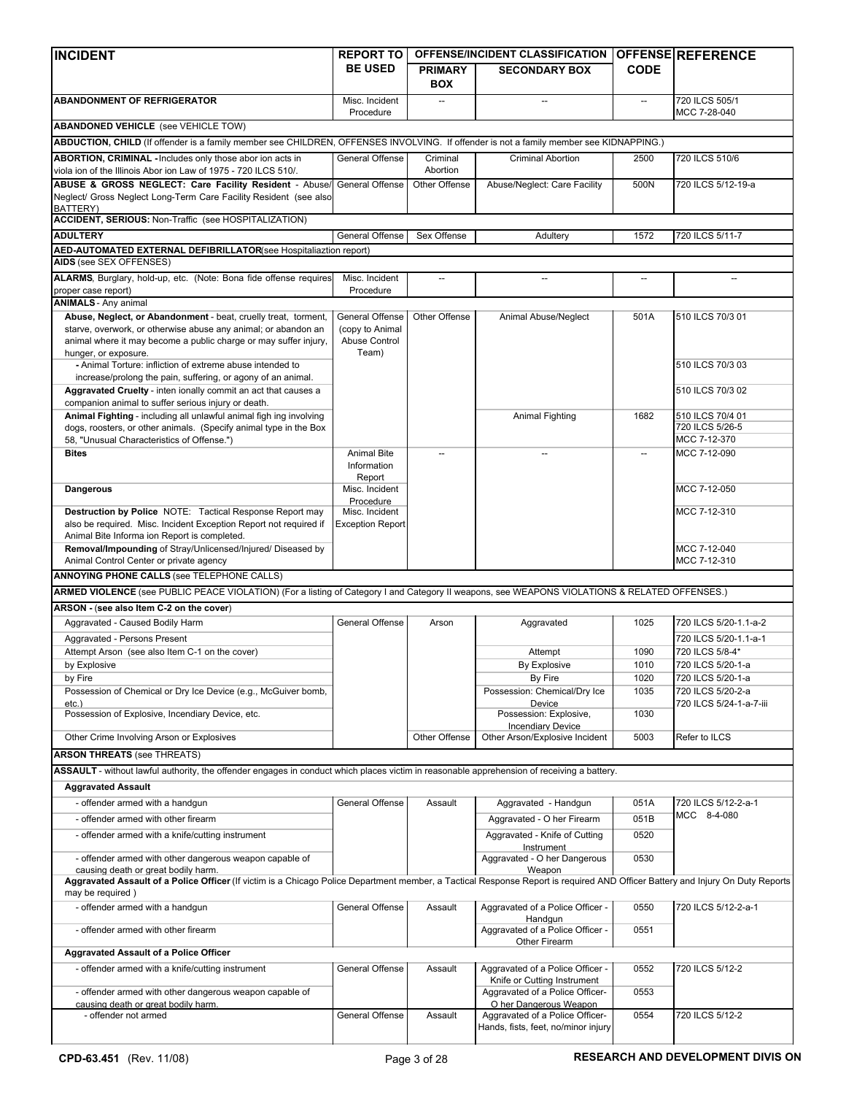| <b>INCIDENT</b>                                                                                                                                                                                                                                                                  | <b>REPORT TO</b>                                             |                              | OFFENSE/INCIDENT CLASSIFICATION                                                                  |                          | <b>OFFENSE REFERENCE</b>                     |
|----------------------------------------------------------------------------------------------------------------------------------------------------------------------------------------------------------------------------------------------------------------------------------|--------------------------------------------------------------|------------------------------|--------------------------------------------------------------------------------------------------|--------------------------|----------------------------------------------|
|                                                                                                                                                                                                                                                                                  | <b>BE USED</b>                                               | <b>PRIMARY</b><br><b>BOX</b> | <b>SECONDARY BOX</b>                                                                             | <b>CODE</b>              |                                              |
| <b>ABANDONMENT OF REFRIGERATOR</b>                                                                                                                                                                                                                                               | Misc. Incident<br>Procedure                                  |                              |                                                                                                  |                          | 720 ILCS 505/1<br>MCC 7-28-040               |
| <b>ABANDONED VEHICLE</b> (see VEHICLE TOW)                                                                                                                                                                                                                                       |                                                              |                              |                                                                                                  |                          |                                              |
| ABDUCTION, CHILD (If offender is a family member see CHILDREN, OFFENSES INVOLVING. If offender is not a family member see KIDNAPPING.)                                                                                                                                           |                                                              |                              |                                                                                                  |                          |                                              |
| ABORTION, CRIMINAL - Includes only those abor ion acts in<br>viola ion of the Illinois Abor ion Law of 1975 - 720 ILCS 510/.                                                                                                                                                     | General Offense                                              | Criminal<br>Abortion         | <b>Criminal Abortion</b>                                                                         | 2500                     | 720 ILCS 510/6                               |
| ABUSE & GROSS NEGLECT: Care Facility Resident - Abuse<br>Neglect/ Gross Neglect Long-Term Care Facility Resident (see also<br>BATTERY)                                                                                                                                           | General Offense                                              | Other Offense                | Abuse/Neglect: Care Facility                                                                     | 500N                     | 720 ILCS 5/12-19-a                           |
| <b>ACCIDENT, SERIOUS: Non-Traffic (see HOSPITALIZATION)</b>                                                                                                                                                                                                                      |                                                              |                              |                                                                                                  |                          |                                              |
| <b>ADULTERY</b>                                                                                                                                                                                                                                                                  | General Offense                                              | Sex Offense                  | Adultery                                                                                         | 1572                     | 720 ILCS 5/11-7                              |
| AED-AUTOMATED EXTERNAL DEFIBRILLATOR(see Hospitaliaztion report)                                                                                                                                                                                                                 |                                                              |                              |                                                                                                  |                          |                                              |
| AIDS (see SEX OFFENSES)                                                                                                                                                                                                                                                          |                                                              |                              |                                                                                                  |                          |                                              |
| ALARMS, Burglary, hold-up, etc. (Note: Bona fide offense requires<br>proper case report)                                                                                                                                                                                         | Misc. Incident<br>Procedure                                  | $\overline{\phantom{a}}$     |                                                                                                  | $\overline{\phantom{a}}$ |                                              |
| <b>ANIMALS</b> - Any animal                                                                                                                                                                                                                                                      |                                                              |                              |                                                                                                  |                          |                                              |
| Abuse, Neglect, or Abandonment - beat, cruelly treat, torment,<br>starve, overwork, or otherwise abuse any animal; or abandon an<br>animal where it may become a public charge or may suffer injury.<br>hunger, or exposure.                                                     | General Offense<br>(copy to Animal<br>Abuse Control<br>Team) | Other Offense                | Animal Abuse/Neglect                                                                             | 501A                     | 510 ILCS 70/3 01                             |
| - Animal Torture: infliction of extreme abuse intended to<br>increase/prolong the pain, suffering, or agony of an animal.                                                                                                                                                        |                                                              |                              |                                                                                                  |                          | 510 ILCS 70/3 03                             |
| Aggravated Cruelty - inten ionally commit an act that causes a<br>companion animal to suffer serious injury or death.                                                                                                                                                            |                                                              |                              |                                                                                                  |                          | 510 ILCS 70/3 02                             |
| Animal Fighting - including all unlawful animal figh ing involving                                                                                                                                                                                                               |                                                              |                              | Animal Fighting                                                                                  | 1682                     | 510 ILCS 70/4 01<br>720 ILCS 5/26-5          |
| dogs, roosters, or other animals. (Specify animal type in the Box<br>58, "Unusual Characteristics of Offense.")                                                                                                                                                                  |                                                              |                              |                                                                                                  |                          | MCC 7-12-370                                 |
| <b>Bites</b>                                                                                                                                                                                                                                                                     | <b>Animal Bite</b><br>Information                            |                              |                                                                                                  |                          | MCC 7-12-090                                 |
| Dangerous                                                                                                                                                                                                                                                                        | Report<br>Misc. Incident<br>Procedure                        |                              |                                                                                                  |                          | MCC 7-12-050                                 |
| Destruction by Police NOTE: Tactical Response Report may<br>also be required. Misc. Incident Exception Report not required if                                                                                                                                                    | Misc. Incident<br><b>Exception Report</b>                    |                              |                                                                                                  |                          | MCC 7-12-310                                 |
| Animal Bite Informa ion Report is completed.<br>Removal/Impounding of Stray/Unlicensed/Injured/ Diseased by<br>Animal Control Center or private agency                                                                                                                           |                                                              |                              |                                                                                                  |                          | MCC 7-12-040<br>MCC 7-12-310                 |
| <b>ANNOYING PHONE CALLS (See TELEPHONE CALLS)</b>                                                                                                                                                                                                                                |                                                              |                              |                                                                                                  |                          |                                              |
| ARMED VIOLENCE (see PUBLIC PEACE VIOLATION) (For a listing of Category I and Category II weapons, see WEAPONS VIOLATIONS & RELATED OFFENSES.)                                                                                                                                    |                                                              |                              |                                                                                                  |                          |                                              |
| ARSON - (see also Item C-2 on the cover)                                                                                                                                                                                                                                         |                                                              |                              |                                                                                                  |                          |                                              |
| Aggravated - Caused Bodily Harm                                                                                                                                                                                                                                                  | General Offense                                              | Arson                        | Aggravated                                                                                       | 1025                     | 720 ILCS 5/20-1.1-a-2                        |
| Aggravated - Persons Present                                                                                                                                                                                                                                                     |                                                              |                              |                                                                                                  |                          | 720 ILCS 5/20-1.1-a-1                        |
| Attempt Arson (see also Item C-1 on the cover)                                                                                                                                                                                                                                   |                                                              |                              | Attempt                                                                                          | 1090                     | 720 ILCS 5/8-4*                              |
| by Explosive                                                                                                                                                                                                                                                                     |                                                              |                              | <b>By Explosive</b>                                                                              | 1010                     | 720 ILCS 5/20-1-a                            |
| by Fire                                                                                                                                                                                                                                                                          |                                                              |                              | By Fire                                                                                          | 1020                     | 720 ILCS 5/20-1-a                            |
| Possession of Chemical or Dry Ice Device (e.g., McGuiver bomb,<br>etc.)<br>Possession of Explosive, Incendiary Device, etc.                                                                                                                                                      |                                                              |                              | Possession: Chemical/Dry Ice<br>Device<br>Possession: Explosive,                                 | 1035<br>1030             | 720 ILCS 5/20-2-a<br>720 ILCS 5/24-1-a-7-iii |
| Other Crime Involving Arson or Explosives                                                                                                                                                                                                                                        |                                                              | Other Offense                | <b>Incendiary Device</b><br>Other Arson/Explosive Incident                                       | 5003                     | Refer to ILCS                                |
| <b>ARSON THREATS (see THREATS)</b>                                                                                                                                                                                                                                               |                                                              |                              |                                                                                                  |                          |                                              |
|                                                                                                                                                                                                                                                                                  |                                                              |                              |                                                                                                  |                          |                                              |
| ASSAULT - without lawful authority, the offender engages in conduct which places victim in reasonable apprehension of receiving a battery.                                                                                                                                       |                                                              |                              |                                                                                                  |                          |                                              |
| <b>Aggravated Assault</b>                                                                                                                                                                                                                                                        |                                                              |                              |                                                                                                  |                          |                                              |
| - offender armed with a handgun                                                                                                                                                                                                                                                  | General Offense                                              | Assault                      | Aggravated - Handgun                                                                             | 051A                     | 720 ILCS 5/12-2-a-1                          |
| - offender armed with other firearm                                                                                                                                                                                                                                              |                                                              |                              | Aggravated - O her Firearm                                                                       | 051B                     | MCC 8-4-080                                  |
| - offender armed with a knife/cutting instrument                                                                                                                                                                                                                                 |                                                              |                              | Aggravated - Knife of Cutting<br>Instrument                                                      | 0520                     |                                              |
| - offender armed with other dangerous weapon capable of<br>causing death or great bodily harm.<br>Aggravated Assault of a Police Officer (If victim is a Chicago Police Department member, a Tactical Response Report is required AND Officer Battery and Injury On Duty Reports |                                                              |                              | Aggravated - O her Dangerous<br>Weapon                                                           | 0530                     |                                              |
| may be required)                                                                                                                                                                                                                                                                 |                                                              |                              |                                                                                                  |                          |                                              |
| - offender armed with a handgun                                                                                                                                                                                                                                                  | General Offense                                              | Assault                      | Aggravated of a Police Officer -<br>Handgun                                                      | 0550                     | 720 ILCS 5/12-2-a-1                          |
| - offender armed with other firearm                                                                                                                                                                                                                                              |                                                              |                              | Aggravated of a Police Officer -<br>Other Firearm                                                | 0551                     |                                              |
| <b>Aggravated Assault of a Police Officer</b>                                                                                                                                                                                                                                    |                                                              |                              |                                                                                                  |                          |                                              |
| - offender armed with a knife/cutting instrument                                                                                                                                                                                                                                 | General Offense                                              | Assault                      | Aggravated of a Police Officer -<br>Knife or Cutting Instrument                                  | 0552                     | 720 ILCS 5/12-2                              |
| - offender armed with other dangerous weapon capable of                                                                                                                                                                                                                          |                                                              |                              | Aggravated of a Police Officer-                                                                  | 0553                     |                                              |
| causing death or great bodily harm.<br>- offender not armed                                                                                                                                                                                                                      | General Offense                                              | Assault                      | O her Dangerous Weapon<br>Aggravated of a Police Officer-<br>Hands, fists, feet, no/minor injury | 0554                     | 720 ILCS 5/12-2                              |
|                                                                                                                                                                                                                                                                                  |                                                              |                              |                                                                                                  |                          |                                              |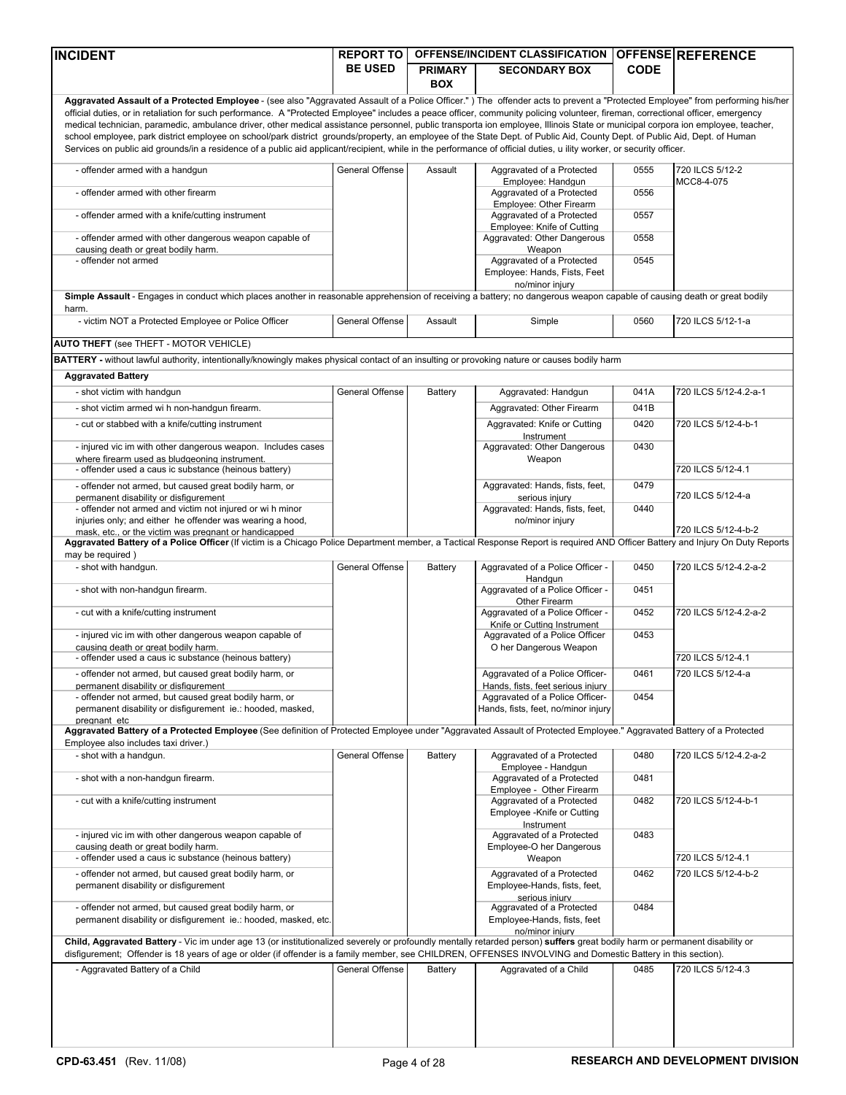| <b>INCIDENT</b>                                                                                                                                                                                                                                                                                                                                                                                                                                                                                                                                                                                                                                                                                                                                                                                                                                                                                            | <b>REPORT TO</b> |                              | OFFENSE/INCIDENT CLASSIFICATION OFFENSE REFERENCE                                      |              |                               |
|------------------------------------------------------------------------------------------------------------------------------------------------------------------------------------------------------------------------------------------------------------------------------------------------------------------------------------------------------------------------------------------------------------------------------------------------------------------------------------------------------------------------------------------------------------------------------------------------------------------------------------------------------------------------------------------------------------------------------------------------------------------------------------------------------------------------------------------------------------------------------------------------------------|------------------|------------------------------|----------------------------------------------------------------------------------------|--------------|-------------------------------|
|                                                                                                                                                                                                                                                                                                                                                                                                                                                                                                                                                                                                                                                                                                                                                                                                                                                                                                            | <b>BE USED</b>   | <b>PRIMARY</b><br><b>BOX</b> | <b>SECONDARY BOX</b>                                                                   | <b>CODE</b>  |                               |
| Aggravated Assault of a Protected Employee - (see also "Aggravated Assault of a Police Officer.") The offender acts to prevent a "Protected Employee" from performing his/her<br>official duties, or in retaliation for such performance. A "Protected Employee" includes a peace officer, community policing volunteer, fireman, correctional officer, emergency<br>medical technician, paramedic, ambulance driver, other medical assistance personnel, public transporta ion employee, Illinois State or municipal corpora ion employee, teacher,<br>school employee, park district employee on school/park district grounds/property, an employee of the State Dept. of Public Aid, County Dept. of Public Aid, Dept. of Human<br>Services on public aid grounds/in a residence of a public aid applicant/recipient, while in the performance of official duties, u ility worker, or security officer. |                  |                              |                                                                                        |              |                               |
| - offender armed with a handgun                                                                                                                                                                                                                                                                                                                                                                                                                                                                                                                                                                                                                                                                                                                                                                                                                                                                            | General Offense  | Assault                      | Aggravated of a Protected<br>Employee: Handqun                                         | 0555         | 720 ILCS 5/12-2<br>MCC8-4-075 |
| - offender armed with other firearm                                                                                                                                                                                                                                                                                                                                                                                                                                                                                                                                                                                                                                                                                                                                                                                                                                                                        |                  |                              | Aggravated of a Protected<br>Emplovee: Other Firearm                                   | 0556         |                               |
| - offender armed with a knife/cutting instrument                                                                                                                                                                                                                                                                                                                                                                                                                                                                                                                                                                                                                                                                                                                                                                                                                                                           |                  |                              | Aggravated of a Protected<br>Employee: Knife of Cutting                                | 0557         |                               |
| - offender armed with other dangerous weapon capable of                                                                                                                                                                                                                                                                                                                                                                                                                                                                                                                                                                                                                                                                                                                                                                                                                                                    |                  |                              | Aggravated: Other Dangerous                                                            | 0558         |                               |
| causing death or great bodily harm.<br>- offender not armed                                                                                                                                                                                                                                                                                                                                                                                                                                                                                                                                                                                                                                                                                                                                                                                                                                                |                  |                              | Weapon<br>Aggravated of a Protected<br>Employee: Hands, Fists, Feet<br>no/minor injury | 0545         |                               |
| Simple Assault - Engages in conduct which places another in reasonable apprehension of receiving a battery; no dangerous weapon capable of causing death or great bodily<br>harm.                                                                                                                                                                                                                                                                                                                                                                                                                                                                                                                                                                                                                                                                                                                          |                  |                              |                                                                                        |              |                               |
| - victim NOT a Protected Employee or Police Officer                                                                                                                                                                                                                                                                                                                                                                                                                                                                                                                                                                                                                                                                                                                                                                                                                                                        | General Offense  | Assault                      | Simple                                                                                 | 0560         | 720 ILCS 5/12-1-a             |
| <b>AUTO THEFT</b> (see THEFT - MOTOR VEHICLE)                                                                                                                                                                                                                                                                                                                                                                                                                                                                                                                                                                                                                                                                                                                                                                                                                                                              |                  |                              |                                                                                        |              |                               |
| BATTERY - without lawful authority, intentionally/knowingly makes physical contact of an insulting or provoking nature or causes bodily harm                                                                                                                                                                                                                                                                                                                                                                                                                                                                                                                                                                                                                                                                                                                                                               |                  |                              |                                                                                        |              |                               |
| <b>Aggravated Battery</b>                                                                                                                                                                                                                                                                                                                                                                                                                                                                                                                                                                                                                                                                                                                                                                                                                                                                                  |                  |                              |                                                                                        |              |                               |
| - shot victim with handgun                                                                                                                                                                                                                                                                                                                                                                                                                                                                                                                                                                                                                                                                                                                                                                                                                                                                                 | General Offense  | <b>Battery</b>               | Aggravated: Handgun                                                                    | 041A         | 720 ILCS 5/12-4.2-a-1         |
| - shot victim armed wi h non-handgun firearm.                                                                                                                                                                                                                                                                                                                                                                                                                                                                                                                                                                                                                                                                                                                                                                                                                                                              |                  |                              | Aggravated: Other Firearm                                                              | 041B         |                               |
| - cut or stabbed with a knife/cutting instrument<br>- injured vic im with other dangerous weapon. Includes cases<br>where firearm used as bludgeoning instrument.                                                                                                                                                                                                                                                                                                                                                                                                                                                                                                                                                                                                                                                                                                                                          |                  |                              | Aggravated: Knife or Cutting<br>Instrument<br>Aggravated: Other Dangerous<br>Weapon    | 0420<br>0430 | 720 ILCS 5/12-4-b-1           |
| - offender used a caus ic substance (heinous battery)                                                                                                                                                                                                                                                                                                                                                                                                                                                                                                                                                                                                                                                                                                                                                                                                                                                      |                  |                              |                                                                                        |              | 720 ILCS 5/12-4.1             |
| - offender not armed, but caused great bodily harm, or<br>permanent disability or disfigurement                                                                                                                                                                                                                                                                                                                                                                                                                                                                                                                                                                                                                                                                                                                                                                                                            |                  |                              | Aggravated: Hands, fists, feet,<br>serious injury                                      | 0479         | 720 ILCS 5/12-4-a             |
| - offender not armed and victim not injured or wi h minor<br>injuries only; and either he offender was wearing a hood,                                                                                                                                                                                                                                                                                                                                                                                                                                                                                                                                                                                                                                                                                                                                                                                     |                  |                              | Aggravated: Hands, fists, feet,<br>no/minor injury                                     | 0440         | 720 ILCS 5/12-4-b-2           |
| mask. etc or the victim was pregnant or handicapped<br>Aggravated Battery of a Police Officer (If victim is a Chicago Police Department member, a Tactical Response Report is required AND Officer Battery and Injury On Duty Reports                                                                                                                                                                                                                                                                                                                                                                                                                                                                                                                                                                                                                                                                      |                  |                              |                                                                                        |              |                               |
| may be required)                                                                                                                                                                                                                                                                                                                                                                                                                                                                                                                                                                                                                                                                                                                                                                                                                                                                                           |                  |                              |                                                                                        |              |                               |
| - shot with handgun.                                                                                                                                                                                                                                                                                                                                                                                                                                                                                                                                                                                                                                                                                                                                                                                                                                                                                       | General Offense  | Battery                      | Aggravated of a Police Officer -<br>Handqun                                            | 0450<br>0451 | 720 ILCS 5/12-4.2-a-2         |
| - shot with non-handgun firearm.<br>- cut with a knife/cutting instrument                                                                                                                                                                                                                                                                                                                                                                                                                                                                                                                                                                                                                                                                                                                                                                                                                                  |                  |                              | Aggravated of a Police Officer -<br>Other Firearm<br>Aggravated of a Police Officer -  | 0452         | 720 ILCS 5/12-4.2-a-2         |
|                                                                                                                                                                                                                                                                                                                                                                                                                                                                                                                                                                                                                                                                                                                                                                                                                                                                                                            |                  |                              | Knife or Cutting Instrument                                                            |              |                               |
| - injured vic im with other dangerous weapon capable of<br>causing death or great bodily harm.                                                                                                                                                                                                                                                                                                                                                                                                                                                                                                                                                                                                                                                                                                                                                                                                             |                  |                              | Aggravated of a Police Officer<br>O her Dangerous Weapon                               | 0453         |                               |
| - offender used a caus ic substance (heinous battery)                                                                                                                                                                                                                                                                                                                                                                                                                                                                                                                                                                                                                                                                                                                                                                                                                                                      |                  |                              |                                                                                        |              | 720 ILCS 5/12-4.1             |
| - offender not armed, but caused great bodily harm, or<br>permanent disability or disfigurement                                                                                                                                                                                                                                                                                                                                                                                                                                                                                                                                                                                                                                                                                                                                                                                                            |                  |                              | Aggravated of a Police Officer-<br>Hands, fists, feet serious injury                   | 0461         | 720 ILCS 5/12-4-a             |
| - offender not armed, but caused great bodily harm, or<br>permanent disability or disfigurement ie.: hooded, masked,<br>pregnant etc                                                                                                                                                                                                                                                                                                                                                                                                                                                                                                                                                                                                                                                                                                                                                                       |                  |                              | Aggravated of a Police Officer-<br>Hands, fists, feet, no/minor injury                 | 0454         |                               |
| Aggravated Battery of a Protected Employee (See definition of Protected Employee under "Aggravated Assault of Protected Employee." Aggravated Battery of a Protected<br>Employee also includes taxi driver.)                                                                                                                                                                                                                                                                                                                                                                                                                                                                                                                                                                                                                                                                                               |                  |                              |                                                                                        |              |                               |
| - shot with a handgun.                                                                                                                                                                                                                                                                                                                                                                                                                                                                                                                                                                                                                                                                                                                                                                                                                                                                                     | General Offense  | Battery                      | Aggravated of a Protected<br>Employee - Handgun                                        | 0480         | 720 ILCS 5/12-4.2-a-2         |
| - shot with a non-handgun firearm.                                                                                                                                                                                                                                                                                                                                                                                                                                                                                                                                                                                                                                                                                                                                                                                                                                                                         |                  |                              | Aggravated of a Protected<br>Employee - Other Firearm                                  | 0481         |                               |
| - cut with a knife/cutting instrument                                                                                                                                                                                                                                                                                                                                                                                                                                                                                                                                                                                                                                                                                                                                                                                                                                                                      |                  |                              | Aggravated of a Protected<br>Employee - Knife or Cutting<br>Instrument                 | 0482         | 720 ILCS 5/12-4-b-1           |
| - injured vic im with other dangerous weapon capable of<br>causing death or great bodily harm.<br>- offender used a caus ic substance (heinous battery)                                                                                                                                                                                                                                                                                                                                                                                                                                                                                                                                                                                                                                                                                                                                                    |                  |                              | Aggravated of a Protected<br>Employee-O her Dangerous                                  | 0483         | 720 ILCS 5/12-4.1             |
| - offender not armed, but caused great bodily harm, or                                                                                                                                                                                                                                                                                                                                                                                                                                                                                                                                                                                                                                                                                                                                                                                                                                                     |                  |                              | Weapon<br>Aggravated of a Protected                                                    | 0462         | 720 ILCS 5/12-4-b-2           |
| permanent disability or disfigurement                                                                                                                                                                                                                                                                                                                                                                                                                                                                                                                                                                                                                                                                                                                                                                                                                                                                      |                  |                              | Employee-Hands, fists, feet,<br>serious iniurv                                         |              |                               |
| - offender not armed, but caused great bodily harm, or<br>permanent disability or disfigurement ie.: hooded, masked, etc.                                                                                                                                                                                                                                                                                                                                                                                                                                                                                                                                                                                                                                                                                                                                                                                  |                  |                              | Aggravated of a Protected<br>Employee-Hands, fists, feet<br>no/minor iniurv            | 0484         |                               |
| Child, Aggravated Battery - Vic im under age 13 (or institutionalized severely or profoundly mentally retarded person) suffers great bodily harm or permanent disability or<br>disfigurement; Offender is 18 years of age or older (if offender is a family member, see CHILDREN, OFFENSES INVOLVING and Domestic Battery in this section).                                                                                                                                                                                                                                                                                                                                                                                                                                                                                                                                                                |                  |                              |                                                                                        |              |                               |
| - Aggravated Battery of a Child                                                                                                                                                                                                                                                                                                                                                                                                                                                                                                                                                                                                                                                                                                                                                                                                                                                                            | General Offense  | Battery                      | Aggravated of a Child                                                                  | 0485         | 720 ILCS 5/12-4.3             |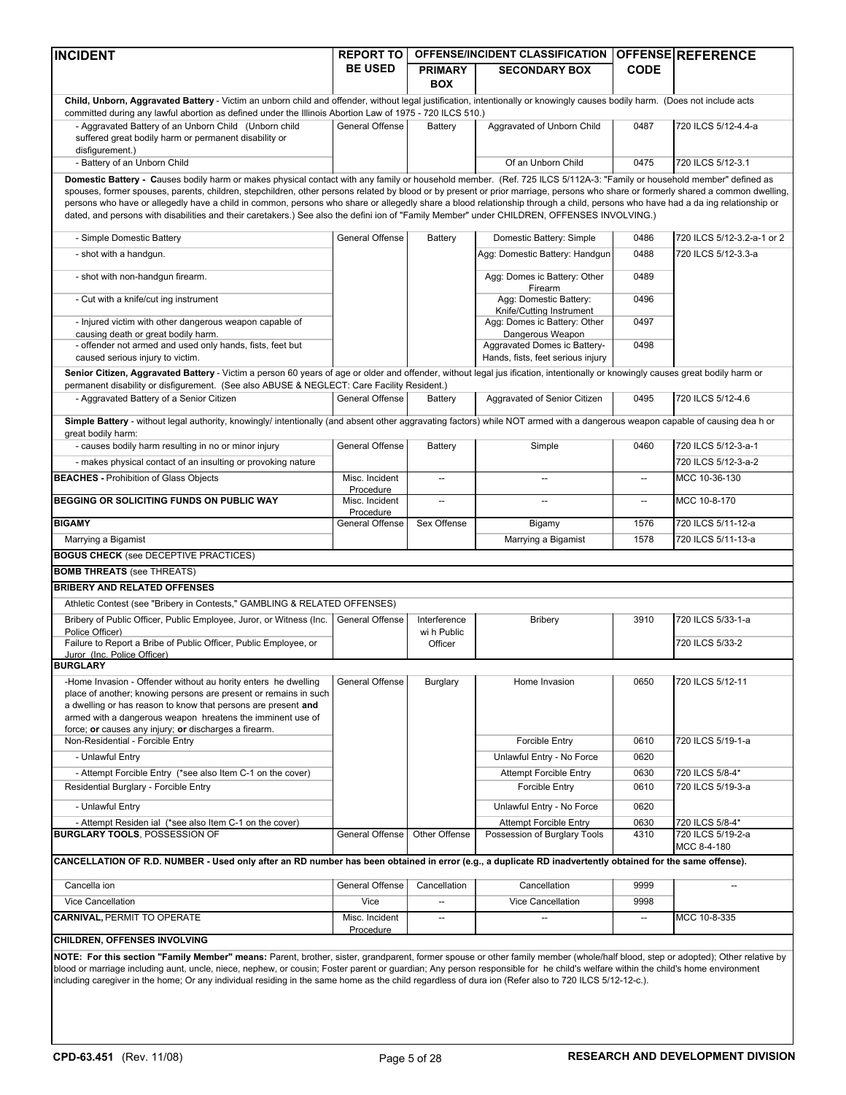| <b>INCIDENT</b>                                                                                                                                                                                                                                                                                                                                                                                                                                                                                                             | <b>REPORT TO</b>            |                                        | OFFENSE/INCIDENT CLASSIFICATION OFFENSE REFERENCE                 |                          |                                      |
|-----------------------------------------------------------------------------------------------------------------------------------------------------------------------------------------------------------------------------------------------------------------------------------------------------------------------------------------------------------------------------------------------------------------------------------------------------------------------------------------------------------------------------|-----------------------------|----------------------------------------|-------------------------------------------------------------------|--------------------------|--------------------------------------|
|                                                                                                                                                                                                                                                                                                                                                                                                                                                                                                                             | <b>BE USED</b>              | <b>PRIMARY</b><br><b>BOX</b>           | <b>SECONDARY BOX</b>                                              | <b>CODE</b>              |                                      |
| Child, Unborn, Aggravated Battery - Victim an unborn child and offender, without legal justification, intentionally or knowingly causes bodily harm. (Does not include acts<br>committed during any lawful abortion as defined under the Illinois Abortion Law of 1975 - 720 ILCS 510.)                                                                                                                                                                                                                                     |                             |                                        |                                                                   |                          |                                      |
| - Aggravated Battery of an Unborn Child (Unborn child<br>suffered great bodily harm or permanent disability or<br>disfigurement.)                                                                                                                                                                                                                                                                                                                                                                                           | General Offense             | Battery                                | Aggravated of Unborn Child                                        | 0487                     | 720 ILCS 5/12-4.4-a                  |
| - Battery of an Unborn Child                                                                                                                                                                                                                                                                                                                                                                                                                                                                                                |                             |                                        | Of an Unborn Child                                                | 0475                     | 720 ILCS 5/12-3.1                    |
| Domestic Battery - Causes bodily harm or makes physical contact with any family or household member. (Ref. 725 ILCS 5/112A-3: "Family or household member" defined as                                                                                                                                                                                                                                                                                                                                                       |                             |                                        |                                                                   |                          |                                      |
| spouses, former spouses, parents, children, stepchildren, other persons related by blood or by present or prior marriage, persons who share or formerly shared a common dwelling,<br>persons who have or allegedly have a child in common, persons who share or allegedly share a blood relationship through a child, persons who have had a da ing relationship or<br>dated, and persons with disabilities and their caretakers.) See also the defini ion of "Family Member" under CHILDREN, OFFENSES INVOLVING.)          |                             |                                        |                                                                   |                          |                                      |
| - Simple Domestic Battery                                                                                                                                                                                                                                                                                                                                                                                                                                                                                                   | General Offense             | Battery                                | Domestic Battery: Simple                                          | 0486                     | 720 ILCS 5/12-3.2-a-1 or 2           |
| - shot with a handgun.                                                                                                                                                                                                                                                                                                                                                                                                                                                                                                      |                             |                                        | Agg: Domestic Battery: Handgun                                    | 0488                     | 720 ILCS 5/12-3.3-a                  |
| - shot with non-handgun firearm.                                                                                                                                                                                                                                                                                                                                                                                                                                                                                            |                             |                                        | Agg: Domes ic Battery: Other                                      | 0489                     |                                      |
| - Cut with a knife/cut ing instrument                                                                                                                                                                                                                                                                                                                                                                                                                                                                                       |                             |                                        | Firearm<br>Agg: Domestic Battery:<br>Knife/Cutting Instrument     | 0496                     |                                      |
| - Injured victim with other dangerous weapon capable of<br>causing death or great bodily harm.                                                                                                                                                                                                                                                                                                                                                                                                                              |                             |                                        | Agg: Domes ic Battery: Other<br>Dangerous Weapon                  | 0497                     |                                      |
| - offender not armed and used only hands, fists, feet but<br>caused serious injury to victim.                                                                                                                                                                                                                                                                                                                                                                                                                               |                             |                                        | Aggravated Domes ic Battery-<br>Hands, fists, feet serious injury | 0498                     |                                      |
| Senior Citizen, Aggravated Battery - Victim a person 60 years of age or older and offender, without legal jus ification, intentionally or knowingly causes great bodily harm or                                                                                                                                                                                                                                                                                                                                             |                             |                                        |                                                                   |                          |                                      |
| permanent disability or disfigurement. (See also ABUSE & NEGLECT: Care Facility Resident.)<br>- Aggravated Battery of a Senior Citizen                                                                                                                                                                                                                                                                                                                                                                                      | General Offense             | Battery                                | Aggravated of Senior Citizen                                      | 0495                     | 720 ILCS 5/12-4.6                    |
|                                                                                                                                                                                                                                                                                                                                                                                                                                                                                                                             |                             |                                        |                                                                   |                          |                                      |
| Simple Battery - without legal authority, knowingly/ intentionally (and absent other aggravating factors) while NOT armed with a dangerous weapon capable of causing dea h or<br>great bodily harm:                                                                                                                                                                                                                                                                                                                         |                             |                                        |                                                                   |                          |                                      |
| - causes bodily harm resulting in no or minor injury                                                                                                                                                                                                                                                                                                                                                                                                                                                                        | General Offense             | Battery                                | Simple                                                            | 0460                     | 720 ILCS 5/12-3-a-1                  |
| - makes physical contact of an insulting or provoking nature<br><b>BEACHES - Prohibition of Glass Objects</b>                                                                                                                                                                                                                                                                                                                                                                                                               | Misc. Incident              | $\overline{\phantom{a}}$               |                                                                   | $\overline{\phantom{a}}$ | 720 ILCS 5/12-3-a-2<br>MCC 10-36-130 |
|                                                                                                                                                                                                                                                                                                                                                                                                                                                                                                                             | Procedure                   |                                        |                                                                   |                          |                                      |
| BEGGING OR SOLICITING FUNDS ON PUBLIC WAY                                                                                                                                                                                                                                                                                                                                                                                                                                                                                   | Misc. Incident<br>Procedure | $\overline{a}$                         | $\overline{a}$                                                    | $\overline{\phantom{a}}$ | MCC 10-8-170                         |
| <b>BIGAMY</b>                                                                                                                                                                                                                                                                                                                                                                                                                                                                                                               | General Offense             | Sex Offense                            | Bigamy                                                            | 1576                     | 720 ILCS 5/11-12-a                   |
| Marrying a Bigamist                                                                                                                                                                                                                                                                                                                                                                                                                                                                                                         |                             |                                        | Marrying a Bigamist                                               | 1578                     | 720 ILCS 5/11-13-a                   |
| <b>BOGUS CHECK (see DECEPTIVE PRACTICES)</b>                                                                                                                                                                                                                                                                                                                                                                                                                                                                                |                             |                                        |                                                                   |                          |                                      |
| <b>BOMB THREATS (see THREATS)</b>                                                                                                                                                                                                                                                                                                                                                                                                                                                                                           |                             |                                        |                                                                   |                          |                                      |
| <b>BRIBERY AND RELATED OFFENSES</b>                                                                                                                                                                                                                                                                                                                                                                                                                                                                                         |                             |                                        |                                                                   |                          |                                      |
| Athletic Contest (see "Bribery in Contests," GAMBLING & RELATED OFFENSES)                                                                                                                                                                                                                                                                                                                                                                                                                                                   |                             |                                        |                                                                   |                          |                                      |
| Bribery of Public Officer, Public Employee, Juror, or Witness (Inc.   General Offense<br>Police Officer)<br>Failure to Report a Bribe of Public Officer, Public Employee, or                                                                                                                                                                                                                                                                                                                                                |                             | Interference<br>wi h Public<br>Officer | <b>Bribery</b>                                                    | 3910                     | 720 ILCS 5/33-1-a<br>720 ILCS 5/33-2 |
| Juror (Inc. Police Officer)                                                                                                                                                                                                                                                                                                                                                                                                                                                                                                 |                             |                                        |                                                                   |                          |                                      |
| <b>BURGLARY</b>                                                                                                                                                                                                                                                                                                                                                                                                                                                                                                             |                             |                                        |                                                                   |                          |                                      |
| -Home Invasion - Offender without au hority enters he dwelling<br>place of another; knowing persons are present or remains in such<br>a dwelling or has reason to know that persons are present and<br>armed with a dangerous weapon hreatens the imminent use of<br>force; or causes any injury; or discharges a firearm.                                                                                                                                                                                                  | General Offense             | Burglary                               | Home Invasion                                                     | 0650                     | 720 ILCS 5/12-11                     |
| Non-Residential - Forcible Entry                                                                                                                                                                                                                                                                                                                                                                                                                                                                                            |                             |                                        | <b>Forcible Entry</b>                                             | 0610                     | 720 ILCS 5/19-1-a                    |
| - Unlawful Entry                                                                                                                                                                                                                                                                                                                                                                                                                                                                                                            |                             |                                        | Unlawful Entry - No Force                                         | 0620                     |                                      |
| - Attempt Forcible Entry (*see also Item C-1 on the cover)<br>Residential Burglary - Forcible Entry                                                                                                                                                                                                                                                                                                                                                                                                                         |                             |                                        | <b>Attempt Forcible Entry</b><br><b>Forcible Entry</b>            | 0630<br>0610             | 720 ILCS 5/8-4*<br>720 ILCS 5/19-3-a |
|                                                                                                                                                                                                                                                                                                                                                                                                                                                                                                                             |                             |                                        |                                                                   |                          |                                      |
| - Unlawful Entry                                                                                                                                                                                                                                                                                                                                                                                                                                                                                                            |                             |                                        | Unlawful Entry - No Force                                         | 0620                     |                                      |
| - Attempt Residen ial (*see also Item C-1 on the cover)<br><b>BURGLARY TOOLS, POSSESSION OF</b>                                                                                                                                                                                                                                                                                                                                                                                                                             | General Offense             | Other Offense                          | <b>Attempt Forcible Entry</b><br>Possession of Burglary Tools     | 0630<br>4310             | 720 ILCS 5/8-4*<br>720 ILCS 5/19-2-a |
|                                                                                                                                                                                                                                                                                                                                                                                                                                                                                                                             |                             |                                        |                                                                   |                          | MCC 8-4-180                          |
| CANCELLATION OF R.D. NUMBER - Used only after an RD number has been obtained in error (e.g., a duplicate RD inadvertently obtained for the same offense).                                                                                                                                                                                                                                                                                                                                                                   |                             |                                        |                                                                   |                          |                                      |
| Cancella ion                                                                                                                                                                                                                                                                                                                                                                                                                                                                                                                | General Offense             | Cancellation                           | Cancellation                                                      | 9999                     |                                      |
| Vice Cancellation                                                                                                                                                                                                                                                                                                                                                                                                                                                                                                           | Vice                        | $\overline{\phantom{a}}$               | Vice Cancellation                                                 | 9998                     |                                      |
| <b>CARNIVAL, PERMIT TO OPERATE</b>                                                                                                                                                                                                                                                                                                                                                                                                                                                                                          | Misc. Incident<br>Procedure | --                                     | $\overline{\phantom{a}}$                                          | $\overline{\phantom{a}}$ | MCC 10-8-335                         |
| CHILDREN, OFFENSES INVOLVING                                                                                                                                                                                                                                                                                                                                                                                                                                                                                                |                             |                                        |                                                                   |                          |                                      |
| NOTE: For this section "Family Member" means: Parent, brother, sister, grandparent, former spouse or other family member (whole/half blood, step or adopted); Other relative by<br>blood or marriage including aunt, uncle, niece, nephew, or cousin; Foster parent or guardian; Any person responsible for he child's welfare within the child's home environment<br>including caregiver in the home; Or any individual residing in the same home as the child regardless of dura ion (Refer also to 720 ILCS 5/12-12-c.). |                             |                                        |                                                                   |                          |                                      |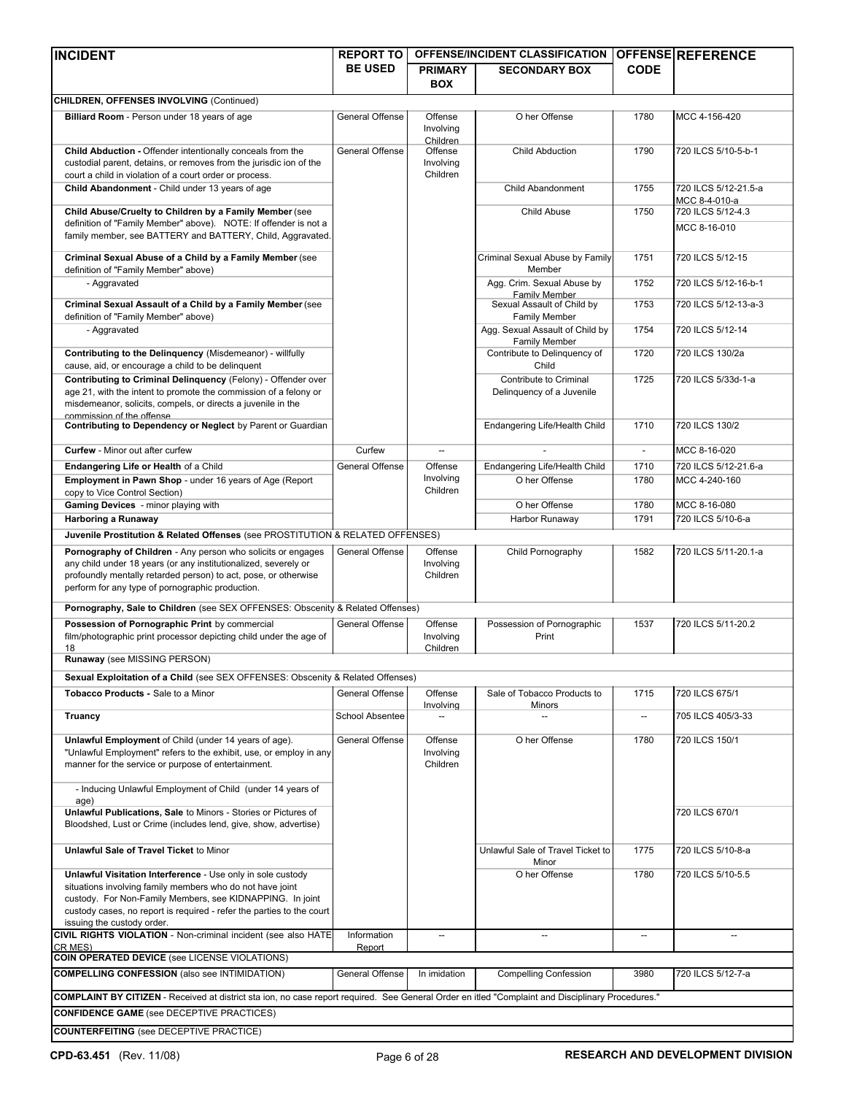| <b>INCIDENT</b>                                                                                                                                                                                                                                  | <b>REPORT TO</b>       |                                  | <b>OFFENSE/INCIDENT CLASSIFICATION</b>                       |             | <b>OFFENSE REFERENCE</b>              |
|--------------------------------------------------------------------------------------------------------------------------------------------------------------------------------------------------------------------------------------------------|------------------------|----------------------------------|--------------------------------------------------------------|-------------|---------------------------------------|
|                                                                                                                                                                                                                                                  | <b>BE USED</b>         | <b>PRIMARY</b>                   | <b>SECONDARY BOX</b>                                         | <b>CODE</b> |                                       |
|                                                                                                                                                                                                                                                  |                        | <b>BOX</b>                       |                                                              |             |                                       |
| <b>CHILDREN, OFFENSES INVOLVING (Continued)</b>                                                                                                                                                                                                  |                        |                                  |                                                              |             |                                       |
| Billiard Room - Person under 18 years of age                                                                                                                                                                                                     | General Offense        | Offense<br>Involving             | O her Offense                                                | 1780        | MCC 4-156-420                         |
| Child Abduction - Offender intentionally conceals from the                                                                                                                                                                                       | General Offense        | Children<br>Offense              | <b>Child Abduction</b>                                       | 1790        | 720 ILCS 5/10-5-b-1                   |
| custodial parent, detains, or removes from the jurisdic ion of the                                                                                                                                                                               |                        | Involving                        |                                                              |             |                                       |
| court a child in violation of a court order or process.                                                                                                                                                                                          |                        | Children                         |                                                              |             |                                       |
| Child Abandonment - Child under 13 years of age                                                                                                                                                                                                  |                        |                                  | Child Abandonment                                            | 1755        | 720 ILCS 5/12-21.5-a<br>MCC 8-4-010-a |
| Child Abuse/Cruelty to Children by a Family Member (see                                                                                                                                                                                          |                        |                                  | Child Abuse                                                  | 1750        | 720 ILCS 5/12-4.3                     |
| definition of "Family Member" above). NOTE: If offender is not a<br>family member, see BATTERY and BATTERY, Child, Aggravated.                                                                                                                   |                        |                                  |                                                              |             | MCC 8-16-010                          |
| Criminal Sexual Abuse of a Child by a Family Member (see<br>definition of "Family Member" above)                                                                                                                                                 |                        |                                  | Criminal Sexual Abuse by Family<br>Member                    | 1751        | 720 ILCS 5/12-15                      |
| - Aggravated                                                                                                                                                                                                                                     |                        |                                  | Agg. Crim. Sexual Abuse by                                   | 1752        | 720 ILCS 5/12-16-b-1                  |
| Criminal Sexual Assault of a Child by a Family Member (see<br>definition of "Family Member" above)                                                                                                                                               |                        |                                  | Family Member<br>Sexual Assault of Child by<br>Family Member | 1753        | 720 ILCS 5/12-13-a-3                  |
| - Aggravated                                                                                                                                                                                                                                     |                        |                                  | Agg. Sexual Assault of Child by                              | 1754        | 720 ILCS 5/12-14                      |
| Contributing to the Delinquency (Misdemeanor) - willfully                                                                                                                                                                                        |                        |                                  | Family Member<br>Contribute to Delinquency of                | 1720        | 720 ILCS 130/2a                       |
| cause, aid, or encourage a child to be delinquent                                                                                                                                                                                                |                        |                                  | Child                                                        |             |                                       |
| Contributing to Criminal Delinquency (Felony) - Offender over<br>age 21, with the intent to promote the commission of a felony or<br>misdemeanor, solicits, compels, or directs a juvenile in the<br>commission of the offense                   |                        |                                  | Contribute to Criminal<br>Delinquency of a Juvenile          | 1725        | 720 ILCS 5/33d-1-a                    |
| Contributing to Dependency or Neglect by Parent or Guardian                                                                                                                                                                                      |                        |                                  | Endangering Life/Health Child                                | 1710        | 720 ILCS 130/2                        |
| <b>Curfew</b> - Minor out after curfew                                                                                                                                                                                                           | Curfew                 |                                  |                                                              |             | MCC 8-16-020                          |
| Endangering Life or Health of a Child                                                                                                                                                                                                            | <b>General Offense</b> | Offense                          | Endangering Life/Health Child                                | 1710        | 720 ILCS 5/12-21.6-a                  |
| Employment in Pawn Shop - under 16 years of Age (Report                                                                                                                                                                                          |                        | Involving<br>Children            | O her Offense                                                | 1780        | MCC 4-240-160                         |
| copy to Vice Control Section)<br>Gaming Devices - minor playing with                                                                                                                                                                             |                        |                                  | O her Offense                                                | 1780        | MCC 8-16-080                          |
| <b>Harboring a Runaway</b>                                                                                                                                                                                                                       |                        |                                  | Harbor Runaway                                               | 1791        | 720 ILCS 5/10-6-a                     |
| Juvenile Prostitution & Related Offenses (see PROSTITUTION & RELATED OFFENSES)                                                                                                                                                                   |                        |                                  |                                                              |             |                                       |
| Pornography of Children - Any person who solicits or engages                                                                                                                                                                                     | General Offense        | Offense                          | Child Pornography                                            | 1582        | 720 ILCS 5/11-20.1-a                  |
| any child under 18 years (or any institutionalized, severely or<br>profoundly mentally retarded person) to act, pose, or otherwise<br>perform for any type of pornographic production.                                                           |                        | Involving<br>Children            |                                                              |             |                                       |
| Pornography, Sale to Children (see SEX OFFENSES: Obscenity & Related Offenses)                                                                                                                                                                   |                        |                                  |                                                              |             |                                       |
| Possession of Pornographic Print by commercial<br>film/photographic print processor depicting child under the age of<br>18                                                                                                                       | General Offense        | Offense<br>Involving<br>Children | Possession of Pornographic<br>Print                          | 1537        | 720 ILCS 5/11-20.2                    |
| Runaway (see MISSING PERSON)                                                                                                                                                                                                                     |                        |                                  |                                                              |             |                                       |
| Sexual Exploitation of a Child (see SEX OFFENSES: Obscenity & Related Offenses)                                                                                                                                                                  |                        |                                  |                                                              |             |                                       |
| Tobacco Products - Sale to a Minor                                                                                                                                                                                                               | <b>General Offense</b> | Offense                          | Sale of Tobacco Products to                                  | 1715        | 720 ILCS 675/1                        |
|                                                                                                                                                                                                                                                  |                        | Involving                        | Minors                                                       |             |                                       |
| Truancy                                                                                                                                                                                                                                          | School Absentee        |                                  |                                                              |             | 705 ILCS 405/3-33                     |
| Unlawful Employment of Child (under 14 years of age).<br>"Unlawful Employment" refers to the exhibit, use, or employ in any<br>manner for the service or purpose of entertainment.<br>- Inducing Unlawful Employment of Child (under 14 years of | General Offense        | Offense<br>Involving<br>Children | O her Offense                                                | 1780        | 720 ILCS 150/1                        |
| age)<br>Unlawful Publications, Sale to Minors - Stories or Pictures of<br>Bloodshed, Lust or Crime (includes lend, give, show, advertise)                                                                                                        |                        |                                  |                                                              |             | 720 ILCS 670/1                        |
| Unlawful Sale of Travel Ticket to Minor                                                                                                                                                                                                          |                        |                                  | Unlawful Sale of Travel Ticket to                            | 1775        | 720 ILCS 5/10-8-a                     |
| Unlawful Visitation Interference - Use only in sole custody                                                                                                                                                                                      |                        |                                  | Minor<br>O her Offense                                       | 1780        | 720 ILCS 5/10-5.5                     |
| situations involving family members who do not have joint                                                                                                                                                                                        |                        |                                  |                                                              |             |                                       |
| custody. For Non-Family Members, see KIDNAPPING. In joint                                                                                                                                                                                        |                        |                                  |                                                              |             |                                       |
| custody cases, no report is required - refer the parties to the court<br>issuing the custody order.                                                                                                                                              |                        |                                  |                                                              |             |                                       |
| CIVIL RIGHTS VIOLATION - Non-criminal incident (see also HATE                                                                                                                                                                                    | Information            | $\overline{\phantom{a}}$         |                                                              |             |                                       |
| CR MES)                                                                                                                                                                                                                                          | Report                 |                                  |                                                              |             |                                       |
| COIN OPERATED DEVICE (see LICENSE VIOLATIONS)<br><b>COMPELLING CONFESSION (also see INTIMIDATION)</b>                                                                                                                                            | General Offense        | In imidation                     | <b>Compelling Confession</b>                                 | 3980        | 720 ILCS 5/12-7-a                     |
|                                                                                                                                                                                                                                                  |                        |                                  |                                                              |             |                                       |
| COMPLAINT BY CITIZEN - Received at district sta ion, no case report required. See General Order en itled "Complaint and Disciplinary Procedures."<br><b>CONFIDENCE GAME</b> (see DECEPTIVE PRACTICES)                                            |                        |                                  |                                                              |             |                                       |
| <b>COUNTERFEITING</b> (see DECEPTIVE PRACTICE)                                                                                                                                                                                                   |                        |                                  |                                                              |             |                                       |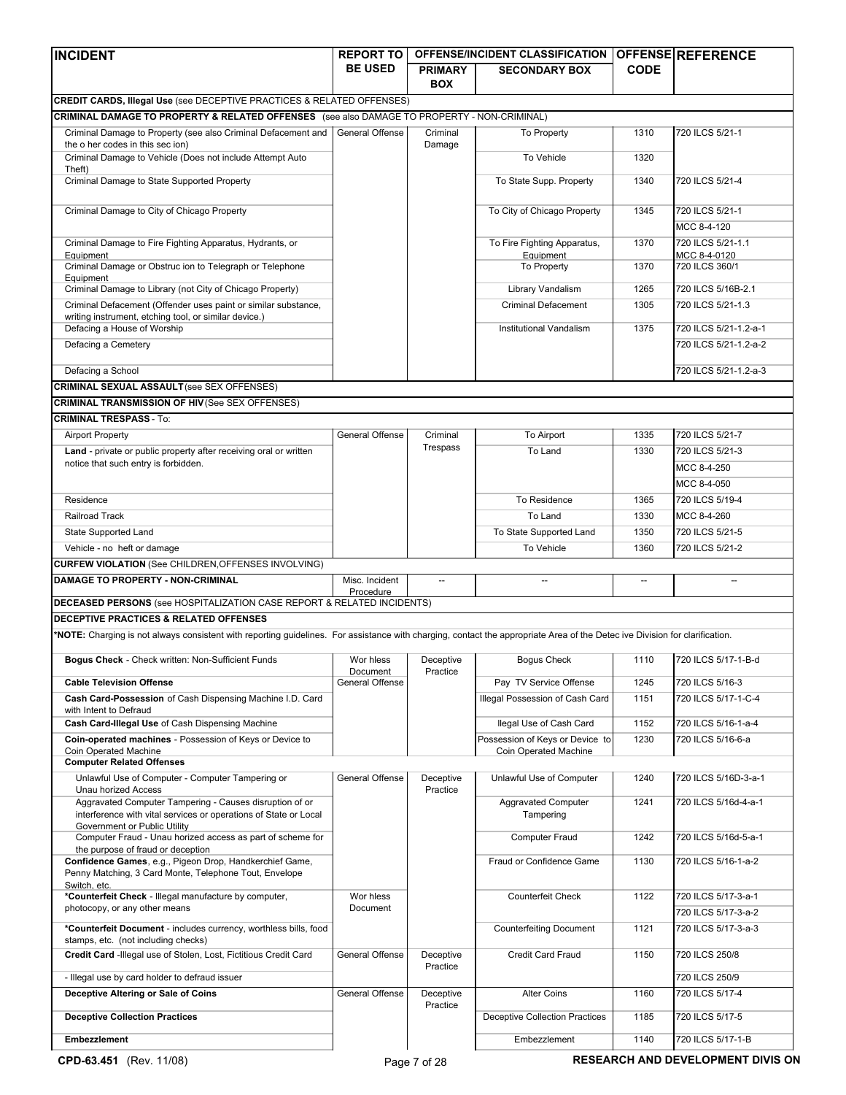| <b>INCIDENT</b>                                                                                                                                                             | <b>REPORT TO</b>      |                              | <b>OFFENSE/INCIDENT CLASSIFICATION</b>  |             | <b>OFFENSE REFERENCE</b>       |
|-----------------------------------------------------------------------------------------------------------------------------------------------------------------------------|-----------------------|------------------------------|-----------------------------------------|-------------|--------------------------------|
|                                                                                                                                                                             | <b>BE USED</b>        | <b>PRIMARY</b><br><b>BOX</b> | <b>SECONDARY BOX</b>                    | <b>CODE</b> |                                |
| <b>CREDIT CARDS, Illegal Use (see DECEPTIVE PRACTICES &amp; RELATED OFFENSES)</b>                                                                                           |                       |                              |                                         |             |                                |
| CRIMINAL DAMAGE TO PROPERTY & RELATED OFFENSES (see also DAMAGE TO PROPERTY - NON-CRIMINAL)                                                                                 |                       |                              |                                         |             |                                |
| Criminal Damage to Property (see also Criminal Defacement and                                                                                                               | General Offense       | Criminal                     | To Property                             | 1310        | 720 ILCS 5/21-1                |
| the o her codes in this sec ion)<br>Criminal Damage to Vehicle (Does not include Attempt Auto                                                                               |                       | Damage                       | To Vehicle                              | 1320        |                                |
| Theft)                                                                                                                                                                      |                       |                              |                                         |             |                                |
| Criminal Damage to State Supported Property                                                                                                                                 |                       |                              | To State Supp. Property                 | 1340        | 720 ILCS 5/21-4                |
| Criminal Damage to City of Chicago Property                                                                                                                                 |                       |                              | To City of Chicago Property             | 1345        | 720 ILCS 5/21-1<br>MCC 8-4-120 |
| Criminal Damage to Fire Fighting Apparatus, Hydrants, or                                                                                                                    |                       |                              | To Fire Fighting Apparatus,             | 1370        | 720 ILCS 5/21-1.1              |
| Equipment                                                                                                                                                                   |                       |                              | Equipment                               |             | MCC 8-4-0120                   |
| Criminal Damage or Obstruc ion to Telegraph or Telephone<br>Equipment                                                                                                       |                       |                              | To Property                             | 1370        | 720 ILCS 360/1                 |
| Criminal Damage to Library (not City of Chicago Property)                                                                                                                   |                       |                              | Library Vandalism                       | 1265        | 720 ILCS 5/16B-2.1             |
| Criminal Defacement (Offender uses paint or similar substance,                                                                                                              |                       |                              | <b>Criminal Defacement</b>              | 1305        | 720 ILCS 5/21-1.3              |
| writing instrument, etching tool, or similar device.)<br>Defacing a House of Worship                                                                                        |                       |                              | Institutional Vandalism                 | 1375        | 720 ILCS 5/21-1.2-a-1          |
| Defacing a Cemetery                                                                                                                                                         |                       |                              |                                         |             | 720 ILCS 5/21-1.2-a-2          |
|                                                                                                                                                                             |                       |                              |                                         |             |                                |
| Defacing a School                                                                                                                                                           |                       |                              |                                         |             | 720 ILCS 5/21-1.2-a-3          |
| <b>CRIMINAL SEXUAL ASSAULT</b> (see SEX OFFENSES)                                                                                                                           |                       |                              |                                         |             |                                |
| <b>CRIMINAL TRANSMISSION OF HIV (See SEX OFFENSES)</b>                                                                                                                      |                       |                              |                                         |             |                                |
| <b>CRIMINAL TRESPASS - To:</b>                                                                                                                                              |                       |                              |                                         |             |                                |
| <b>Airport Property</b>                                                                                                                                                     | General Offense       | Criminal                     | To Airport                              | 1335        | 720 ILCS 5/21-7                |
| Land - private or public property after receiving oral or written                                                                                                           |                       | Trespass                     | To Land                                 | 1330        | 720 ILCS 5/21-3                |
| notice that such entry is forbidden.                                                                                                                                        |                       |                              |                                         |             | MCC 8-4-250                    |
|                                                                                                                                                                             |                       |                              |                                         |             | MCC 8-4-050                    |
| Residence                                                                                                                                                                   |                       |                              | To Residence                            | 1365        | 720 ILCS 5/19-4                |
| <b>Railroad Track</b>                                                                                                                                                       |                       |                              | To Land                                 | 1330        | MCC 8-4-260                    |
| State Supported Land                                                                                                                                                        |                       |                              | To State Supported Land                 | 1350        | 720 ILCS 5/21-5                |
| Vehicle - no heft or damage                                                                                                                                                 |                       |                              | To Vehicle                              | 1360        | 720 ILCS 5/21-2                |
| <b>CURFEW VIOLATION (See CHILDREN, OFFENSES INVOLVING)</b>                                                                                                                  |                       |                              |                                         |             |                                |
| <b>DAMAGE TO PROPERTY - NON-CRIMINAL</b>                                                                                                                                    | Misc. Incident        |                              |                                         |             |                                |
|                                                                                                                                                                             | Procedure             |                              |                                         |             |                                |
| DECEASED PERSONS (see HOSPITALIZATION CASE REPORT & RELATED INCIDENTS)                                                                                                      |                       |                              |                                         |             |                                |
| DECEPTIVE PRACTICES & RELATED OFFENSES                                                                                                                                      |                       |                              |                                         |             |                                |
| *NOTE: Charging is not always consistent with reporting guidelines. For assistance with charging, contact the appropriate Area of the Detec ive Division for clarification. |                       |                              |                                         |             |                                |
| Bogus Check - Check written: Non-Sufficient Funds                                                                                                                           | Wor hless<br>Document | Deceptive<br>Practice        | <b>Bogus Check</b>                      | 1110        | 720 ILCS 5/17-1-B-d            |
| <b>Cable Television Offense</b>                                                                                                                                             | General Offense       |                              | Pay TV Service Offense                  | 1245        | 720 ILCS 5/16-3                |
| Cash Card-Possession of Cash Dispensing Machine I.D. Card<br>with Intent to Defraud                                                                                         |                       |                              | Illegal Possession of Cash Card         | 1151        | 720 ILCS 5/17-1-C-4            |
| Cash Card-Illegal Use of Cash Dispensing Machine                                                                                                                            |                       |                              | llegal Use of Cash Card                 | 1152        | 720 ILCS 5/16-1-a-4            |
| Coin-operated machines - Possession of Keys or Device to                                                                                                                    |                       |                              | Possession of Keys or Device to         | 1230        | 720 ILCS 5/16-6-a              |
| Coin Operated Machine                                                                                                                                                       |                       |                              | Coin Operated Machine                   |             |                                |
| <b>Computer Related Offenses</b><br>Unlawful Use of Computer - Computer Tampering or                                                                                        | General Offense       | Deceptive                    | Unlawful Use of Computer                | 1240        | 720 ILCS 5/16D-3-a-1           |
| <b>Unau horized Access</b>                                                                                                                                                  |                       | Practice                     |                                         |             |                                |
| Aggravated Computer Tampering - Causes disruption of or<br>interference with vital services or operations of State or Local<br>Government or Public Utility                 |                       |                              | <b>Aggravated Computer</b><br>Tampering | 1241        | 720 ILCS 5/16d-4-a-1           |
| Computer Fraud - Unau horized access as part of scheme for                                                                                                                  |                       |                              | Computer Fraud                          | 1242        | 720 ILCS 5/16d-5-a-1           |
| the purpose of fraud or deception<br>Confidence Games, e.g., Pigeon Drop, Handkerchief Game,<br>Penny Matching, 3 Card Monte, Telephone Tout, Envelope                      |                       |                              | Fraud or Confidence Game                | 1130        | 720 ILCS 5/16-1-a-2            |
| Switch, etc.                                                                                                                                                                |                       |                              |                                         |             |                                |
| *Counterfeit Check - Illegal manufacture by computer,                                                                                                                       | Wor hless             |                              | <b>Counterfeit Check</b>                | 1122        | 720 ILCS 5/17-3-a-1            |
| photocopy, or any other means                                                                                                                                               | Document              |                              |                                         |             | 720 ILCS 5/17-3-a-2            |
| *Counterfeit Document - includes currency, worthless bills, food<br>stamps, etc. (not including checks)                                                                     |                       |                              | <b>Counterfeiting Document</b>          | 1121        | 720 ILCS 5/17-3-a-3            |
| Credit Card - Illegal use of Stolen, Lost, Fictitious Credit Card                                                                                                           | General Offense       | Deceptive<br>Practice        | <b>Credit Card Fraud</b>                | 1150        | 720 ILCS 250/8                 |
| - Illegal use by card holder to defraud issuer                                                                                                                              |                       |                              |                                         |             | 720 ILCS 250/9                 |
| Deceptive Altering or Sale of Coins                                                                                                                                         | General Offense       | Deceptive                    | <b>Alter Coins</b>                      | 1160        | 720 ILCS 5/17-4                |
| <b>Deceptive Collection Practices</b>                                                                                                                                       |                       | Practice                     | <b>Deceptive Collection Practices</b>   | 1185        | 720 ILCS 5/17-5                |
| Embezzlement                                                                                                                                                                |                       |                              | Embezzlement                            | 1140        | 720 ILCS 5/17-1-B              |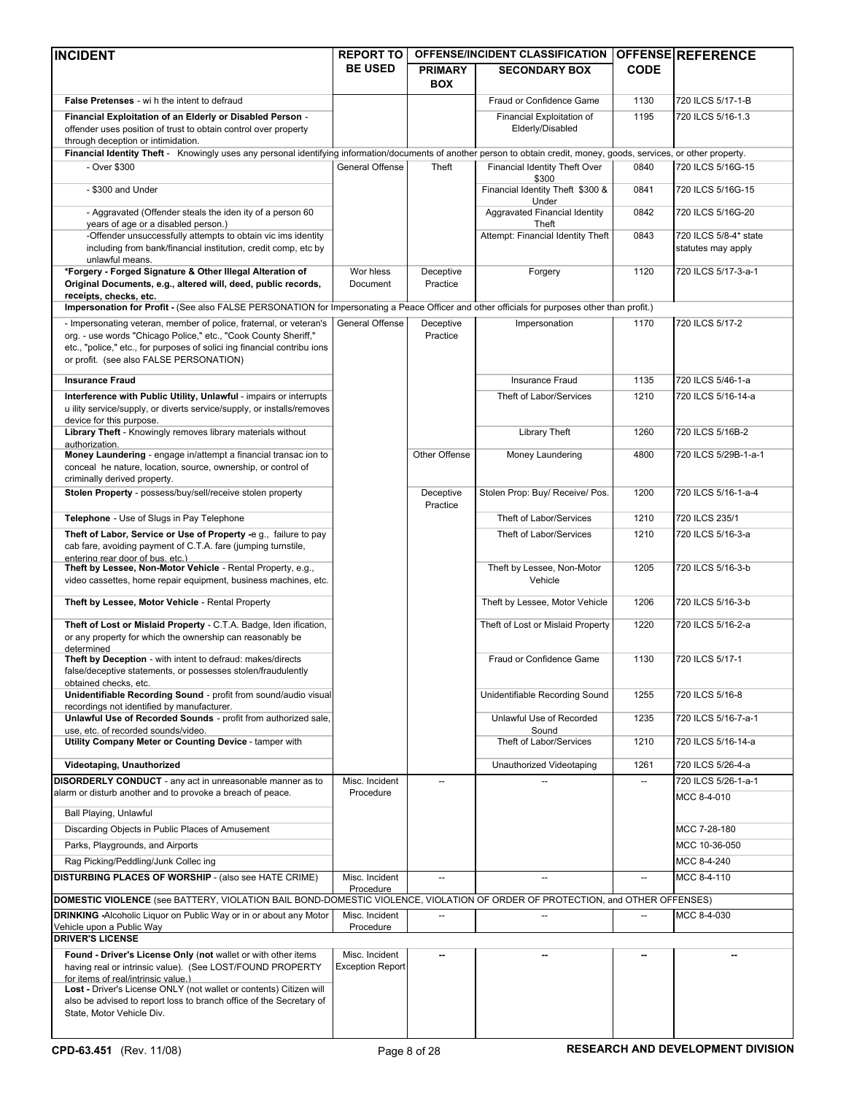| <b>INCIDENT</b>                                                                                                                                                                                                                                                            | <b>REPORT TO</b>            |                              | OFFENSE/INCIDENT CLASSIFICATION OFFENSE REFERENCE  |             |                                             |
|----------------------------------------------------------------------------------------------------------------------------------------------------------------------------------------------------------------------------------------------------------------------------|-----------------------------|------------------------------|----------------------------------------------------|-------------|---------------------------------------------|
|                                                                                                                                                                                                                                                                            | <b>BE USED</b>              | <b>PRIMARY</b><br><b>BOX</b> | <b>SECONDARY BOX</b>                               | <b>CODE</b> |                                             |
| <b>False Pretenses</b> - wi h the intent to defraud                                                                                                                                                                                                                        |                             |                              | Fraud or Confidence Game                           | 1130        | 720 ILCS 5/17-1-B                           |
| Financial Exploitation of an Elderly or Disabled Person -<br>offender uses position of trust to obtain control over property<br>through deception or intimidation.                                                                                                         |                             |                              | Financial Exploitation of<br>Elderly/Disabled      | 1195        | 720 ILCS 5/16-1.3                           |
| Financial Identity Theft - Knowingly uses any personal identifying information/documents of another person to obtain credit, money, goods, services, or other property.                                                                                                    |                             |                              |                                                    |             |                                             |
| - Over \$300                                                                                                                                                                                                                                                               | General Offense             | Theft                        | Financial Identity Theft Over                      | 0840        | 720 ILCS 5/16G-15                           |
| - \$300 and Under                                                                                                                                                                                                                                                          |                             |                              | \$300<br>Financial Identity Theft \$300 &<br>Under | 0841        | 720 ILCS 5/16G-15                           |
| - Aggravated (Offender steals the iden ity of a person 60<br>years of age or a disabled person.)                                                                                                                                                                           |                             |                              | Aggravated Financial Identity<br>Theft             | 0842        | 720 ILCS 5/16G-20                           |
| -Offender unsuccessfully attempts to obtain vic ims identity<br>including from bank/financial institution, credit comp, etc by<br>unlawful means.                                                                                                                          |                             |                              | Attempt: Financial Identity Theft                  | 0843        | 720 ILCS 5/8-4* state<br>statutes may apply |
| *Forgery - Forged Signature & Other Illegal Alteration of<br>Original Documents, e.g., altered will, deed, public records,<br>receipts, checks, etc.                                                                                                                       | Wor hless<br>Document       | Deceptive<br>Practice        | Forgery                                            | 1120        | 720 ILCS 5/17-3-a-1                         |
| Impersonation for Profit - (See also FALSE PERSONATION for Impersonating a Peace Officer and other officials for purposes other than profit.)                                                                                                                              |                             |                              |                                                    |             |                                             |
| - Impersonating veteran, member of police, fraternal, or veteran's<br>org. - use words "Chicago Police," etc., "Cook County Sheriff,"<br>etc., "police," etc., for purposes of solici ing financial contribu ions<br>or profit. (see also FALSE PERSONATION)               | General Offense             | Deceptive<br>Practice        | Impersonation                                      | 1170        | 720 ILCS 5/17-2                             |
| <b>Insurance Fraud</b>                                                                                                                                                                                                                                                     |                             |                              | <b>Insurance Fraud</b>                             | 1135        | 720 ILCS 5/46-1-a                           |
| Interference with Public Utility, Unlawful - impairs or interrupts<br>u ility service/supply, or diverts service/supply, or installs/removes<br>device for this purpose.                                                                                                   |                             |                              | Theft of Labor/Services                            | 1210        | 720 ILCS 5/16-14-a                          |
| Library Theft - Knowingly removes library materials without<br>authorization.                                                                                                                                                                                              |                             |                              | <b>Library Theft</b>                               | 1260        | 720 ILCS 5/16B-2                            |
| Money Laundering - engage in/attempt a financial transac ion to<br>conceal he nature, location, source, ownership, or control of<br>criminally derived property.                                                                                                           |                             | Other Offense                | Money Laundering                                   | 4800        | 720 ILCS 5/29B-1-a-1                        |
| Stolen Property - possess/buy/sell/receive stolen property                                                                                                                                                                                                                 |                             | Deceptive<br>Practice        | Stolen Prop: Buy/ Receive/ Pos.                    | 1200        | 720 ILCS 5/16-1-a-4                         |
| Telephone - Use of Slugs in Pay Telephone                                                                                                                                                                                                                                  |                             |                              | Theft of Labor/Services                            | 1210        | 720 ILCS 235/1                              |
| Theft of Labor, Service or Use of Property -e g., failure to pay<br>cab fare, avoiding payment of C.T.A. fare (jumping turnstile,<br>entering rear door of bus. etc.)                                                                                                      |                             |                              | Theft of Labor/Services                            | 1210        | 720 ILCS 5/16-3-a                           |
| Theft by Lessee, Non-Motor Vehicle - Rental Property, e.g.,<br>video cassettes, home repair equipment, business machines, etc.                                                                                                                                             |                             |                              | Theft by Lessee, Non-Motor<br>Vehicle              | 1205        | 720 ILCS 5/16-3-b                           |
| Theft by Lessee, Motor Vehicle - Rental Property                                                                                                                                                                                                                           |                             |                              | Theft by Lessee, Motor Vehicle                     | 1206        | 720 ILCS 5/16-3-b                           |
| Theft of Lost or Mislaid Property - C.T.A. Badge, Iden ification,<br>or any property for which the ownership can reasonably be<br>determined                                                                                                                               |                             |                              | Theft of Lost or Mislaid Property                  | 1220        | 720 ILCS 5/16-2-a                           |
| Theft by Deception - with intent to defraud: makes/directs<br>false/deceptive statements, or possesses stolen/fraudulently<br>obtained checks, etc.                                                                                                                        |                             |                              | Fraud or Confidence Game                           | 1130        | 720 ILCS 5/17-1                             |
| Unidentifiable Recording Sound - profit from sound/audio visual<br>recordings not identified by manufacturer.                                                                                                                                                              |                             |                              | Unidentifiable Recording Sound                     | 1255        | 720 ILCS 5/16-8                             |
| Unlawful Use of Recorded Sounds - profit from authorized sale.<br>use, etc. of recorded sounds/video.                                                                                                                                                                      |                             |                              | Unlawful Use of Recorded<br>Sound                  | 1235        | 720 ILCS 5/16-7-a-1                         |
| Utility Company Meter or Counting Device - tamper with                                                                                                                                                                                                                     |                             |                              | Theft of Labor/Services                            | 1210        | 720 ILCS 5/16-14-a                          |
| Videotaping, Unauthorized                                                                                                                                                                                                                                                  |                             |                              | Unauthorized Videotaping                           | 1261        | 720 ILCS 5/26-4-a                           |
| DISORDERLY CONDUCT - any act in unreasonable manner as to                                                                                                                                                                                                                  | Misc. Incident              | --                           |                                                    |             | 720 ILCS 5/26-1-a-1                         |
| alarm or disturb another and to provoke a breach of peace.<br>Ball Playing, Unlawful                                                                                                                                                                                       | Procedure                   |                              |                                                    |             | MCC 8-4-010                                 |
| Discarding Objects in Public Places of Amusement                                                                                                                                                                                                                           |                             |                              |                                                    |             | MCC 7-28-180                                |
| Parks, Playgrounds, and Airports                                                                                                                                                                                                                                           |                             |                              |                                                    |             | MCC 10-36-050                               |
| Rag Picking/Peddling/Junk Collec ing                                                                                                                                                                                                                                       |                             |                              |                                                    |             | MCC 8-4-240                                 |
| <b>DISTURBING PLACES OF WORSHIP - (also see HATE CRIME)</b>                                                                                                                                                                                                                | Misc. Incident              | $\overline{\phantom{a}}$     | $\overline{\phantom{a}}$                           | $\sim$      | MCC 8-4-110                                 |
| DOMESTIC VIOLENCE (see BATTERY, VIOLATION BAIL BOND-DOMESTIC VIOLENCE, VIOLATION OF ORDER OF PROTECTION, and OTHER OFFENSES)                                                                                                                                               | Procedure                   |                              |                                                    |             |                                             |
| <b>DRINKING</b> - Alcoholic Liquor on Public Way or in or about any Motor<br>Vehicle upon a Public Way<br><b>DRIVER'S LICENSE</b>                                                                                                                                          | Misc. Incident<br>Procedure |                              |                                                    |             | MCC 8-4-030                                 |
| Found - Driver's License Only (not wallet or with other items                                                                                                                                                                                                              | Misc. Incident              |                              |                                                    |             |                                             |
| having real or intrinsic value). (See LOST/FOUND PROPERTY<br>for items of real/intrinsic value.)<br>Lost - Driver's License ONLY (not wallet or contents) Citizen will<br>also be advised to report loss to branch office of the Secretary of<br>State, Motor Vehicle Div. | <b>Exception Report</b>     |                              |                                                    |             |                                             |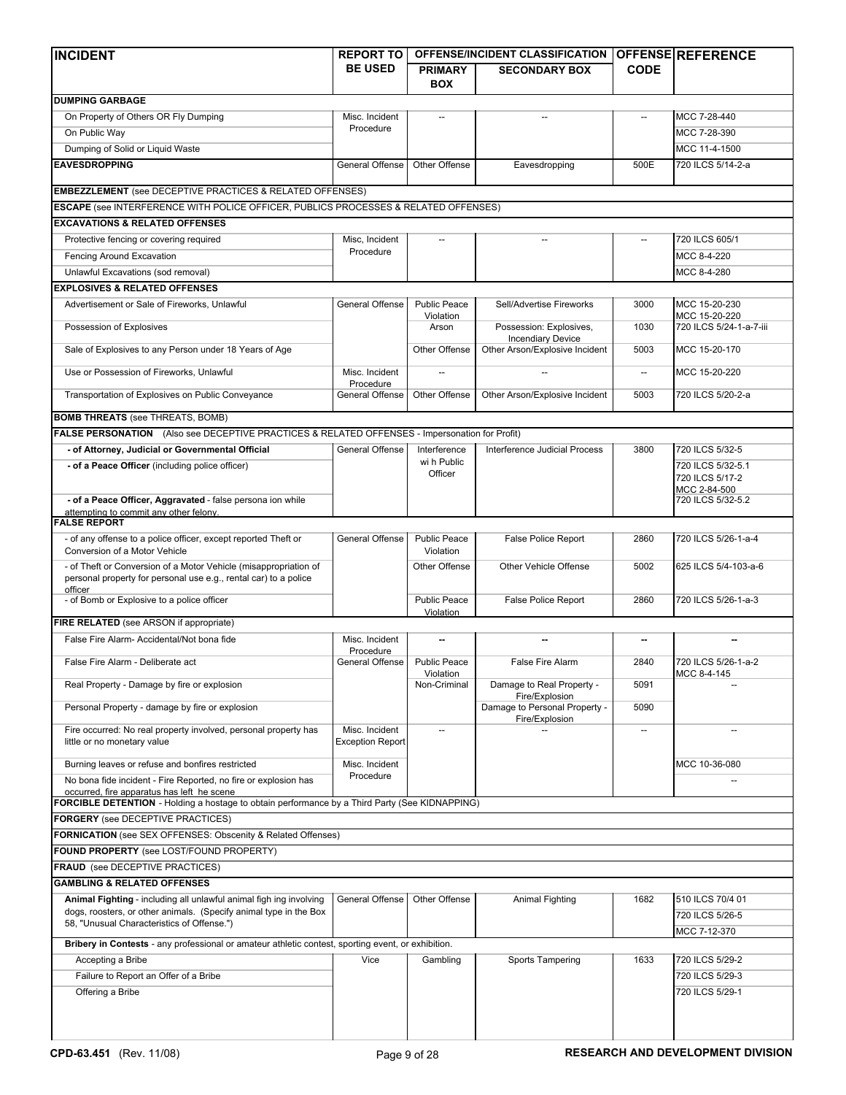| <b>INCIDENT</b>                                                                                                                                 | <b>REPORT TO</b>            |                                  | OFFENSE/INCIDENT CLASSIFICATION                     |                          | <b>OFFENSE REFERENCE</b>             |  |  |
|-------------------------------------------------------------------------------------------------------------------------------------------------|-----------------------------|----------------------------------|-----------------------------------------------------|--------------------------|--------------------------------------|--|--|
|                                                                                                                                                 | <b>BE USED</b>              | <b>PRIMARY</b>                   | <b>SECONDARY BOX</b>                                | <b>CODE</b>              |                                      |  |  |
|                                                                                                                                                 |                             | <b>BOX</b>                       |                                                     |                          |                                      |  |  |
| <b>DUMPING GARBAGE</b>                                                                                                                          |                             |                                  |                                                     |                          |                                      |  |  |
| On Property of Others OR Fly Dumping                                                                                                            | Misc. Incident              |                                  |                                                     |                          | MCC 7-28-440                         |  |  |
| On Public Way                                                                                                                                   | Procedure                   |                                  |                                                     |                          | MCC 7-28-390                         |  |  |
| Dumping of Solid or Liquid Waste                                                                                                                |                             |                                  |                                                     |                          | MCC 11-4-1500                        |  |  |
| <b>EAVESDROPPING</b>                                                                                                                            | General Offense             | Other Offense                    | Eavesdropping                                       | 500E                     | 720 ILCS 5/14-2-a                    |  |  |
| <b>EMBEZZLEMENT</b> (see DECEPTIVE PRACTICES & RELATED OFFENSES)                                                                                |                             |                                  |                                                     |                          |                                      |  |  |
| ESCAPE (see INTERFERENCE WITH POLICE OFFICER, PUBLICS PROCESSES & RELATED OFFENSES)                                                             |                             |                                  |                                                     |                          |                                      |  |  |
| <b>EXCAVATIONS &amp; RELATED OFFENSES</b>                                                                                                       |                             |                                  |                                                     |                          |                                      |  |  |
| Protective fencing or covering required                                                                                                         | Misc, Incident              |                                  |                                                     |                          | 720 ILCS 605/1                       |  |  |
| Fencing Around Excavation                                                                                                                       | Procedure                   |                                  |                                                     |                          | MCC 8-4-220                          |  |  |
| Unlawful Excavations (sod removal)                                                                                                              |                             |                                  |                                                     |                          | MCC 8-4-280                          |  |  |
| <b>EXPLOSIVES &amp; RELATED OFFENSES</b>                                                                                                        |                             |                                  |                                                     |                          |                                      |  |  |
|                                                                                                                                                 |                             |                                  |                                                     |                          |                                      |  |  |
| Advertisement or Sale of Fireworks, Unlawful                                                                                                    | General Offense             | <b>Public Peace</b><br>Violation | Sell/Advertise Fireworks                            | 3000                     | MCC 15-20-230<br>MCC 15-20-220       |  |  |
| Possession of Explosives                                                                                                                        |                             | Arson                            | Possession: Explosives,<br><b>Incendiary Device</b> | 1030                     | 720 ILCS 5/24-1-a-7-iii              |  |  |
| Sale of Explosives to any Person under 18 Years of Age                                                                                          |                             | Other Offense                    | Other Arson/Explosive Incident                      | 5003                     | MCC 15-20-170                        |  |  |
| Use or Possession of Fireworks, Unlawful                                                                                                        | Misc. Incident<br>Procedure |                                  |                                                     | $\overline{\phantom{a}}$ | MCC 15-20-220                        |  |  |
| Transportation of Explosives on Public Conveyance                                                                                               | General Offense             | Other Offense                    | Other Arson/Explosive Incident                      | 5003                     | 720 ILCS 5/20-2-a                    |  |  |
| <b>BOMB THREATS</b> (see THREATS, BOMB)                                                                                                         |                             |                                  |                                                     |                          |                                      |  |  |
| FALSE PERSONATION (Also see DECEPTIVE PRACTICES & RELATED OFFENSES - Impersonation for Profit)                                                  |                             |                                  |                                                     |                          |                                      |  |  |
| - of Attorney, Judicial or Governmental Official                                                                                                | General Offense             | Interference                     | Interference Judicial Process                       | 3800                     | 720 ILCS 5/32-5                      |  |  |
| - of a Peace Officer (including police officer)                                                                                                 |                             | wi h Public<br>Officer           |                                                     |                          | 720 ILCS 5/32-5.1<br>720 ILCS 5/17-2 |  |  |
| - of a Peace Officer, Aggravated - false persona ion while                                                                                      |                             |                                  |                                                     |                          | MCC 2-84-500<br>720 ILCS 5/32-5.2    |  |  |
| attempting to commit any other felony.<br><b>FALSE REPORT</b>                                                                                   |                             |                                  |                                                     |                          |                                      |  |  |
|                                                                                                                                                 |                             |                                  |                                                     |                          |                                      |  |  |
| - of any offense to a police officer, except reported Theft or<br>Conversion of a Motor Vehicle                                                 | General Offense             | <b>Public Peace</b><br>Violation | <b>False Police Report</b>                          | 2860                     | 720 ILCS 5/26-1-a-4                  |  |  |
| - of Theft or Conversion of a Motor Vehicle (misappropriation of<br>personal property for personal use e.g., rental car) to a police<br>officer |                             | Other Offense                    | Other Vehicle Offense                               | 5002                     | 625 ILCS 5/4-103-a-6                 |  |  |
| - of Bomb or Explosive to a police officer                                                                                                      |                             | <b>Public Peace</b><br>Violation | <b>False Police Report</b>                          | 2860                     | 720 ILCS 5/26-1-a-3                  |  |  |
| FIRE RELATED (see ARSON if appropriate)                                                                                                         |                             |                                  |                                                     |                          |                                      |  |  |
| False Fire Alarm- Accidental/Not bona fide                                                                                                      | Misc. Incident              |                                  |                                                     |                          |                                      |  |  |
|                                                                                                                                                 | Procedure                   | <b>Public Peace</b>              |                                                     |                          | 720 ILCS 5/26-1-a-2                  |  |  |
| False Fire Alarm - Deliberate act<br>Real Property - Damage by fire or explosion                                                                | General Offense             | Violation<br>Non-Criminal        | False Fire Alarm<br>Damage to Real Property -       | 2840<br>5091             | MCC 8-4-145                          |  |  |
| Personal Property - damage by fire or explosion                                                                                                 |                             |                                  | Fire/Explosion<br>Damage to Personal Property -     | 5090                     |                                      |  |  |
| Fire occurred: No real property involved, personal property has                                                                                 | Misc. Incident              | $\overline{a}$                   | Fire/Explosion                                      |                          |                                      |  |  |
| little or no monetary value                                                                                                                     | <b>Exception Report</b>     |                                  |                                                     |                          |                                      |  |  |
| Burning leaves or refuse and bonfires restricted                                                                                                | Misc. Incident              |                                  |                                                     |                          | MCC 10-36-080                        |  |  |
| No bona fide incident - Fire Reported, no fire or explosion has                                                                                 | Procedure                   |                                  |                                                     |                          |                                      |  |  |
| occurred, fire apparatus has left he scene<br>FORCIBLE DETENTION - Holding a hostage to obtain performance by a Third Party (See KIDNAPPING)    |                             |                                  |                                                     |                          |                                      |  |  |
|                                                                                                                                                 |                             |                                  |                                                     |                          |                                      |  |  |
| <b>FORGERY</b> (see DECEPTIVE PRACTICES)                                                                                                        |                             |                                  |                                                     |                          |                                      |  |  |
| <b>FORNICATION</b> (see SEX OFFENSES: Obscenity & Related Offenses)                                                                             |                             |                                  |                                                     |                          |                                      |  |  |
| FOUND PROPERTY (see LOST/FOUND PROPERTY)                                                                                                        |                             |                                  |                                                     |                          |                                      |  |  |
| <b>FRAUD</b> (see DECEPTIVE PRACTICES)                                                                                                          |                             |                                  |                                                     |                          |                                      |  |  |
| <b>GAMBLING &amp; RELATED OFFENSES</b>                                                                                                          |                             |                                  |                                                     |                          |                                      |  |  |
| Animal Fighting - including all unlawful animal figh ing involving<br>dogs, roosters, or other animals. (Specify animal type in the Box         | General Offense             | Other Offense                    | Animal Fighting                                     | 1682                     | 510 ILCS 70/4 01<br>720 ILCS 5/26-5  |  |  |
| 58, "Unusual Characteristics of Offense.")                                                                                                      |                             |                                  |                                                     |                          | MCC 7-12-370                         |  |  |
| Bribery in Contests - any professional or amateur athletic contest, sporting event, or exhibition.                                              |                             |                                  |                                                     |                          |                                      |  |  |
| Accepting a Bribe                                                                                                                               | Vice                        | Gambling                         | Sports Tampering                                    | 1633                     | 720 ILCS 5/29-2                      |  |  |
| Failure to Report an Offer of a Bribe                                                                                                           |                             |                                  |                                                     |                          | 720 ILCS 5/29-3                      |  |  |
| Offering a Bribe                                                                                                                                |                             |                                  |                                                     |                          | 720 ILCS 5/29-1                      |  |  |
|                                                                                                                                                 |                             |                                  |                                                     |                          |                                      |  |  |
|                                                                                                                                                 |                             |                                  |                                                     |                          |                                      |  |  |
|                                                                                                                                                 |                             |                                  |                                                     |                          |                                      |  |  |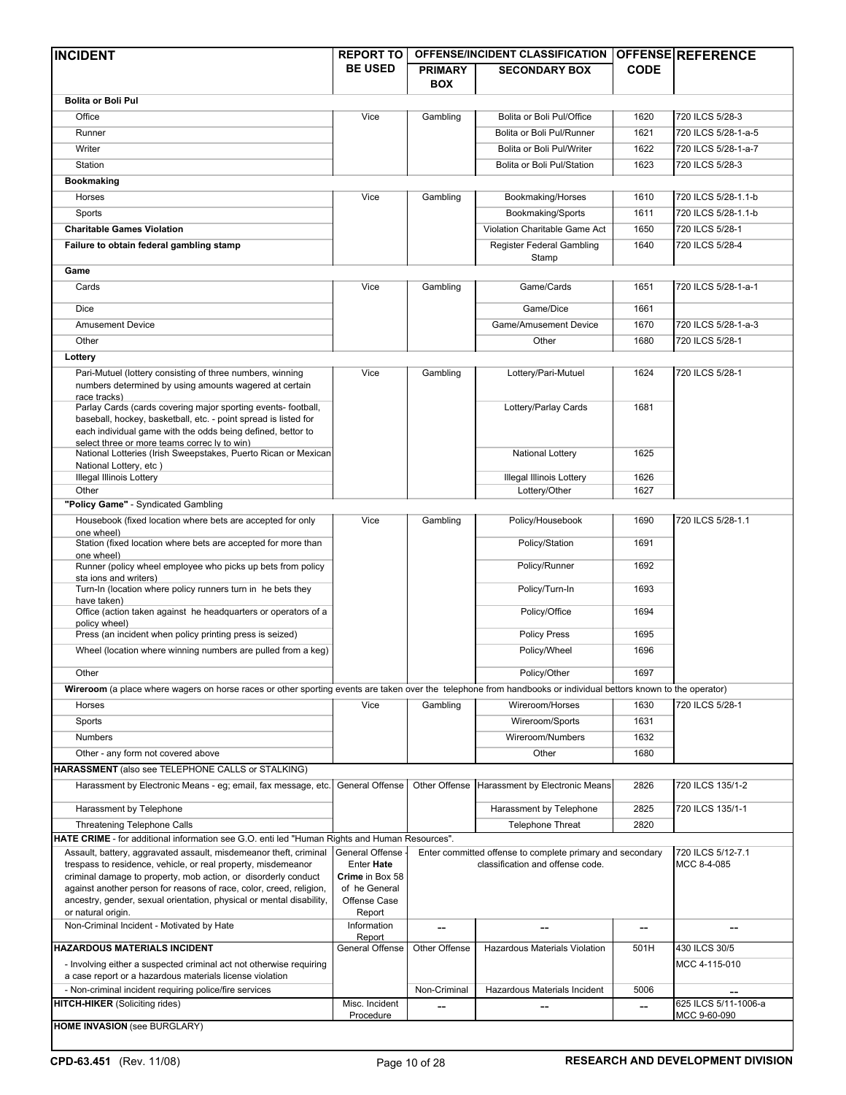| <b>INCIDENT</b>                                                                                                                                                 | <b>REPORT TO</b>              |                | <b>OFFENSE/INCIDENT CLASSIFICATION</b>                    |             | <b>OFFENSE REFERENCE</b> |
|-----------------------------------------------------------------------------------------------------------------------------------------------------------------|-------------------------------|----------------|-----------------------------------------------------------|-------------|--------------------------|
|                                                                                                                                                                 | <b>BE USED</b>                | <b>PRIMARY</b> | <b>SECONDARY BOX</b>                                      | <b>CODE</b> |                          |
|                                                                                                                                                                 |                               | <b>BOX</b>     |                                                           |             |                          |
| <b>Bolita or Boli Pul</b>                                                                                                                                       |                               |                |                                                           |             |                          |
| Office                                                                                                                                                          | Vice                          | Gambling       | Bolita or Boli Pul/Office                                 | 1620        | 720 ILCS 5/28-3          |
| Runner                                                                                                                                                          |                               |                | Bolita or Boli Pul/Runner                                 | 1621        | 720 ILCS 5/28-1-a-5      |
| Writer                                                                                                                                                          |                               |                | Bolita or Boli Pul/Writer                                 | 1622        | 720 ILCS 5/28-1-a-7      |
| Station                                                                                                                                                         |                               |                | Bolita or Boli Pul/Station                                | 1623        | 720 ILCS 5/28-3          |
| <b>Bookmaking</b>                                                                                                                                               |                               |                |                                                           |             |                          |
| Horses                                                                                                                                                          | Vice                          | Gambling       | Bookmaking/Horses                                         | 1610        | 720 ILCS 5/28-1.1-b      |
| Sports                                                                                                                                                          |                               |                | Bookmaking/Sports                                         | 1611        | 720 ILCS 5/28-1.1-b      |
| <b>Charitable Games Violation</b>                                                                                                                               |                               |                | Violation Charitable Game Act                             | 1650        | 720 ILCS 5/28-1          |
| Failure to obtain federal gambling stamp                                                                                                                        |                               |                | Register Federal Gambling                                 | 1640        | 720 ILCS 5/28-4          |
|                                                                                                                                                                 |                               |                | Stamp                                                     |             |                          |
| Game                                                                                                                                                            |                               |                |                                                           |             |                          |
| Cards                                                                                                                                                           | Vice                          | Gambling       | Game/Cards                                                | 1651        | 720 ILCS 5/28-1-a-1      |
| Dice                                                                                                                                                            |                               |                | Game/Dice                                                 | 1661        |                          |
| <b>Amusement Device</b>                                                                                                                                         |                               |                | Game/Amusement Device                                     | 1670        | 720 ILCS 5/28-1-a-3      |
| Other                                                                                                                                                           |                               |                | Other                                                     | 1680        | 720 ILCS 5/28-1          |
| Lottery                                                                                                                                                         |                               |                |                                                           |             |                          |
| Pari-Mutuel (lottery consisting of three numbers, winning                                                                                                       | Vice                          | Gambling       | Lottery/Pari-Mutuel                                       | 1624        | 720 ILCS 5/28-1          |
| numbers determined by using amounts wagered at certain                                                                                                          |                               |                |                                                           |             |                          |
| race tracks)                                                                                                                                                    |                               |                |                                                           |             |                          |
| Parlay Cards (cards covering major sporting events- football,<br>baseball, hockey, basketball, etc. - point spread is listed for                                |                               |                | Lottery/Parlay Cards                                      | 1681        |                          |
| each individual game with the odds being defined, bettor to                                                                                                     |                               |                |                                                           |             |                          |
| select three or more teams correc ly to win)                                                                                                                    |                               |                |                                                           |             |                          |
| National Lotteries (Irish Sweepstakes, Puerto Rican or Mexican<br>National Lottery, etc)                                                                        |                               |                | National Lottery                                          | 1625        |                          |
| <b>Illegal Illinois Lottery</b>                                                                                                                                 |                               |                | <b>Illegal Illinois Lottery</b>                           | 1626        |                          |
| Other                                                                                                                                                           |                               |                | Lottery/Other                                             | 1627        |                          |
| "Policy Game" - Syndicated Gambling                                                                                                                             |                               |                |                                                           |             |                          |
| Housebook (fixed location where bets are accepted for only                                                                                                      | Vice                          | Gambling       | Policy/Housebook                                          | 1690        | 720 ILCS 5/28-1.1        |
| one wheel)<br>Station (fixed location where bets are accepted for more than                                                                                     |                               |                | Policy/Station                                            | 1691        |                          |
| one wheel)                                                                                                                                                      |                               |                |                                                           |             |                          |
| Runner (policy wheel employee who picks up bets from policy<br>sta ions and writers)                                                                            |                               |                | Policy/Runner                                             | 1692        |                          |
| Turn-In (location where policy runners turn in he bets they                                                                                                     |                               |                | Policy/Turn-In                                            | 1693        |                          |
| have taken)                                                                                                                                                     |                               |                |                                                           |             |                          |
| Office (action taken against he headquarters or operators of a<br>policy wheel)                                                                                 |                               |                | Policy/Office                                             | 1694        |                          |
| Press (an incident when policy printing press is seized)                                                                                                        |                               |                | <b>Policy Press</b>                                       | 1695        |                          |
| Wheel (location where winning numbers are pulled from a keg)                                                                                                    |                               |                | Policy/Wheel                                              | 1696        |                          |
|                                                                                                                                                                 |                               |                |                                                           |             |                          |
| Other                                                                                                                                                           |                               |                | Policy/Other                                              | 1697        |                          |
| Wireroom (a place where wagers on horse races or other sporting events are taken over the telephone from handbooks or individual bettors known to the operator) |                               |                |                                                           |             |                          |
| Horses                                                                                                                                                          | Vice                          | Gambling       | Wireroom/Horses                                           | 1630        | 720 ILCS 5/28-1          |
| Sports                                                                                                                                                          |                               |                | Wireroom/Sports                                           | 1631        |                          |
| Numbers                                                                                                                                                         |                               |                | Wireroom/Numbers                                          | 1632        |                          |
| Other - any form not covered above                                                                                                                              |                               |                | Other                                                     | 1680        |                          |
| HARASSMENT (also see TELEPHONE CALLS or STALKING)                                                                                                               |                               |                |                                                           |             |                          |
| Harassment by Electronic Means - eg; email, fax message, etc.                                                                                                   | General Offense               | Other Offense  | Harassment by Electronic Means                            | 2826        | 720 ILCS 135/1-2         |
| Harassment by Telephone                                                                                                                                         |                               |                | Harassment by Telephone                                   | 2825        | 720 ILCS 135/1-1         |
| <b>Threatening Telephone Calls</b>                                                                                                                              |                               |                | <b>Telephone Threat</b>                                   | 2820        |                          |
| HATE CRIME - for additional information see G.O. enti led "Human Rights and Human Resources".                                                                   |                               |                |                                                           |             |                          |
| Assault, battery, aggravated assault, misdemeanor theft, criminal                                                                                               | General Offense               |                | Enter committed offense to complete primary and secondary |             | 720 ILCS 5/12-7.1        |
| trespass to residence, vehicle, or real property, misdemeanor                                                                                                   | Enter Hate                    |                | classification and offense code.                          |             | MCC 8-4-085              |
| criminal damage to property, mob action, or disorderly conduct                                                                                                  | Crime in Box 58               |                |                                                           |             |                          |
| against another person for reasons of race, color, creed, religion,<br>ancestry, gender, sexual orientation, physical or mental disability,                     | of he General<br>Offense Case |                |                                                           |             |                          |
| or natural origin.                                                                                                                                              | Report                        |                |                                                           |             |                          |
| Non-Criminal Incident - Motivated by Hate                                                                                                                       | Information                   |                |                                                           | --          |                          |
| <b>HAZARDOUS MATERIALS INCIDENT</b>                                                                                                                             | Report<br>General Offense     | Other Offense  | Hazardous Materials Violation                             | 501H        | 430 ILCS 30/5            |
| - Involving either a suspected criminal act not otherwise requiring                                                                                             |                               |                |                                                           |             | MCC 4-115-010            |
| a case report or a hazardous materials license violation                                                                                                        |                               |                |                                                           |             |                          |
| - Non-criminal incident requiring police/fire services                                                                                                          |                               | Non-Criminal   | Hazardous Materials Incident                              | 5006        |                          |
| <b>HITCH-HIKER (Soliciting rides)</b>                                                                                                                           | Misc. Incident                |                |                                                           |             | 625 ILCS 5/11-1006-a     |
| <b>HOME INVASION (see BURGLARY)</b>                                                                                                                             | Procedure                     |                |                                                           |             | MCC 9-60-090             |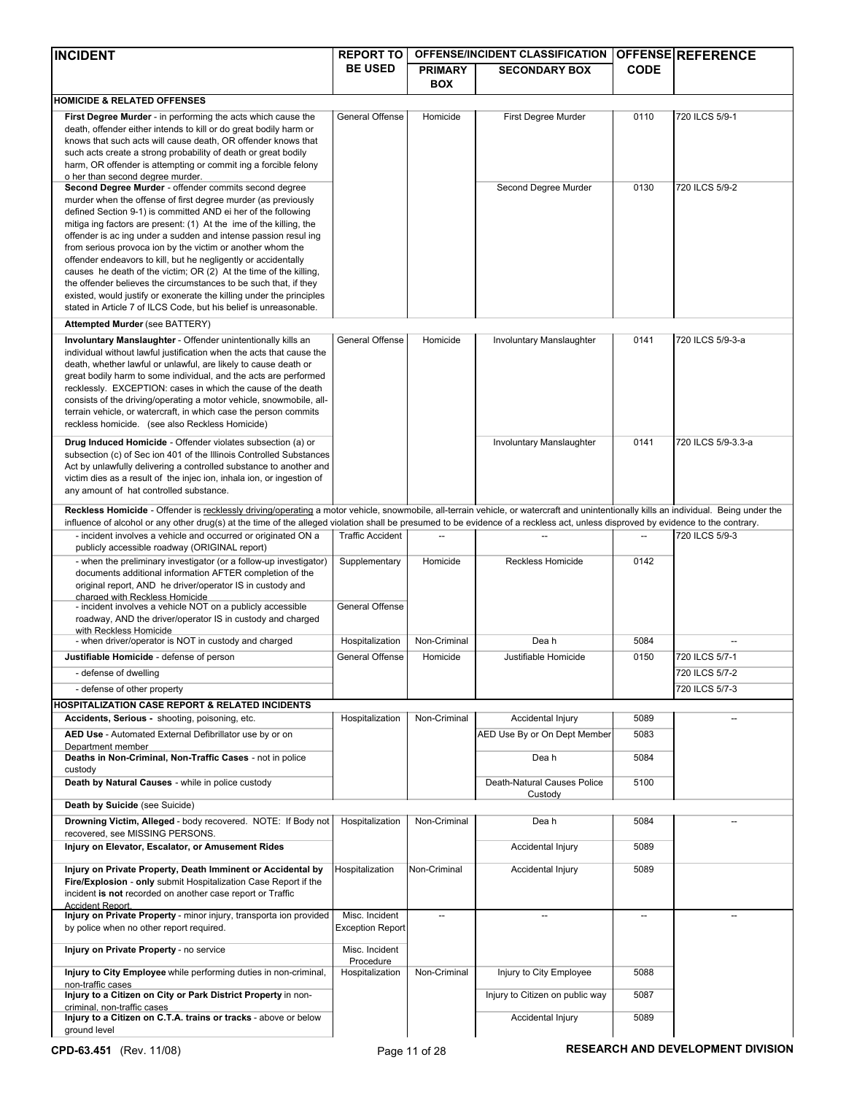| <b>INCIDENT</b>                                                                                                                                                                       | <b>REPORT TO</b>        |                | <b>OFFENSE/INCIDENT CLASSIFICATION</b> |                          | <b>OFFENSE REFERENCE</b>                 |
|---------------------------------------------------------------------------------------------------------------------------------------------------------------------------------------|-------------------------|----------------|----------------------------------------|--------------------------|------------------------------------------|
|                                                                                                                                                                                       | <b>BE USED</b>          | <b>PRIMARY</b> | <b>SECONDARY BOX</b>                   | <b>CODE</b>              |                                          |
|                                                                                                                                                                                       |                         | <b>BOX</b>     |                                        |                          |                                          |
| <b>HOMICIDE &amp; RELATED OFFENSES</b>                                                                                                                                                |                         |                |                                        |                          |                                          |
| First Degree Murder - in performing the acts which cause the<br>death, offender either intends to kill or do great bodily harm or                                                     | <b>General Offense</b>  | Homicide       | First Degree Murder                    | 0110                     | 720 ILCS 5/9-1                           |
| knows that such acts will cause death, OR offender knows that                                                                                                                         |                         |                |                                        |                          |                                          |
| such acts create a strong probability of death or great bodily                                                                                                                        |                         |                |                                        |                          |                                          |
| harm, OR offender is attempting or commit ing a forcible felony                                                                                                                       |                         |                |                                        |                          |                                          |
| o her than second degree murder.<br>Second Degree Murder - offender commits second degree                                                                                             |                         |                | Second Degree Murder                   | 0130                     | 720 ILCS 5/9-2                           |
| murder when the offense of first degree murder (as previously                                                                                                                         |                         |                |                                        |                          |                                          |
| defined Section 9-1) is committed AND ei her of the following                                                                                                                         |                         |                |                                        |                          |                                          |
| mitiga ing factors are present: (1) At the ime of the killing, the                                                                                                                    |                         |                |                                        |                          |                                          |
| offender is ac ing under a sudden and intense passion resul ing<br>from serious provoca ion by the victim or another whom the                                                         |                         |                |                                        |                          |                                          |
| offender endeavors to kill, but he negligently or accidentally                                                                                                                        |                         |                |                                        |                          |                                          |
| causes he death of the victim; OR (2) At the time of the killing,                                                                                                                     |                         |                |                                        |                          |                                          |
| the offender believes the circumstances to be such that, if they<br>existed, would justify or exonerate the killing under the principles                                              |                         |                |                                        |                          |                                          |
| stated in Article 7 of ILCS Code, but his belief is unreasonable.                                                                                                                     |                         |                |                                        |                          |                                          |
| Attempted Murder (see BATTERY)                                                                                                                                                        |                         |                |                                        |                          |                                          |
| Involuntary Manslaughter - Offender unintentionally kills an                                                                                                                          | <b>General Offense</b>  | Homicide       | Involuntary Manslaughter               | 0141                     | 720 ILCS 5/9-3-a                         |
| individual without lawful justification when the acts that cause the                                                                                                                  |                         |                |                                        |                          |                                          |
| death, whether lawful or unlawful, are likely to cause death or                                                                                                                       |                         |                |                                        |                          |                                          |
| great bodily harm to some individual, and the acts are performed<br>recklessly. EXCEPTION: cases in which the cause of the death                                                      |                         |                |                                        |                          |                                          |
| consists of the driving/operating a motor vehicle, snowmobile, all-                                                                                                                   |                         |                |                                        |                          |                                          |
| terrain vehicle, or watercraft, in which case the person commits                                                                                                                      |                         |                |                                        |                          |                                          |
| reckless homicide. (see also Reckless Homicide)                                                                                                                                       |                         |                |                                        |                          |                                          |
| Drug Induced Homicide - Offender violates subsection (a) or                                                                                                                           |                         |                | Involuntary Manslaughter               | 0141                     | 720 ILCS 5/9-3.3-a                       |
| subsection (c) of Sec ion 401 of the Illinois Controlled Substances                                                                                                                   |                         |                |                                        |                          |                                          |
| Act by unlawfully delivering a controlled substance to another and<br>victim dies as a result of the injec ion, inhala ion, or ingestion of                                           |                         |                |                                        |                          |                                          |
| any amount of hat controlled substance.                                                                                                                                               |                         |                |                                        |                          |                                          |
| Reckless Homicide - Offender is recklessly driving/operating a motor vehicle, snowmobile, all-terrain vehicle, or watercraft and unintentionally kills an individual. Being under the |                         |                |                                        |                          |                                          |
| influence of alcohol or any other drug(s) at the time of the alleged violation shall be presumed to be evidence of a reckless act, unless disproved by evidence to the contrary.      |                         |                |                                        |                          |                                          |
| - incident involves a vehicle and occurred or originated ON a                                                                                                                         | <b>Traffic Accident</b> |                |                                        | $\overline{\phantom{a}}$ | 720 ILCS 5/9-3                           |
| publicly accessible roadway (ORIGINAL report)                                                                                                                                         |                         |                |                                        |                          |                                          |
| - when the preliminary investigator (or a follow-up investigator)<br>documents additional information AFTER completion of the                                                         | Supplementary           | Homicide       | <b>Reckless Homicide</b>               | 0142                     |                                          |
| original report, AND he driver/operator IS in custody and                                                                                                                             |                         |                |                                        |                          |                                          |
| charged with Reckless Homicide                                                                                                                                                        |                         |                |                                        |                          |                                          |
| - incident involves a vehicle NOT on a publicly accessible<br>roadway, AND the driver/operator IS in custody and charged                                                              | General Offense         |                |                                        |                          |                                          |
| with Reckless Homicide                                                                                                                                                                |                         |                |                                        |                          |                                          |
| - when driver/operator is NOT in custody and charged                                                                                                                                  | Hospitalization         | Non-Criminal   | Dea h                                  | 5084                     |                                          |
| Justifiable Homicide - defense of person                                                                                                                                              | <b>General Offense</b>  | Homicide       | Justifiable Homicide                   | 0150                     | 720 ILCS 5/7-1                           |
| - defense of dwelling                                                                                                                                                                 |                         |                |                                        |                          | 720 ILCS 5/7-2                           |
| - defense of other property                                                                                                                                                           |                         |                |                                        |                          | 720 ILCS 5/7-3                           |
| HOSPITALIZATION CASE REPORT & RELATED INCIDENTS                                                                                                                                       |                         |                |                                        |                          |                                          |
| Accidents, Serious - shooting, poisoning, etc.                                                                                                                                        | Hospitalization         | Non-Criminal   | Accidental Injury                      | 5089                     |                                          |
| AED Use - Automated External Defibrillator use by or on<br>Department member                                                                                                          |                         |                | AED Use By or On Dept Member           | 5083                     |                                          |
| Deaths in Non-Criminal, Non-Traffic Cases - not in police                                                                                                                             |                         |                | Dea h                                  | 5084                     |                                          |
| custody                                                                                                                                                                               |                         |                |                                        |                          |                                          |
| Death by Natural Causes - while in police custody                                                                                                                                     |                         |                | Death-Natural Causes Police            | 5100                     |                                          |
| Death by Suicide (see Suicide)                                                                                                                                                        |                         |                | Custody                                |                          |                                          |
| Drowning Victim, Alleged - body recovered. NOTE: If Body not                                                                                                                          | Hospitalization         | Non-Criminal   | Dea h                                  | 5084                     |                                          |
| recovered, see MISSING PERSONS.                                                                                                                                                       |                         |                |                                        |                          |                                          |
| Injury on Elevator, Escalator, or Amusement Rides                                                                                                                                     |                         |                | Accidental Injury                      | 5089                     |                                          |
| Injury on Private Property, Death Imminent or Accidental by                                                                                                                           | Hospitalization         | Non-Criminal   | Accidental Injury                      | 5089                     |                                          |
| Fire/Explosion - only submit Hospitalization Case Report if the                                                                                                                       |                         |                |                                        |                          |                                          |
| incident is not recorded on another case report or Traffic                                                                                                                            |                         |                |                                        |                          |                                          |
| <b>Accident Report</b><br>Injury on Private Property - minor injury, transporta ion provided                                                                                          | Misc. Incident          | --             |                                        |                          |                                          |
| by police when no other report required.                                                                                                                                              | <b>Exception Report</b> |                |                                        |                          |                                          |
|                                                                                                                                                                                       | Misc. Incident          |                |                                        |                          |                                          |
| Injury on Private Property - no service                                                                                                                                               | Procedure               |                |                                        |                          |                                          |
| Injury to City Employee while performing duties in non-criminal,                                                                                                                      | Hospitalization         | Non-Criminal   | Injury to City Employee                | 5088                     |                                          |
| non-traffic cases<br>Injury to a Citizen on City or Park District Property in non-                                                                                                    |                         |                | Injury to Citizen on public way        | 5087                     |                                          |
| criminal, non-traffic cases                                                                                                                                                           |                         |                |                                        |                          |                                          |
| Injury to a Citizen on C.T.A. trains or tracks - above or below                                                                                                                       |                         |                | Accidental Injury                      | 5089                     |                                          |
| ground level                                                                                                                                                                          |                         |                |                                        |                          |                                          |
| CPD-63.451 (Rev. 11/08)                                                                                                                                                               |                         | Page 11 of 28  |                                        |                          | <b>RESEARCH AND DEVELOPMENT DIVISION</b> |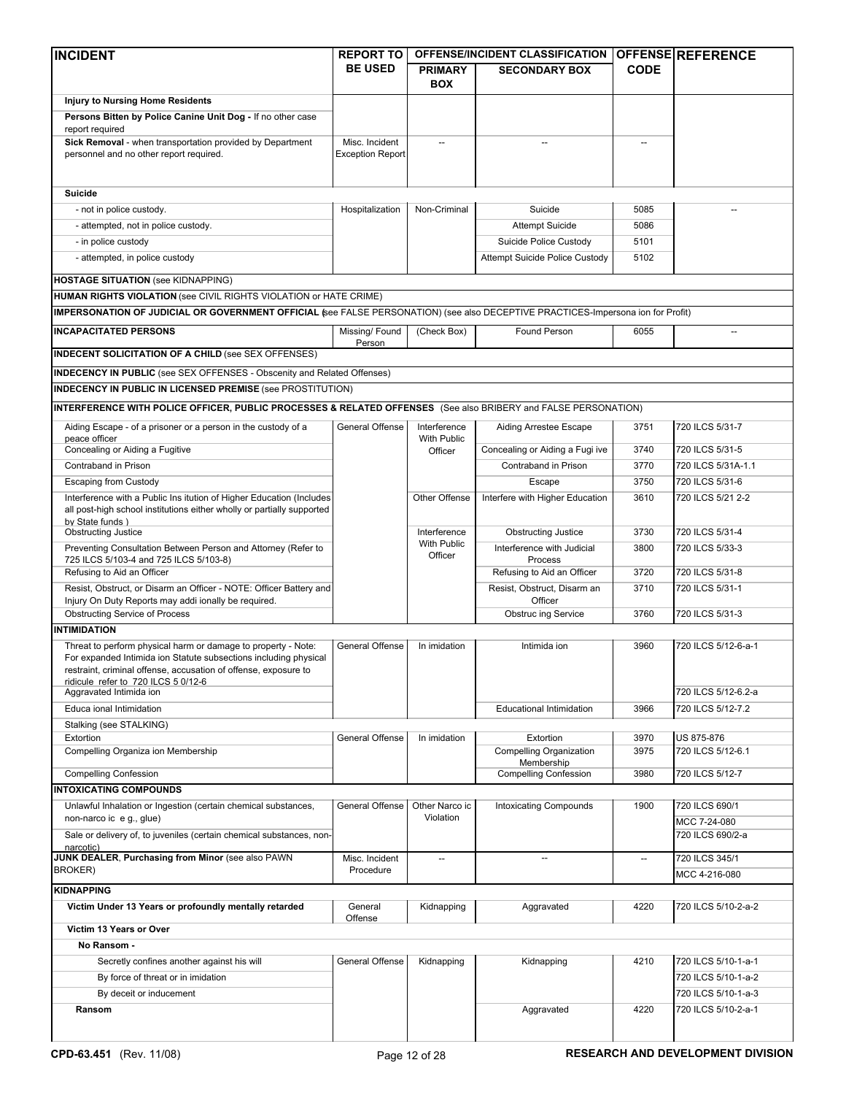| <b>INCIDENT</b>                                                                                                                   | <b>REPORT TO</b>        |                              | OFFENSE/INCIDENT CLASSIFICATION OFFENSE REFERENCE |                          |                                          |
|-----------------------------------------------------------------------------------------------------------------------------------|-------------------------|------------------------------|---------------------------------------------------|--------------------------|------------------------------------------|
|                                                                                                                                   | <b>BE USED</b>          | <b>PRIMARY</b><br><b>BOX</b> | <b>SECONDARY BOX</b>                              | <b>CODE</b>              |                                          |
| <b>Injury to Nursing Home Residents</b>                                                                                           |                         |                              |                                                   |                          |                                          |
| Persons Bitten by Police Canine Unit Dog - If no other case                                                                       |                         |                              |                                                   |                          |                                          |
| report required                                                                                                                   |                         |                              |                                                   |                          |                                          |
| Sick Removal - when transportation provided by Department                                                                         | Misc. Incident          |                              |                                                   |                          |                                          |
| personnel and no other report required.                                                                                           | <b>Exception Report</b> |                              |                                                   |                          |                                          |
|                                                                                                                                   |                         |                              |                                                   |                          |                                          |
| <b>Suicide</b>                                                                                                                    |                         |                              |                                                   |                          |                                          |
| - not in police custody.                                                                                                          | Hospitalization         | Non-Criminal                 | Suicide                                           | 5085                     |                                          |
| - attempted, not in police custody.                                                                                               |                         |                              | <b>Attempt Suicide</b>                            | 5086                     |                                          |
| - in police custody                                                                                                               |                         |                              | Suicide Police Custody                            | 5101                     |                                          |
| - attempted, in police custody                                                                                                    |                         |                              | Attempt Suicide Police Custody                    | 5102                     |                                          |
|                                                                                                                                   |                         |                              |                                                   |                          |                                          |
| <b>HOSTAGE SITUATION (see KIDNAPPING)</b>                                                                                         |                         |                              |                                                   |                          |                                          |
| HUMAN RIGHTS VIOLATION (see CIVIL RIGHTS VIOLATION or HATE CRIME)                                                                 |                         |                              |                                                   |                          |                                          |
| IMPERSONATION OF JUDICIAL OR GOVERNMENT OFFICIAL (see FALSE PERSONATION) (see also DECEPTIVE PRACTICES-Impersona ion for Profit)  |                         |                              |                                                   |                          |                                          |
| <b>INCAPACITATED PERSONS</b>                                                                                                      | Missing/Found<br>Person | (Check Box)                  | Found Person                                      | 6055                     | $\overline{\phantom{a}}$                 |
| <b>INDECENT SOLICITATION OF A CHILD (see SEX OFFENSES)</b>                                                                        |                         |                              |                                                   |                          |                                          |
| <b>INDECENCY IN PUBLIC</b> (see SEX OFFENSES - Obscenity and Related Offenses)                                                    |                         |                              |                                                   |                          |                                          |
| <b>INDECENCY IN PUBLIC IN LICENSED PREMISE (see PROSTITUTION)</b>                                                                 |                         |                              |                                                   |                          |                                          |
| INTERFERENCE WITH POLICE OFFICER, PUBLIC PROCESSES & RELATED OFFENSES (See also BRIBERY and FALSE PERSONATION)                    |                         |                              |                                                   |                          |                                          |
|                                                                                                                                   |                         |                              |                                                   |                          |                                          |
| Aiding Escape - of a prisoner or a person in the custody of a<br>peace officer                                                    | General Offense         | Interference<br>With Public  | Aiding Arrestee Escape                            | 3751                     | 720 ILCS 5/31-7                          |
| Concealing or Aiding a Fugitive                                                                                                   |                         | Officer                      | Concealing or Aiding a Fugi ive                   | 3740                     | 720 ILCS 5/31-5                          |
| Contraband in Prison                                                                                                              |                         |                              | Contraband in Prison                              | 3770                     | 720 ILCS 5/31A-1.1                       |
| <b>Escaping from Custody</b>                                                                                                      |                         |                              | Escape                                            | 3750                     | 720 ILCS 5/31-6                          |
| Interference with a Public Ins itution of Higher Education (Includes                                                              |                         | Other Offense                | Interfere with Higher Education                   | 3610                     | 720 ILCS 5/21 2-2                        |
| all post-high school institutions either wholly or partially supported                                                            |                         |                              |                                                   |                          |                                          |
| bv State funds )<br><b>Obstructing Justice</b>                                                                                    |                         | Interference                 | <b>Obstructing Justice</b>                        | 3730                     | 720 ILCS 5/31-4                          |
| Preventing Consultation Between Person and Attorney (Refer to                                                                     |                         | With Public                  | Interference with Judicial                        | 3800                     | 720 ILCS 5/33-3                          |
| 725 ILCS 5/103-4 and 725 ILCS 5/103-8)                                                                                            |                         | Officer                      | Process                                           |                          |                                          |
| Refusing to Aid an Officer                                                                                                        |                         |                              | Refusing to Aid an Officer                        | 3720                     | 720 ILCS 5/31-8                          |
| Resist, Obstruct, or Disarm an Officer - NOTE: Officer Battery and                                                                |                         |                              | Resist, Obstruct, Disarm an                       | 3710                     | 720 ILCS 5/31-1                          |
| Injury On Duty Reports may addi ionally be required.                                                                              |                         |                              | Officer                                           |                          |                                          |
| <b>Obstructing Service of Process</b><br><b>INTIMIDATION</b>                                                                      |                         |                              | <b>Obstruc ing Service</b>                        | 3760                     | 720 ILCS 5/31-3                          |
|                                                                                                                                   |                         |                              |                                                   |                          |                                          |
| Threat to perform physical harm or damage to property - Note:<br>For expanded Intimida ion Statute subsections including physical | General Offense         | In imidation                 | Intimida ion                                      | 3960                     | 720 ILCS 5/12-6-a-1                      |
| restraint, criminal offense, accusation of offense, exposure to                                                                   |                         |                              |                                                   |                          |                                          |
| ridicule refer to 720 ILCS 5 0/12-6<br>Aggravated Intimida ion                                                                    |                         |                              |                                                   |                          | 720 ILCS 5/12-6.2-a                      |
| Educa ional Intimidation                                                                                                          |                         |                              | <b>Educational Intimidation</b>                   | 3966                     | 720 ILCS 5/12-7.2                        |
| Stalking (see STALKING)                                                                                                           |                         |                              |                                                   |                          |                                          |
| Extortion                                                                                                                         | <b>General Offense</b>  | In imidation                 | Extortion                                         | 3970                     | <b>US 875-876</b>                        |
| Compelling Organiza ion Membership                                                                                                |                         |                              | <b>Compelling Organization</b>                    | 3975                     | 720 ILCS 5/12-6.1                        |
|                                                                                                                                   |                         |                              | Membership                                        |                          |                                          |
| <b>Compelling Confession</b>                                                                                                      |                         |                              | <b>Compelling Confession</b>                      | 3980                     | 720 ILCS 5/12-7                          |
| <b>INTOXICATING COMPOUNDS</b>                                                                                                     |                         |                              |                                                   |                          |                                          |
| Unlawful Inhalation or Ingestion (certain chemical substances,<br>non-narco ic e g., glue)                                        | General Offense         | Other Narco ic<br>Violation  | <b>Intoxicating Compounds</b>                     | 1900                     | 720 ILCS 690/1                           |
| Sale or delivery of, to juveniles (certain chemical substances, non-                                                              |                         |                              |                                                   |                          | MCC 7-24-080<br>720 ILCS 690/2-a         |
| narcotic)                                                                                                                         |                         |                              |                                                   |                          |                                          |
| JUNK DEALER, Purchasing from Minor (see also PAWN                                                                                 | Misc. Incident          | --                           | $\overline{\phantom{a}}$                          | $\overline{\phantom{a}}$ | 720 ILCS 345/1                           |
| <b>BROKER)</b>                                                                                                                    | Procedure               |                              |                                                   |                          | MCC 4-216-080                            |
| <b>KIDNAPPING</b>                                                                                                                 |                         |                              |                                                   |                          |                                          |
| Victim Under 13 Years or profoundly mentally retarded                                                                             | General                 | Kidnapping                   | Aggravated                                        | 4220                     | 720 ILCS 5/10-2-a-2                      |
| Victim 13 Years or Over                                                                                                           | Offense                 |                              |                                                   |                          |                                          |
| No Ransom -                                                                                                                       |                         |                              |                                                   |                          |                                          |
| Secretly confines another against his will                                                                                        | General Offense         | Kidnapping                   | Kidnapping                                        | 4210                     | 720 ILCS 5/10-1-a-1                      |
| By force of threat or in imidation                                                                                                |                         |                              |                                                   |                          | 720 ILCS 5/10-1-a-2                      |
| By deceit or inducement                                                                                                           |                         |                              |                                                   |                          | 720 ILCS 5/10-1-a-3                      |
| Ransom                                                                                                                            |                         |                              | Aggravated                                        | 4220                     | 720 ILCS 5/10-2-a-1                      |
|                                                                                                                                   |                         |                              |                                                   |                          |                                          |
|                                                                                                                                   |                         |                              |                                                   |                          |                                          |
| CPD-63.451 (Rev. 11/08)                                                                                                           |                         | Page 12 of 28                |                                                   |                          | <b>RESEARCH AND DEVELOPMENT DIVISION</b> |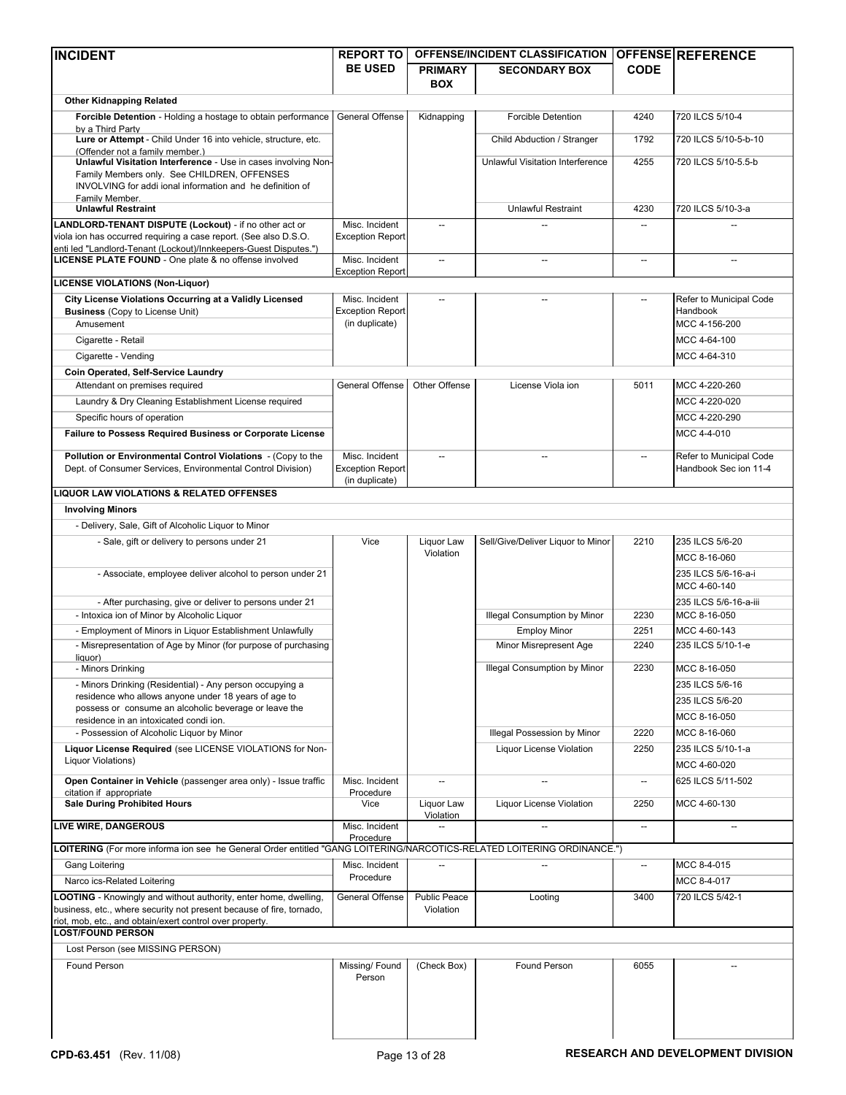| <b>INCIDENT</b>                                                                                                            | <b>REPORT TO</b>                          |                          | OFFENSE/INCIDENT CLASSIFICATION     |                          | <b>OFFENSE REFERENCE</b>   |
|----------------------------------------------------------------------------------------------------------------------------|-------------------------------------------|--------------------------|-------------------------------------|--------------------------|----------------------------|
|                                                                                                                            | <b>BE USED</b>                            | <b>PRIMARY</b>           | <b>SECONDARY BOX</b>                | <b>CODE</b>              |                            |
|                                                                                                                            |                                           | <b>BOX</b>               |                                     |                          |                            |
| <b>Other Kidnapping Related</b>                                                                                            |                                           |                          |                                     |                          |                            |
| Forcible Detention - Holding a hostage to obtain performance                                                               | General Offense                           | Kidnapping               | <b>Forcible Detention</b>           | 4240                     | 720 ILCS 5/10-4            |
| by a Third Party<br>Lure or Attempt - Child Under 16 into vehicle, structure, etc.                                         |                                           |                          | Child Abduction / Stranger          | 1792                     | 720 ILCS 5/10-5-b-10       |
| (Offender not a family member.)                                                                                            |                                           |                          |                                     |                          |                            |
| Unlawful Visitation Interference - Use in cases involving Non-                                                             |                                           |                          | Unlawful Visitation Interference    | 4255                     | 720 ILCS 5/10-5.5-b        |
| Family Members only. See CHILDREN, OFFENSES<br>INVOLVING for addi ional information and he definition of                   |                                           |                          |                                     |                          |                            |
| Family Member.                                                                                                             |                                           |                          |                                     |                          |                            |
| <b>Unlawful Restraint</b>                                                                                                  |                                           |                          | Unlawful Restraint                  | 4230                     | 720 ILCS 5/10-3-a          |
| LANDLORD-TENANT DISPUTE (Lockout) - if no other act or<br>viola ion has occurred requiring a case report. (See also D.S.O. | Misc. Incident<br><b>Exception Report</b> | $\overline{\phantom{a}}$ |                                     | $\overline{\phantom{a}}$ |                            |
| enti led "Landlord-Tenant (Lockout)/Innkeepers-Guest Disputes.")                                                           |                                           |                          |                                     |                          |                            |
| LICENSE PLATE FOUND - One plate & no offense involved                                                                      | Misc. Incident                            | $\overline{a}$           |                                     | $\overline{\phantom{a}}$ |                            |
| <b>LICENSE VIOLATIONS (Non-Liquor)</b>                                                                                     | <b>Exception Report</b>                   |                          |                                     |                          |                            |
| City License Violations Occurring at a Validly Licensed                                                                    | Misc. Incident                            | $\overline{\phantom{a}}$ |                                     | $\overline{\phantom{a}}$ | Refer to Municipal Code    |
| <b>Business</b> (Copy to License Unit)                                                                                     | <b>Exception Report</b>                   |                          |                                     |                          | Handbook                   |
| Amusement                                                                                                                  | (in duplicate)                            |                          |                                     |                          | MCC 4-156-200              |
| Cigarette - Retail                                                                                                         |                                           |                          |                                     |                          | MCC 4-64-100               |
| Cigarette - Vending                                                                                                        |                                           |                          |                                     |                          | MCC 4-64-310               |
| Coin Operated, Self-Service Laundry                                                                                        |                                           |                          |                                     |                          |                            |
| Attendant on premises required                                                                                             | General Offense                           | Other Offense            | License Viola ion                   | 5011                     | MCC 4-220-260              |
| Laundry & Dry Cleaning Establishment License required                                                                      |                                           |                          |                                     |                          | MCC 4-220-020              |
| Specific hours of operation                                                                                                |                                           |                          |                                     |                          | MCC 4-220-290              |
| Failure to Possess Required Business or Corporate License                                                                  |                                           |                          |                                     |                          | MCC 4-4-010                |
| Pollution or Environmental Control Violations - (Copy to the                                                               | Misc. Incident                            | $\overline{\phantom{a}}$ |                                     |                          | Refer to Municipal Code    |
| Dept. of Consumer Services, Environmental Control Division)                                                                | <b>Exception Report</b>                   |                          |                                     |                          | Handbook Sec ion 11-4      |
| LIQUOR LAW VIOLATIONS & RELATED OFFENSES                                                                                   | (in duplicate)                            |                          |                                     |                          |                            |
| <b>Involving Minors</b>                                                                                                    |                                           |                          |                                     |                          |                            |
| - Delivery, Sale, Gift of Alcoholic Liquor to Minor                                                                        |                                           |                          |                                     |                          |                            |
| - Sale, gift or delivery to persons under 21                                                                               | Vice                                      | Liquor Law               | Sell/Give/Deliver Liquor to Minor   | 2210                     | 235 ILCS 5/6-20            |
|                                                                                                                            |                                           | Violation                |                                     |                          | MCC 8-16-060               |
| - Associate, employee deliver alcohol to person under 21                                                                   |                                           |                          |                                     |                          | 235 ILCS 5/6-16-a-i        |
|                                                                                                                            |                                           |                          |                                     |                          | MCC 4-60-140               |
| - After purchasing, give or deliver to persons under 21                                                                    |                                           |                          |                                     |                          | 235 ILCS 5/6-16-a-iii      |
| - Intoxica ion of Minor by Alcoholic Liquor                                                                                |                                           |                          | Illegal Consumption by Minor        | 2230                     | MCC 8-16-050               |
| - Employment of Minors in Liquor Establishment Unlawfully                                                                  |                                           |                          | <b>Employ Minor</b>                 | 2251                     | MCC 4-60-143               |
| - Misrepresentation of Age by Minor (for purpose of purchasing                                                             |                                           |                          | Minor Misrepresent Age              | 2240                     | 235 ILCS 5/10-1-e          |
| liquor)<br>- Minors Drinking                                                                                               |                                           |                          | <b>Illegal Consumption by Minor</b> | 2230                     | MCC 8-16-050               |
| - Minors Drinking (Residential) - Any person occupying a                                                                   |                                           |                          |                                     |                          | 235 ILCS 5/6-16            |
| residence who allows anyone under 18 years of age to                                                                       |                                           |                          |                                     |                          | 235 ILCS 5/6-20            |
| possess or consume an alcoholic beverage or leave the                                                                      |                                           |                          |                                     |                          | MCC 8-16-050               |
| residence in an intoxicated condi ion.<br>- Possession of Alcoholic Liquor by Minor                                        |                                           |                          | Illegal Possession by Minor         | 2220                     | MCC 8-16-060               |
| Liquor License Required (see LICENSE VIOLATIONS for Non-                                                                   |                                           |                          | <b>Liquor License Violation</b>     | 2250                     | 235 ILCS 5/10-1-a          |
| Liquor Violations)                                                                                                         |                                           |                          |                                     |                          | MCC 4-60-020               |
| Open Container in Vehicle (passenger area only) - Issue traffic                                                            | Misc. Incident                            |                          |                                     | $\overline{\phantom{a}}$ | 625 ILCS 5/11-502          |
| citation if appropriate                                                                                                    | Procedure                                 |                          |                                     |                          |                            |
| <b>Sale During Prohibited Hours</b>                                                                                        | Vice                                      | Liquor Law<br>Violation  | Liquor License Violation            | 2250                     | MCC 4-60-130               |
| <b>LIVE WIRE, DANGEROUS</b>                                                                                                | Misc. Incident                            |                          |                                     | $\overline{\phantom{a}}$ |                            |
| LOITERING (For more informa ion see he General Order entitled "GANG LOITERING/NARCOTICS-RELATED LOITERING ORDINANCE.")     | Procedure                                 |                          |                                     |                          |                            |
|                                                                                                                            |                                           |                          |                                     |                          |                            |
| Gang Loitering<br>Narco ics-Related Loitering                                                                              | Misc. Incident<br>Procedure               |                          |                                     |                          | MCC 8-4-015<br>MCC 8-4-017 |
| <b>LOOTING</b> - Knowingly and without authority, enter home, dwelling,                                                    | General Offense                           | <b>Public Peace</b>      |                                     | 3400                     | 720 ILCS 5/42-1            |
| business, etc., where security not present because of fire, tornado,                                                       |                                           | Violation                | Looting                             |                          |                            |
| riot, mob, etc., and obtain/exert control over property.                                                                   |                                           |                          |                                     |                          |                            |
| <b>LOST/FOUND PERSON</b>                                                                                                   |                                           |                          |                                     |                          |                            |
| Lost Person (see MISSING PERSON)                                                                                           |                                           |                          |                                     |                          |                            |
| Found Person                                                                                                               | Missing/Found                             | (Check Box)              | Found Person                        | 6055                     |                            |
|                                                                                                                            | Person                                    |                          |                                     |                          |                            |
|                                                                                                                            |                                           |                          |                                     |                          |                            |
|                                                                                                                            |                                           |                          |                                     |                          |                            |
|                                                                                                                            |                                           |                          |                                     |                          |                            |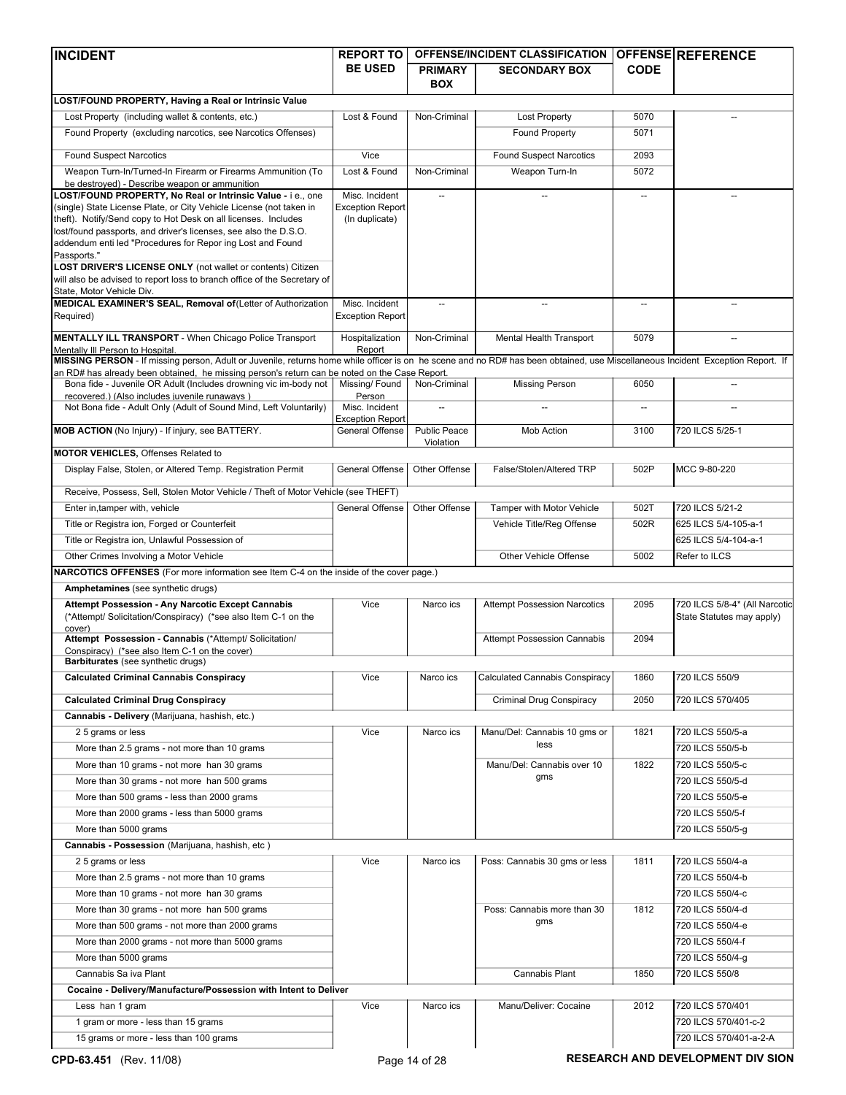| <b>INCIDENT</b>                                                                                                                                                                                                    | <b>REPORT TO</b>                          |                                  | OFFENSE/INCIDENT CLASSIFICATION      |                          | OFFENSE REFERENCE                                          |
|--------------------------------------------------------------------------------------------------------------------------------------------------------------------------------------------------------------------|-------------------------------------------|----------------------------------|--------------------------------------|--------------------------|------------------------------------------------------------|
|                                                                                                                                                                                                                    | <b>BE USED</b>                            | <b>PRIMARY</b>                   | <b>SECONDARY BOX</b>                 | <b>CODE</b>              |                                                            |
|                                                                                                                                                                                                                    |                                           | <b>BOX</b>                       |                                      |                          |                                                            |
| LOST/FOUND PROPERTY, Having a Real or Intrinsic Value                                                                                                                                                              |                                           |                                  |                                      |                          |                                                            |
| Lost Property (including wallet & contents, etc.)                                                                                                                                                                  | Lost & Found                              | Non-Criminal                     | <b>Lost Property</b>                 | 5070                     |                                                            |
| Found Property (excluding narcotics, see Narcotics Offenses)                                                                                                                                                       |                                           |                                  | Found Property                       | 5071                     |                                                            |
| <b>Found Suspect Narcotics</b>                                                                                                                                                                                     | Vice                                      |                                  | <b>Found Suspect Narcotics</b>       | 2093                     |                                                            |
| Weapon Turn-In/Turned-In Firearm or Firearms Ammunition (To                                                                                                                                                        | Lost & Found                              | Non-Criminal                     | Weapon Turn-In                       | 5072                     |                                                            |
| be destroyed) - Describe weapon or ammunition                                                                                                                                                                      |                                           |                                  |                                      |                          |                                                            |
| LOST/FOUND PROPERTY, No Real or Intrinsic Value - i e., one                                                                                                                                                        | Misc. Incident                            | $\overline{a}$                   | $\overline{\phantom{a}}$             | $\overline{\phantom{a}}$ |                                                            |
| (single) State License Plate, or City Vehicle License (not taken in<br>theft). Notify/Send copy to Hot Desk on all licenses. Includes                                                                              | <b>Exception Report</b><br>(In duplicate) |                                  |                                      |                          |                                                            |
| lost/found passports, and driver's licenses, see also the D.S.O.                                                                                                                                                   |                                           |                                  |                                      |                          |                                                            |
| addendum enti led "Procedures for Repor ing Lost and Found                                                                                                                                                         |                                           |                                  |                                      |                          |                                                            |
| Passports."<br><b>LOST DRIVER'S LICENSE ONLY (not wallet or contents) Citizen</b>                                                                                                                                  |                                           |                                  |                                      |                          |                                                            |
| will also be advised to report loss to branch office of the Secretary of                                                                                                                                           |                                           |                                  |                                      |                          |                                                            |
| State, Motor Vehicle Div.                                                                                                                                                                                          |                                           |                                  |                                      |                          |                                                            |
| MEDICAL EXAMINER'S SEAL, Removal of (Letter of Authorization<br>Required)                                                                                                                                          | Misc. Incident<br><b>Exception Report</b> | $\overline{\phantom{a}}$         | $\overline{\phantom{a}}$             | $\overline{\phantom{a}}$ |                                                            |
|                                                                                                                                                                                                                    |                                           |                                  |                                      |                          |                                                            |
| <b>MENTALLY ILL TRANSPORT</b> - When Chicago Police Transport                                                                                                                                                      | Hospitalization                           | Non-Criminal                     | Mental Health Transport              | 5079                     |                                                            |
| Mentally III Person to Hospital.<br>MISSING PERSON - If missing person, Adult or Juvenile, returns home while officer is on he scene and no RD# has been obtained, use Miscellaneous Incident Exception Report. If | Report                                    |                                  |                                      |                          |                                                            |
| an RD# has already been obtained, he missing person's return can be noted on the Case Report.                                                                                                                      |                                           |                                  |                                      |                          |                                                            |
| Bona fide - Juvenile OR Adult (Includes drowning vic im-body not                                                                                                                                                   | Missing/Found                             | Non-Criminal                     | <b>Missing Person</b>                | 6050                     |                                                            |
| recovered.) (Also includes juvenile runaways)<br>Not Bona fide - Adult Only (Adult of Sound Mind, Left Voluntarily)                                                                                                | Person<br>Misc. Incident                  | $\overline{\phantom{a}}$         |                                      |                          |                                                            |
|                                                                                                                                                                                                                    | <b>Exception Report</b>                   |                                  |                                      |                          |                                                            |
| MOB ACTION (No Injury) - If injury, see BATTERY.                                                                                                                                                                   | General Offense                           | <b>Public Peace</b><br>Violation | Mob Action                           | 3100                     | 720 ILCS 5/25-1                                            |
| <b>MOTOR VEHICLES, Offenses Related to</b>                                                                                                                                                                         |                                           |                                  |                                      |                          |                                                            |
| Display False, Stolen, or Altered Temp. Registration Permit                                                                                                                                                        | General Offense                           | Other Offense                    | False/Stolen/Altered TRP             | 502P                     | MCC 9-80-220                                               |
|                                                                                                                                                                                                                    |                                           |                                  |                                      |                          |                                                            |
| Receive, Possess, Sell, Stolen Motor Vehicle / Theft of Motor Vehicle (see THEFT)                                                                                                                                  |                                           |                                  |                                      |                          |                                                            |
| Enter in, tamper with, vehicle                                                                                                                                                                                     | General Offense                           | Other Offense                    | Tamper with Motor Vehicle            | 502T                     | 720 ILCS 5/21-2                                            |
| Title or Registra ion, Forged or Counterfeit                                                                                                                                                                       |                                           |                                  | Vehicle Title/Reg Offense            | 502R                     | 625 ILCS 5/4-105-a-1                                       |
| Title or Registra ion, Unlawful Possession of                                                                                                                                                                      |                                           |                                  |                                      |                          | 625 ILCS 5/4-104-a-1                                       |
| Other Crimes Involving a Motor Vehicle                                                                                                                                                                             |                                           |                                  | Other Vehicle Offense                | 5002                     | Refer to ILCS                                              |
| NARCOTICS OFFENSES (For more information see Item C-4 on the inside of the cover page.)                                                                                                                            |                                           |                                  |                                      |                          |                                                            |
| Amphetamines (see synthetic drugs)                                                                                                                                                                                 |                                           |                                  |                                      |                          |                                                            |
| Attempt Possession - Any Narcotic Except Cannabis<br>(*Attempt/ Solicitation/Conspiracy) (*see also Item C-1 on the                                                                                                | Vice                                      | Narco ics                        | <b>Attempt Possession Narcotics</b>  | 2095                     | 720 ILCS 5/8-4* (All Narcotic<br>State Statutes may apply) |
| cover)                                                                                                                                                                                                             |                                           |                                  |                                      |                          |                                                            |
| Attempt Possession - Cannabis (*Attempt/ Solicitation/<br>Conspiracy) (*see also Item C-1 on the cover)                                                                                                            |                                           |                                  | <b>Attempt Possession Cannabis</b>   | 2094                     |                                                            |
| <b>Barbiturates</b> (see synthetic drugs)                                                                                                                                                                          |                                           |                                  |                                      |                          |                                                            |
| <b>Calculated Criminal Cannabis Conspiracy</b>                                                                                                                                                                     | Vice                                      | Narco ics                        | Calculated Cannabis Conspiracy       | 1860                     | 720 ILCS 550/9                                             |
| <b>Calculated Criminal Drug Conspiracy</b>                                                                                                                                                                         |                                           |                                  |                                      | 2050                     |                                                            |
|                                                                                                                                                                                                                    |                                           |                                  | Criminal Drug Conspiracy             |                          | 720 ILCS 570/405                                           |
| Cannabis - Delivery (Marijuana, hashish, etc.)                                                                                                                                                                     | Vice                                      | Narco ics                        |                                      | 1821                     | 720 ILCS 550/5-a                                           |
| 2 5 grams or less                                                                                                                                                                                                  |                                           |                                  | Manu/Del: Cannabis 10 gms or<br>less |                          |                                                            |
| More than 2.5 grams - not more than 10 grams                                                                                                                                                                       |                                           |                                  |                                      |                          | 720 ILCS 550/5-b                                           |
| More than 10 grams - not more han 30 grams                                                                                                                                                                         |                                           |                                  | Manu/Del: Cannabis over 10<br>gms    | 1822                     | 720 ILCS 550/5-c                                           |
| More than 30 grams - not more han 500 grams                                                                                                                                                                        |                                           |                                  |                                      |                          | 720 ILCS 550/5-d                                           |
| More than 500 grams - less than 2000 grams                                                                                                                                                                         |                                           |                                  |                                      |                          | 720 ILCS 550/5-e                                           |
| More than 2000 grams - less than 5000 grams                                                                                                                                                                        |                                           |                                  |                                      |                          | 720 ILCS 550/5-f                                           |
| More than 5000 grams                                                                                                                                                                                               |                                           |                                  |                                      |                          | 720 ILCS 550/5-g                                           |
| Cannabis - Possession (Marijuana, hashish, etc)                                                                                                                                                                    |                                           |                                  |                                      |                          |                                                            |
| 25 grams or less                                                                                                                                                                                                   | Vice                                      | Narco ics                        | Poss: Cannabis 30 gms or less        | 1811                     | 720 ILCS 550/4-a                                           |
| More than 2.5 grams - not more than 10 grams                                                                                                                                                                       |                                           |                                  |                                      |                          | 720 ILCS 550/4-b                                           |
| More than 10 grams - not more han 30 grams                                                                                                                                                                         |                                           |                                  |                                      |                          | 720 ILCS 550/4-c                                           |
| More than 30 grams - not more han 500 grams                                                                                                                                                                        |                                           |                                  | Poss: Cannabis more than 30<br>gms   | 1812                     | 720 ILCS 550/4-d                                           |
| More than 500 grams - not more than 2000 grams                                                                                                                                                                     |                                           |                                  |                                      |                          | 720 ILCS 550/4-e                                           |
| More than 2000 grams - not more than 5000 grams                                                                                                                                                                    |                                           |                                  |                                      |                          | 720 ILCS 550/4-f                                           |
| More than 5000 grams                                                                                                                                                                                               |                                           |                                  |                                      |                          | 720 ILCS 550/4-g                                           |
| Cannabis Sa iva Plant                                                                                                                                                                                              |                                           |                                  | Cannabis Plant                       | 1850                     | 720 ILCS 550/8                                             |
| Cocaine - Delivery/Manufacture/Possession with Intent to Deliver                                                                                                                                                   |                                           |                                  |                                      |                          |                                                            |
| Less han 1 gram                                                                                                                                                                                                    | Vice                                      | Narco ics                        | Manu/Deliver: Cocaine                | 2012                     | 720 ILCS 570/401                                           |
| 1 gram or more - less than 15 grams                                                                                                                                                                                |                                           |                                  |                                      |                          | 720 ILCS 570/401-c-2                                       |
| 15 grams or more - less than 100 grams                                                                                                                                                                             |                                           |                                  |                                      |                          | 720 ILCS 570/401-a-2-A                                     |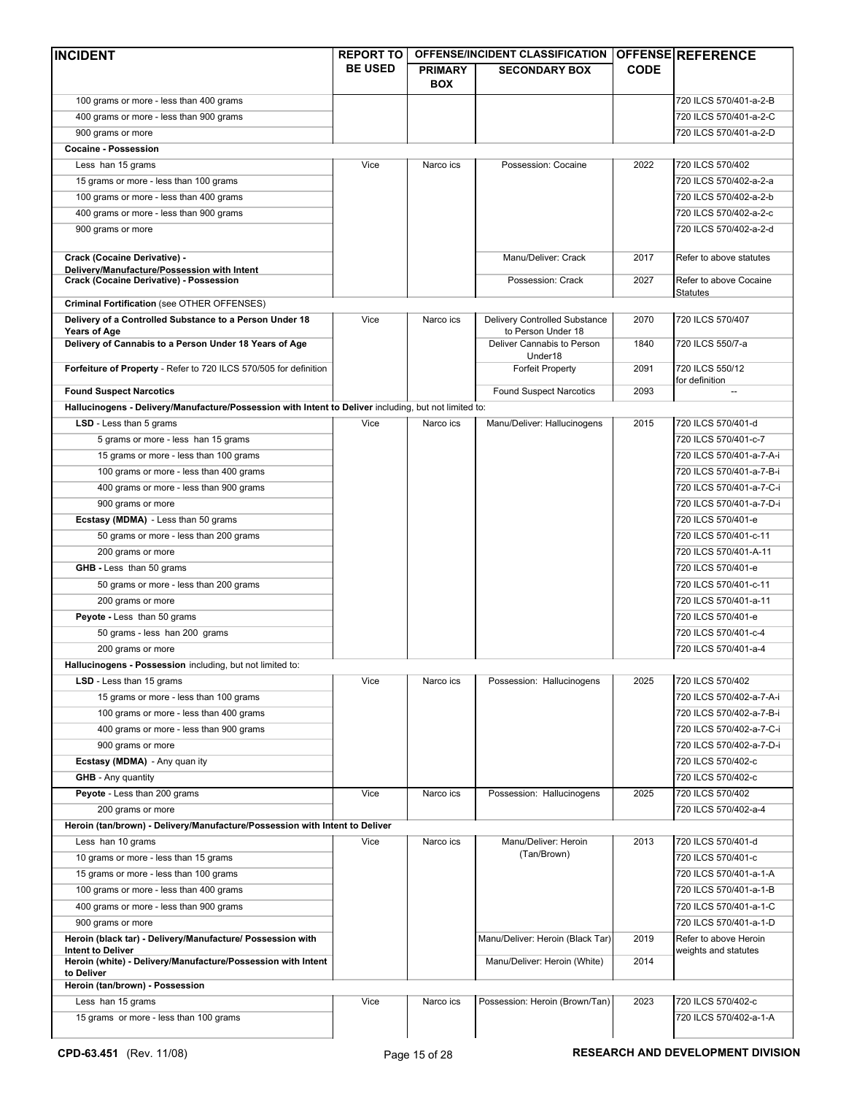| <b>INCIDENT</b>                                                                                                                         | <b>REPORT TO</b> |                | OFFENSE/INCIDENT CLASSIFICATION                  |             | <b>OFFENSE REFERENCE</b>                  |
|-----------------------------------------------------------------------------------------------------------------------------------------|------------------|----------------|--------------------------------------------------|-------------|-------------------------------------------|
|                                                                                                                                         | <b>BE USED</b>   | <b>PRIMARY</b> | <b>SECONDARY BOX</b>                             | <b>CODE</b> |                                           |
|                                                                                                                                         |                  | <b>BOX</b>     |                                                  |             |                                           |
| 100 grams or more - less than 400 grams                                                                                                 |                  |                |                                                  |             | 720 ILCS 570/401-a-2-B                    |
| 400 grams or more - less than 900 grams                                                                                                 |                  |                |                                                  |             | 720 ILCS 570/401-a-2-C                    |
| 900 grams or more                                                                                                                       |                  |                |                                                  |             | 720 ILCS 570/401-a-2-D                    |
| <b>Cocaine - Possession</b>                                                                                                             |                  |                |                                                  |             |                                           |
| Less han 15 grams                                                                                                                       | Vice             | Narco ics      | Possession: Cocaine                              | 2022        | 720 ILCS 570/402                          |
| 15 grams or more - less than 100 grams                                                                                                  |                  |                |                                                  |             | 720 ILCS 570/402-a-2-a                    |
| 100 grams or more - less than 400 grams                                                                                                 |                  |                |                                                  |             | 720 ILCS 570/402-a-2-b                    |
| 400 grams or more - less than 900 grams                                                                                                 |                  |                |                                                  |             | 720 ILCS 570/402-a-2-c                    |
| 900 grams or more                                                                                                                       |                  |                |                                                  |             | 720 ILCS 570/402-a-2-d                    |
| Crack (Cocaine Derivative) -<br>Delivery/Manufacture/Possession with Intent                                                             |                  |                | Manu/Deliver: Crack                              | 2017        | Refer to above statutes                   |
| <b>Crack (Cocaine Derivative) - Possession</b>                                                                                          |                  |                | Possession: Crack                                | 2027        | Refer to above Cocaine<br><b>Statutes</b> |
| Criminal Fortification (see OTHER OFFENSES)                                                                                             |                  |                |                                                  |             |                                           |
| Delivery of a Controlled Substance to a Person Under 18                                                                                 | Vice             | Narco ics      | Delivery Controlled Substance                    | 2070        | 720 ILCS 570/407                          |
| <b>Years of Age</b><br>Delivery of Cannabis to a Person Under 18 Years of Age                                                           |                  |                | to Person Under 18<br>Deliver Cannabis to Person | 1840        | 720 ILCS 550/7-a                          |
| Forfeiture of Property - Refer to 720 ILCS 570/505 for definition                                                                       |                  |                | Under18<br><b>Forfeit Property</b>               | 2091        | 720 ILCS 550/12                           |
| <b>Found Suspect Narcotics</b>                                                                                                          |                  |                | <b>Found Suspect Narcotics</b>                   | 2093        | for definition                            |
|                                                                                                                                         |                  |                |                                                  |             |                                           |
| Hallucinogens - Delivery/Manufacture/Possession with Intent to Deliver including, but not limited to:<br><b>LSD</b> - Less than 5 grams | Vice             | Narco ics      |                                                  | 2015        | 720 ILCS 570/401-d                        |
|                                                                                                                                         |                  |                | Manu/Deliver: Hallucinogens                      |             |                                           |
| 5 grams or more - less han 15 grams                                                                                                     |                  |                |                                                  |             | 720 ILCS 570/401-c-7                      |
| 15 grams or more - less than 100 grams                                                                                                  |                  |                |                                                  |             | 720 ILCS 570/401-a-7-A-i                  |
| 100 grams or more - less than 400 grams                                                                                                 |                  |                |                                                  |             | 720 ILCS 570/401-a-7-B-i                  |
| 400 grams or more - less than 900 grams                                                                                                 |                  |                |                                                  |             | 720 ILCS 570/401-a-7-C-i                  |
| 900 grams or more                                                                                                                       |                  |                |                                                  |             | 720 ILCS 570/401-a-7-D-i                  |
| Ecstasy (MDMA) - Less than 50 grams                                                                                                     |                  |                |                                                  |             | 720 ILCS 570/401-e                        |
| 50 grams or more - less than 200 grams                                                                                                  |                  |                |                                                  |             | 720 ILCS 570/401-c-11                     |
| 200 grams or more                                                                                                                       |                  |                |                                                  |             | 720 ILCS 570/401-A-11                     |
| GHB - Less than 50 grams                                                                                                                |                  |                |                                                  |             | 720 ILCS 570/401-e                        |
| 50 grams or more - less than 200 grams                                                                                                  |                  |                |                                                  |             | 720 ILCS 570/401-c-11                     |
| 200 grams or more                                                                                                                       |                  |                |                                                  |             | 720 ILCS 570/401-a-11                     |
| Peyote - Less than 50 grams                                                                                                             |                  |                |                                                  |             | 720 ILCS 570/401-e                        |
| 50 grams - less han 200 grams                                                                                                           |                  |                |                                                  |             | 720 ILCS 570/401-c-4                      |
| 200 grams or more                                                                                                                       |                  |                |                                                  |             | 720 ILCS 570/401-a-4                      |
| Hallucinogens - Possession including, but not limited to:                                                                               |                  |                |                                                  |             |                                           |
| <b>LSD</b> - Less than 15 grams                                                                                                         | Vice             | Narco ics      | Possession: Hallucinogens                        | 2025        | 720 ILCS 570/402                          |
| 15 grams or more - less than 100 grams                                                                                                  |                  |                |                                                  |             | 720 ILCS 570/402-a-7-A-i                  |
| 100 grams or more - less than 400 grams                                                                                                 |                  |                |                                                  |             | 720 ILCS 570/402-a-7-B-i                  |
| 400 grams or more - less than 900 grams                                                                                                 |                  |                |                                                  |             | 720 ILCS 570/402-a-7-C-i                  |
| 900 grams or more                                                                                                                       |                  |                |                                                  |             | 720 ILCS 570/402-a-7-D-i                  |
| Ecstasy (MDMA) - Any quan ity                                                                                                           |                  |                |                                                  |             | 720 ILCS 570/402-c                        |
| <b>GHB</b> - Any quantity                                                                                                               |                  |                |                                                  |             | 720 ILCS 570/402-c                        |
| Peyote - Less than 200 grams                                                                                                            | Vice             | Narco ics      | Possession: Hallucinogens                        | 2025        | 720 ILCS 570/402                          |
| 200 grams or more                                                                                                                       |                  |                |                                                  |             | 720 ILCS 570/402-a-4                      |
| Heroin (tan/brown) - Delivery/Manufacture/Possession with Intent to Deliver                                                             |                  |                |                                                  |             |                                           |
| Less han 10 grams                                                                                                                       | Vice             | Narco ics      | Manu/Deliver: Heroin                             | 2013        | 720 ILCS 570/401-d                        |
| 10 grams or more - less than 15 grams                                                                                                   |                  |                | (Tan/Brown)                                      |             | 720 ILCS 570/401-c                        |
| 15 grams or more - less than 100 grams                                                                                                  |                  |                |                                                  |             | 720 ILCS 570/401-a-1-A                    |
| 100 grams or more - less than 400 grams                                                                                                 |                  |                |                                                  |             | 720 ILCS 570/401-a-1-B                    |
| 400 grams or more - less than 900 grams                                                                                                 |                  |                |                                                  |             | 720 ILCS 570/401-a-1-C                    |
| 900 grams or more                                                                                                                       |                  |                |                                                  |             | 720 ILCS 570/401-a-1-D                    |
| Heroin (black tar) - Delivery/Manufacture/ Possession with                                                                              |                  |                | Manu/Deliver: Heroin (Black Tar)                 | 2019        | Refer to above Heroin                     |
| <b>Intent to Deliver</b>                                                                                                                |                  |                |                                                  |             | weights and statutes                      |
| Heroin (white) - Delivery/Manufacture/Possession with Intent                                                                            |                  |                | Manu/Deliver: Heroin (White)                     | 2014        |                                           |
| to Deliver<br>Heroin (tan/brown) - Possession                                                                                           |                  |                |                                                  |             |                                           |
| Less han 15 grams                                                                                                                       | Vice             | Narco ics      | Possession: Heroin (Brown/Tan)                   | 2023        | 720 ILCS 570/402-c                        |
| 15 grams or more - less than 100 grams                                                                                                  |                  |                |                                                  |             | 720 ILCS 570/402-a-1-A                    |
|                                                                                                                                         |                  |                |                                                  |             |                                           |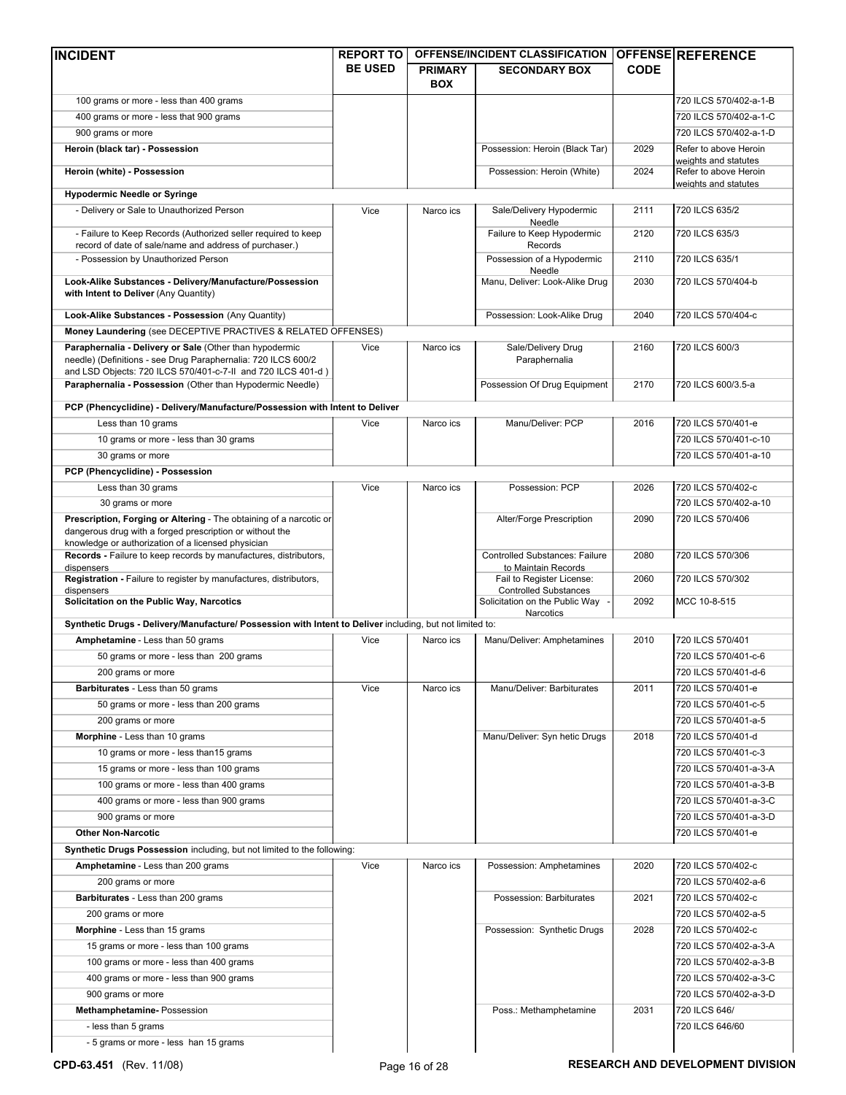| <b>INCIDENT</b>                                                                                                                                                                          | <b>REPORT TO</b> |                              | OFFENSE/INCIDENT CLASSIFICATION                              |             | <b>OFFENSE REFERENCE</b>                      |
|------------------------------------------------------------------------------------------------------------------------------------------------------------------------------------------|------------------|------------------------------|--------------------------------------------------------------|-------------|-----------------------------------------------|
|                                                                                                                                                                                          | <b>BE USED</b>   | <b>PRIMARY</b><br><b>BOX</b> | <b>SECONDARY BOX</b>                                         | <b>CODE</b> |                                               |
| 100 grams or more - less than 400 grams                                                                                                                                                  |                  |                              |                                                              |             | 720 ILCS 570/402-a-1-B                        |
| 400 grams or more - less that 900 grams                                                                                                                                                  |                  |                              |                                                              |             | 720 ILCS 570/402-a-1-C                        |
| 900 grams or more                                                                                                                                                                        |                  |                              |                                                              |             | 720 ILCS 570/402-a-1-D                        |
| Heroin (black tar) - Possession                                                                                                                                                          |                  |                              | Possession: Heroin (Black Tar)                               | 2029        | Refer to above Heroin<br>weights and statutes |
| Heroin (white) - Possession                                                                                                                                                              |                  |                              | Possession: Heroin (White)                                   | 2024        | Refer to above Heroin                         |
| <b>Hypodermic Needle or Syringe</b>                                                                                                                                                      |                  |                              |                                                              |             | weights and statutes                          |
| - Delivery or Sale to Unauthorized Person                                                                                                                                                | Vice             | Narco ics                    | Sale/Delivery Hypodermic                                     | 2111        | 720 ILCS 635/2                                |
| - Failure to Keep Records (Authorized seller required to keep                                                                                                                            |                  |                              | Needle<br>Failure to Keep Hypodermic                         | 2120        | 720 ILCS 635/3                                |
| record of date of sale/name and address of purchaser.)<br>- Possession by Unauthorized Person                                                                                            |                  |                              | Records<br>Possession of a Hypodermic                        | 2110        | 720 ILCS 635/1                                |
| Look-Alike Substances - Delivery/Manufacture/Possession                                                                                                                                  |                  |                              | Needle<br>Manu, Deliver: Look-Alike Drug                     | 2030        | 720 ILCS 570/404-b                            |
| with Intent to Deliver (Any Quantity)                                                                                                                                                    |                  |                              |                                                              |             |                                               |
| Look-Alike Substances - Possession (Any Quantity)                                                                                                                                        |                  |                              | Possession: Look-Alike Drug                                  | 2040        | 720 ILCS 570/404-c                            |
| Money Laundering (see DECEPTIVE PRACTIVES & RELATED OFFENSES)                                                                                                                            |                  |                              |                                                              |             |                                               |
| Paraphernalia - Delivery or Sale (Other than hypodermic<br>needle) (Definitions - see Drug Paraphernalia: 720 ILCS 600/2<br>and LSD Objects: 720 ILCS 570/401-c-7-II and 720 ILCS 401-d) | Vice             | Narco ics                    | Sale/Delivery Drug<br>Paraphernalia                          | 2160        | 720 ILCS 600/3                                |
| Paraphernalia - Possession (Other than Hypodermic Needle)                                                                                                                                |                  |                              | Possession Of Drug Equipment                                 | 2170        | 720 ILCS 600/3.5-a                            |
| PCP (Phencyclidine) - Delivery/Manufacture/Possession with Intent to Deliver                                                                                                             |                  |                              |                                                              |             |                                               |
| Less than 10 grams                                                                                                                                                                       | Vice             | Narco ics                    | Manu/Deliver: PCP                                            | 2016        | 720 ILCS 570/401-e                            |
| 10 grams or more - less than 30 grams                                                                                                                                                    |                  |                              |                                                              |             | 720 ILCS 570/401-c-10                         |
| 30 grams or more                                                                                                                                                                         |                  |                              |                                                              |             | 720 ILCS 570/401-a-10                         |
| PCP (Phencyclidine) - Possession                                                                                                                                                         |                  |                              |                                                              |             |                                               |
| Less than 30 grams                                                                                                                                                                       | Vice             | Narco ics                    | Possession: PCP                                              | 2026        | 720 ILCS 570/402-c                            |
| 30 grams or more                                                                                                                                                                         |                  |                              |                                                              |             | 720 ILCS 570/402-a-10                         |
| Prescription, Forging or Altering - The obtaining of a narcotic or<br>dangerous drug with a forged prescription or without the<br>knowledge or authorization of a licensed physician     |                  |                              | Alter/Forge Prescription                                     | 2090        | 720 ILCS 570/406                              |
| Records - Failure to keep records by manufactures, distributors,<br>dispensers                                                                                                           |                  |                              | <b>Controlled Substances: Failure</b><br>to Maintain Records | 2080        | 720 ILCS 570/306                              |
| Registration - Failure to register by manufactures, distributors,<br>dispensers                                                                                                          |                  |                              | Fail to Register License:<br><b>Controlled Substances</b>    | 2060        | 720 ILCS 570/302                              |
| Solicitation on the Public Way, Narcotics                                                                                                                                                |                  |                              | Solicitation on the Public Way<br>Narcotics                  | 2092        | MCC 10-8-515                                  |
| Synthetic Drugs - Delivery/Manufacture/ Possession with Intent to Deliver including, but not limited to:                                                                                 |                  |                              |                                                              |             |                                               |
| Amphetamine - Less than 50 grams                                                                                                                                                         | Vice             | Narco ics                    | Manu/Deliver: Amphetamines                                   | 2010        | 720 ILCS 570/401                              |
| 50 grams or more - less than 200 grams                                                                                                                                                   |                  |                              |                                                              |             | 720 ILCS 570/401-c-6                          |
| 200 grams or more                                                                                                                                                                        |                  |                              |                                                              |             | 720 ILCS 570/401-d-6                          |
| Barbiturates - Less than 50 grams                                                                                                                                                        | Vice             | Narco ics                    | Manu/Deliver: Barbiturates                                   | 2011        | 720 ILCS 570/401-e                            |
| 50 grams or more - less than 200 grams                                                                                                                                                   |                  |                              |                                                              |             | 720 ILCS 570/401-c-5                          |
| 200 grams or more                                                                                                                                                                        |                  |                              |                                                              |             | 720 ILCS 570/401-a-5                          |
| Morphine - Less than 10 grams                                                                                                                                                            |                  |                              | Manu/Deliver: Syn hetic Drugs                                | 2018        | 720 ILCS 570/401-d                            |
| 10 grams or more - less than 15 grams                                                                                                                                                    |                  |                              |                                                              |             | 720 ILCS 570/401-c-3                          |
| 15 grams or more - less than 100 grams                                                                                                                                                   |                  |                              |                                                              |             | 720 ILCS 570/401-a-3-A                        |
| 100 grams or more - less than 400 grams                                                                                                                                                  |                  |                              |                                                              |             | 720 ILCS 570/401-a-3-B                        |
| 400 grams or more - less than 900 grams                                                                                                                                                  |                  |                              |                                                              |             | 720 ILCS 570/401-a-3-C                        |
| 900 grams or more                                                                                                                                                                        |                  |                              |                                                              |             | 720 ILCS 570/401-a-3-D                        |
| <b>Other Non-Narcotic</b>                                                                                                                                                                |                  |                              |                                                              |             | 720 ILCS 570/401-e                            |
| Synthetic Drugs Possession including, but not limited to the following:                                                                                                                  |                  |                              |                                                              |             |                                               |
| Amphetamine - Less than 200 grams                                                                                                                                                        | Vice             | Narco ics                    | Possession: Amphetamines                                     | 2020        | 720 ILCS 570/402-c                            |
| 200 grams or more                                                                                                                                                                        |                  |                              |                                                              |             | 720 ILCS 570/402-a-6                          |
| Barbiturates - Less than 200 grams                                                                                                                                                       |                  |                              | Possession: Barbiturates                                     | 2021        | 720 ILCS 570/402-c                            |
| 200 grams or more                                                                                                                                                                        |                  |                              |                                                              |             | 720 ILCS 570/402-a-5                          |
| Morphine - Less than 15 grams                                                                                                                                                            |                  |                              | Possession: Synthetic Drugs                                  | 2028        | 720 ILCS 570/402-c                            |
| 15 grams or more - less than 100 grams                                                                                                                                                   |                  |                              |                                                              |             | 720 ILCS 570/402-a-3-A                        |
| 100 grams or more - less than 400 grams                                                                                                                                                  |                  |                              |                                                              |             | 720 ILCS 570/402-a-3-B                        |
|                                                                                                                                                                                          |                  |                              |                                                              |             |                                               |
| 400 grams or more - less than 900 grams                                                                                                                                                  |                  |                              |                                                              |             | 720 ILCS 570/402-a-3-C                        |
| 900 grams or more                                                                                                                                                                        |                  |                              |                                                              |             | 720 ILCS 570/402-a-3-D                        |
| Methamphetamine-Possession                                                                                                                                                               |                  |                              | Poss.: Methamphetamine                                       | 2031        | 720 ILCS 646/                                 |
| - less than 5 grams                                                                                                                                                                      |                  |                              |                                                              |             | 720 ILCS 646/60                               |
| - 5 grams or more - less han 15 grams                                                                                                                                                    |                  |                              |                                                              |             |                                               |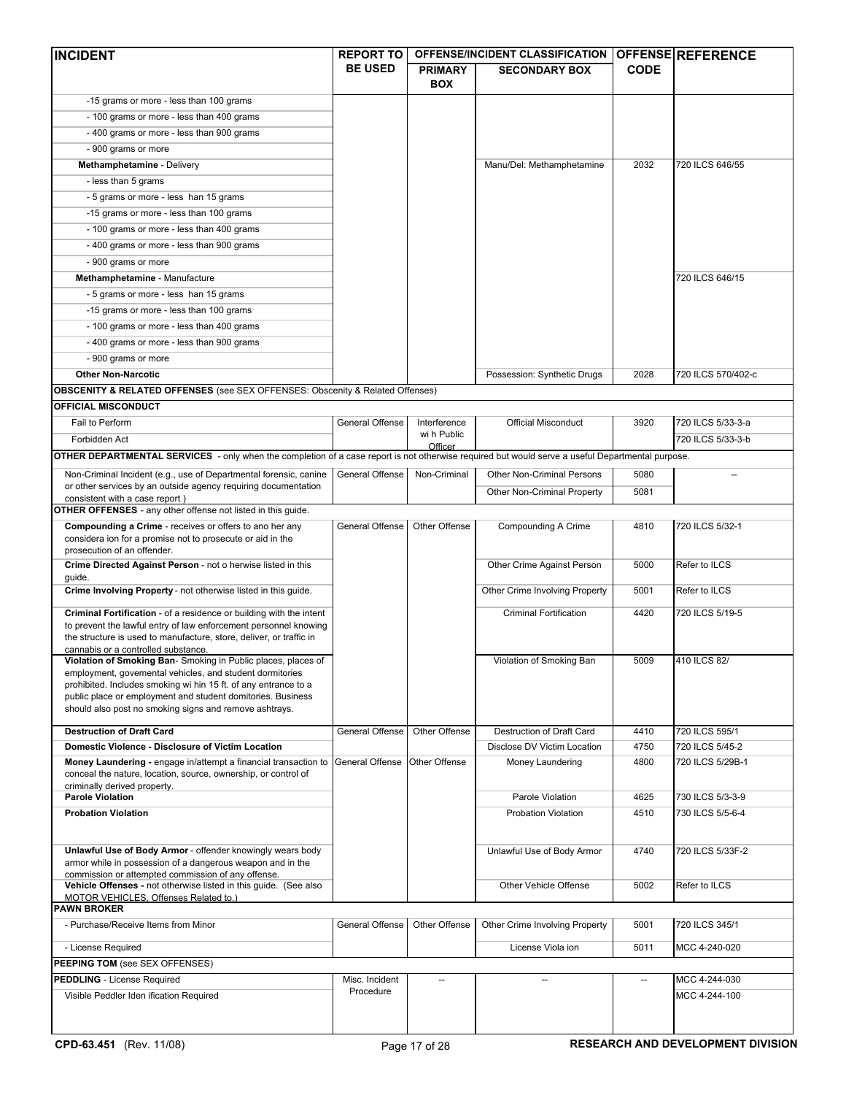| <b>INCIDENT</b>                                                                                                                                  | <b>REPORT TO</b>       |                          | OFFENSE/INCIDENT CLASSIFICATION |                          | <b>OFFENSE REFERENCE</b> |
|--------------------------------------------------------------------------------------------------------------------------------------------------|------------------------|--------------------------|---------------------------------|--------------------------|--------------------------|
|                                                                                                                                                  | <b>BE USED</b>         | <b>PRIMARY</b>           | <b>SECONDARY BOX</b>            | <b>CODE</b>              |                          |
|                                                                                                                                                  |                        | <b>BOX</b>               |                                 |                          |                          |
| -15 grams or more - less than 100 grams                                                                                                          |                        |                          |                                 |                          |                          |
| - 100 grams or more - less than 400 grams                                                                                                        |                        |                          |                                 |                          |                          |
| - 400 grams or more - less than 900 grams                                                                                                        |                        |                          |                                 |                          |                          |
| - 900 grams or more                                                                                                                              |                        |                          |                                 |                          |                          |
| Methamphetamine - Delivery                                                                                                                       |                        |                          | Manu/Del: Methamphetamine       | 2032                     | 720 ILCS 646/55          |
| - less than 5 grams                                                                                                                              |                        |                          |                                 |                          |                          |
| - 5 grams or more - less han 15 grams                                                                                                            |                        |                          |                                 |                          |                          |
| -15 grams or more - less than 100 grams                                                                                                          |                        |                          |                                 |                          |                          |
| - 100 grams or more - less than 400 grams                                                                                                        |                        |                          |                                 |                          |                          |
| - 400 grams or more - less than 900 grams                                                                                                        |                        |                          |                                 |                          |                          |
| - 900 grams or more                                                                                                                              |                        |                          |                                 |                          |                          |
| Methamphetamine - Manufacture                                                                                                                    |                        |                          |                                 |                          | 720 ILCS 646/15          |
| - 5 grams or more - less han 15 grams                                                                                                            |                        |                          |                                 |                          |                          |
| -15 grams or more - less than 100 grams                                                                                                          |                        |                          |                                 |                          |                          |
| - 100 grams or more - less than 400 grams                                                                                                        |                        |                          |                                 |                          |                          |
| - 400 grams or more - less than 900 grams                                                                                                        |                        |                          |                                 |                          |                          |
| - 900 grams or more                                                                                                                              |                        |                          |                                 |                          |                          |
| <b>Other Non-Narcotic</b>                                                                                                                        |                        |                          | Possession: Synthetic Drugs     | 2028                     | 720 ILCS 570/402-c       |
| <b>OBSCENITY &amp; RELATED OFFENSES</b> (see SEX OFFENSES: Obscenity & Related Offenses)                                                         |                        |                          |                                 |                          |                          |
| <b>OFFICIAL MISCONDUCT</b>                                                                                                                       |                        |                          |                                 |                          |                          |
| Fail to Perform                                                                                                                                  | <b>General Offense</b> | Interference             | <b>Official Misconduct</b>      | 3920                     | 720 ILCS 5/33-3-a        |
| Forbidden Act                                                                                                                                    |                        | wi h Public              |                                 |                          | 720 ILCS 5/33-3-b        |
|                                                                                                                                                  |                        | Officer                  |                                 |                          |                          |
| OTHER DEPARTMENTAL SERVICES - only when the completion of a case report is not otherwise required but would serve a useful Departmental purpose. |                        |                          |                                 |                          |                          |
| Non-Criminal Incident (e.g., use of Departmental forensic, canine<br>or other services by an outside agency requiring documentation              | General Offense        | Non-Criminal             | Other Non-Criminal Persons      | 5080                     |                          |
| consistent with a case report)                                                                                                                   |                        |                          | Other Non-Criminal Property     | 5081                     |                          |
| <b>OTHER OFFENSES</b> - any other offense not listed in this guide.                                                                              |                        |                          |                                 |                          |                          |
| Compounding a Crime - receives or offers to ano her any                                                                                          | General Offense        | Other Offense            | Compounding A Crime             | 4810                     | 720 ILCS 5/32-1          |
| considera ion for a promise not to prosecute or aid in the                                                                                       |                        |                          |                                 |                          |                          |
| prosecution of an offender.<br>Crime Directed Against Person - not o herwise listed in this                                                      |                        |                          | Other Crime Against Person      | 5000                     | Refer to ILCS            |
| guide.                                                                                                                                           |                        |                          |                                 |                          |                          |
| Crime Involving Property - not otherwise listed in this guide.                                                                                   |                        |                          | Other Crime Involving Property  | 5001                     | Refer to ILCS            |
| Criminal Fortification - of a residence or building with the intent                                                                              |                        |                          | <b>Criminal Fortification</b>   | 4420                     |                          |
| to prevent the lawful entry of law enforcement personnel knowing                                                                                 |                        |                          |                                 |                          | 720 ILCS 5/19-5          |
| the structure is used to manufacture, store, deliver, or traffic in                                                                              |                        |                          |                                 |                          |                          |
| cannabis or a controlled substance.<br>Violation of Smoking Ban-Smoking in Public places, places of                                              |                        |                          | Violation of Smoking Ban        | 5009                     | 410 ILCS 82/             |
| employment, govemental vehicles, and student dormitories                                                                                         |                        |                          |                                 |                          |                          |
| prohibited. Includes smoking wi hin 15 ft. of any entrance to a                                                                                  |                        |                          |                                 |                          |                          |
| public place or employment and student domitories. Business<br>should also post no smoking signs and remove ashtrays.                            |                        |                          |                                 |                          |                          |
|                                                                                                                                                  |                        |                          |                                 |                          |                          |
| <b>Destruction of Draft Card</b>                                                                                                                 | General Offense        | Other Offense            | Destruction of Draft Card       | 4410                     | 720 ILCS 595/1           |
| Domestic Violence - Disclosure of Victim Location                                                                                                |                        |                          | Disclose DV Victim Location     | 4750                     | 720 ILCS 5/45-2          |
| Money Laundering - engage in/attempt a financial transaction to                                                                                  | General Offense        | Other Offense            | Money Laundering                | 4800                     | 720 ILCS 5/29B-1         |
| conceal the nature, location, source, ownership, or control of<br>criminally derived property.                                                   |                        |                          |                                 |                          |                          |
| <b>Parole Violation</b>                                                                                                                          |                        |                          | Parole Violation                | 4625                     | 730 ILCS 5/3-3-9         |
| <b>Probation Violation</b>                                                                                                                       |                        |                          | <b>Probation Violation</b>      | 4510                     | 730 ILCS 5/5-6-4         |
|                                                                                                                                                  |                        |                          |                                 |                          |                          |
|                                                                                                                                                  |                        |                          |                                 |                          |                          |
| Unlawful Use of Body Armor - offender knowingly wears body<br>armor while in possession of a dangerous weapon and in the                         |                        |                          | Unlawful Use of Body Armor      | 4740                     | 720 ILCS 5/33F-2         |
| commission or attempted commission of any offense.                                                                                               |                        |                          |                                 |                          |                          |
| Vehicle Offenses - not otherwise listed in this guide. (See also                                                                                 |                        |                          | Other Vehicle Offense           | 5002                     | Refer to ILCS            |
| MOTOR VEHICLES, Offenses Related to.)<br><b>PAWN BROKER</b>                                                                                      |                        |                          |                                 |                          |                          |
| - Purchase/Receive Items from Minor                                                                                                              | General Offense        | Other Offense            | Other Crime Involving Property  | 5001                     | 720 ILCS 345/1           |
|                                                                                                                                                  |                        |                          |                                 |                          |                          |
| - License Required                                                                                                                               |                        |                          | License Viola ion               | 5011                     | MCC 4-240-020            |
| <b>PEEPING TOM (see SEX OFFENSES)</b>                                                                                                            |                        |                          |                                 |                          |                          |
| <b>PEDDLING</b> - License Required                                                                                                               | Misc. Incident         | $\overline{\phantom{a}}$ | $\overline{a}$                  | $\overline{\phantom{a}}$ | MCC 4-244-030            |
| Visible Peddler Iden ification Required                                                                                                          | Procedure              |                          |                                 |                          | MCC 4-244-100            |
|                                                                                                                                                  |                        |                          |                                 |                          |                          |
|                                                                                                                                                  |                        |                          |                                 |                          |                          |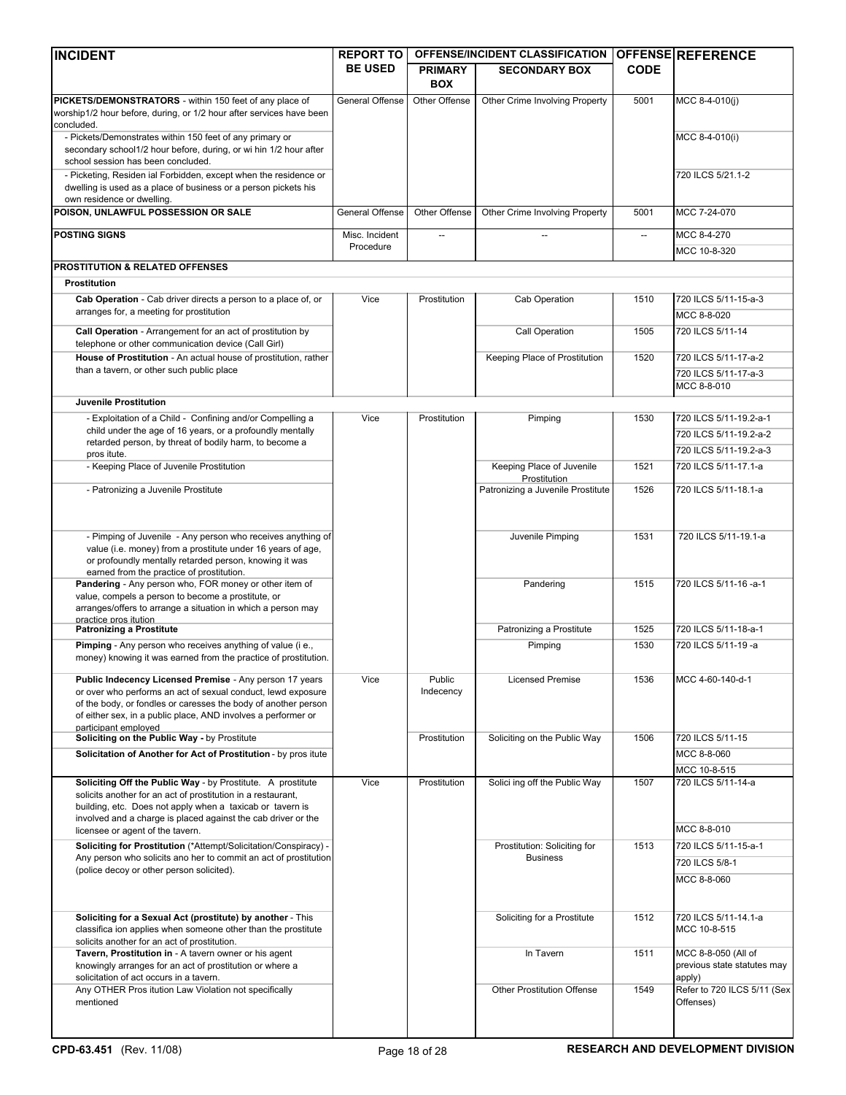| <b>INCIDENT</b>                                                                                                                                                                                                                                                                    | <b>REPORT TO</b>            |                              | <b>OFFENSE/INCIDENT CLASSIFICATION</b> |                          | <b>OFFENSE REFERENCE</b>                                     |
|------------------------------------------------------------------------------------------------------------------------------------------------------------------------------------------------------------------------------------------------------------------------------------|-----------------------------|------------------------------|----------------------------------------|--------------------------|--------------------------------------------------------------|
|                                                                                                                                                                                                                                                                                    | <b>BE USED</b>              | <b>PRIMARY</b><br><b>BOX</b> | <b>SECONDARY BOX</b>                   | <b>CODE</b>              |                                                              |
| PICKETS/DEMONSTRATORS - within 150 feet of any place of<br>worship1/2 hour before, during, or 1/2 hour after services have been<br>concluded.                                                                                                                                      | General Offense             | Other Offense                | Other Crime Involving Property         | 5001                     | MCC 8-4-010(j)                                               |
| - Pickets/Demonstrates within 150 feet of any primary or<br>secondary school1/2 hour before, during, or wi hin 1/2 hour after<br>school session has been concluded.                                                                                                                |                             |                              |                                        |                          | MCC 8-4-010(i)                                               |
| - Picketing, Residen ial Forbidden, except when the residence or<br>dwelling is used as a place of business or a person pickets his<br>own residence or dwelling.                                                                                                                  |                             |                              |                                        |                          | 720 ILCS 5/21.1-2                                            |
| POISON, UNLAWFUL POSSESSION OR SALE                                                                                                                                                                                                                                                | General Offense             | Other Offense                | Other Crime Involving Property         | 5001                     | MCC 7-24-070                                                 |
| <b>POSTING SIGNS</b>                                                                                                                                                                                                                                                               | Misc. Incident<br>Procedure | $\overline{\phantom{a}}$     |                                        | $\overline{\phantom{a}}$ | MCC 8-4-270<br>MCC 10-8-320                                  |
| PROSTITUTION & RELATED OFFENSES                                                                                                                                                                                                                                                    |                             |                              |                                        |                          |                                                              |
| Prostitution                                                                                                                                                                                                                                                                       |                             |                              |                                        |                          |                                                              |
| Cab Operation - Cab driver directs a person to a place of, or                                                                                                                                                                                                                      | Vice                        | Prostitution                 | Cab Operation                          | 1510                     | 720 ILCS 5/11-15-a-3                                         |
| arranges for, a meeting for prostitution                                                                                                                                                                                                                                           |                             |                              |                                        |                          | MCC 8-8-020                                                  |
| Call Operation - Arrangement for an act of prostitution by<br>telephone or other communication device (Call Girl)                                                                                                                                                                  |                             |                              | Call Operation                         | 1505                     | 720 ILCS 5/11-14                                             |
| House of Prostitution - An actual house of prostitution, rather                                                                                                                                                                                                                    |                             |                              | Keeping Place of Prostitution          | 1520                     | 720 ILCS 5/11-17-a-2                                         |
| than a tavern, or other such public place                                                                                                                                                                                                                                          |                             |                              |                                        |                          | 720 ILCS 5/11-17-a-3<br>MCC 8-8-010                          |
| Juvenile Prostitution                                                                                                                                                                                                                                                              |                             |                              |                                        |                          |                                                              |
| - Exploitation of a Child - Confining and/or Compelling a                                                                                                                                                                                                                          | Vice                        | Prostitution                 | Pimping                                | 1530                     | 720 ILCS 5/11-19.2-a-1                                       |
| child under the age of 16 years, or a profoundly mentally                                                                                                                                                                                                                          |                             |                              |                                        |                          | 720 ILCS 5/11-19.2-a-2                                       |
| retarded person, by threat of bodily harm, to become a<br>pros itute.                                                                                                                                                                                                              |                             |                              |                                        |                          | 720 ILCS 5/11-19.2-a-3                                       |
| - Keeping Place of Juvenile Prostitution                                                                                                                                                                                                                                           |                             |                              | Keeping Place of Juvenile              | 1521                     | 720 ILCS 5/11-17.1-a                                         |
|                                                                                                                                                                                                                                                                                    |                             |                              | Prostitution                           |                          |                                                              |
| - Patronizing a Juvenile Prostitute                                                                                                                                                                                                                                                |                             |                              | Patronizing a Juvenile Prostitute      | 1526                     | 720 ILCS 5/11-18.1-a                                         |
| - Pimping of Juvenile - Any person who receives anything of<br>value (i.e. money) from a prostitute under 16 years of age,<br>or profoundly mentally retarded person, knowing it was<br>earned from the practice of prostitution.                                                  |                             |                              | Juvenile Pimping                       | 1531                     | 720 ILCS 5/11-19.1-a                                         |
| Pandering - Any person who, FOR money or other item of<br>value, compels a person to become a prostitute, or<br>arranges/offers to arrange a situation in which a person may<br>practice pros itution                                                                              |                             |                              | Pandering                              | 1515                     | 720 ILCS 5/11-16 -a-1                                        |
| <b>Patronizing a Prostitute</b>                                                                                                                                                                                                                                                    |                             |                              | Patronizing a Prostitute               | 1525                     | 720 ILCS 5/11-18-a-1                                         |
| Pimping - Any person who receives anything of value (i e.,<br>money) knowing it was earned from the practice of prostitution.                                                                                                                                                      |                             |                              | Pimping                                | 1530                     | 720 ILCS 5/11-19 -a                                          |
| Public Indecency Licensed Premise - Any person 17 years<br>or over who performs an act of sexual conduct, lewd exposure<br>of the body, or fondles or caresses the body of another person<br>of either sex, in a public place, AND involves a performer or<br>participant emploved | Vice                        | Public<br>Indecency          | <b>Licensed Premise</b>                | 1536                     | MCC 4-60-140-d-1                                             |
| Soliciting on the Public Way - by Prostitute                                                                                                                                                                                                                                       |                             | Prostitution                 | Soliciting on the Public Way           | 1506                     | 720 ILCS 5/11-15                                             |
| Solicitation of Another for Act of Prostitution - by pros itute                                                                                                                                                                                                                    |                             |                              |                                        |                          | MCC 8-8-060                                                  |
|                                                                                                                                                                                                                                                                                    |                             |                              |                                        |                          | MCC 10-8-515                                                 |
| Soliciting Off the Public Way - by Prostitute. A prostitute<br>solicits another for an act of prostitution in a restaurant,<br>building, etc. Does not apply when a taxicab or tavern is<br>involved and a charge is placed against the cab driver or the                          | Vice                        | Prostitution                 | Solici ing off the Public Way          | 1507                     | 720 ILCS 5/11-14-a                                           |
| licensee or agent of the tavern.                                                                                                                                                                                                                                                   |                             |                              |                                        |                          | MCC 8-8-010                                                  |
| Soliciting for Prostitution (*Attempt/Solicitation/Conspiracy) -                                                                                                                                                                                                                   |                             |                              | Prostitution: Soliciting for           | 1513                     | 720 ILCS 5/11-15-a-1                                         |
| Any person who solicits ano her to commit an act of prostitution                                                                                                                                                                                                                   |                             |                              | <b>Business</b>                        |                          | 720 ILCS 5/8-1                                               |
| (police decoy or other person solicited).                                                                                                                                                                                                                                          |                             |                              |                                        |                          | MCC 8-8-060                                                  |
|                                                                                                                                                                                                                                                                                    |                             |                              |                                        |                          |                                                              |
| Soliciting for a Sexual Act (prostitute) by another - This<br>classifica ion applies when someone other than the prostitute<br>solicits another for an act of prostitution.                                                                                                        |                             |                              | Soliciting for a Prostitute            | 1512                     | 720 ILCS 5/11-14.1-a<br>MCC 10-8-515                         |
| Tavern, Prostitution in - A tavern owner or his agent<br>knowingly arranges for an act of prostitution or where a<br>solicitation of act occurs in a tavern.                                                                                                                       |                             |                              | In Tavern                              | 1511                     | MCC 8-8-050 (All of<br>previous state statutes may<br>apply) |
| Any OTHER Pros itution Law Violation not specifically<br>mentioned                                                                                                                                                                                                                 |                             |                              | <b>Other Prostitution Offense</b>      | 1549                     | Refer to 720 ILCS 5/11 (Sex<br>Offenses)                     |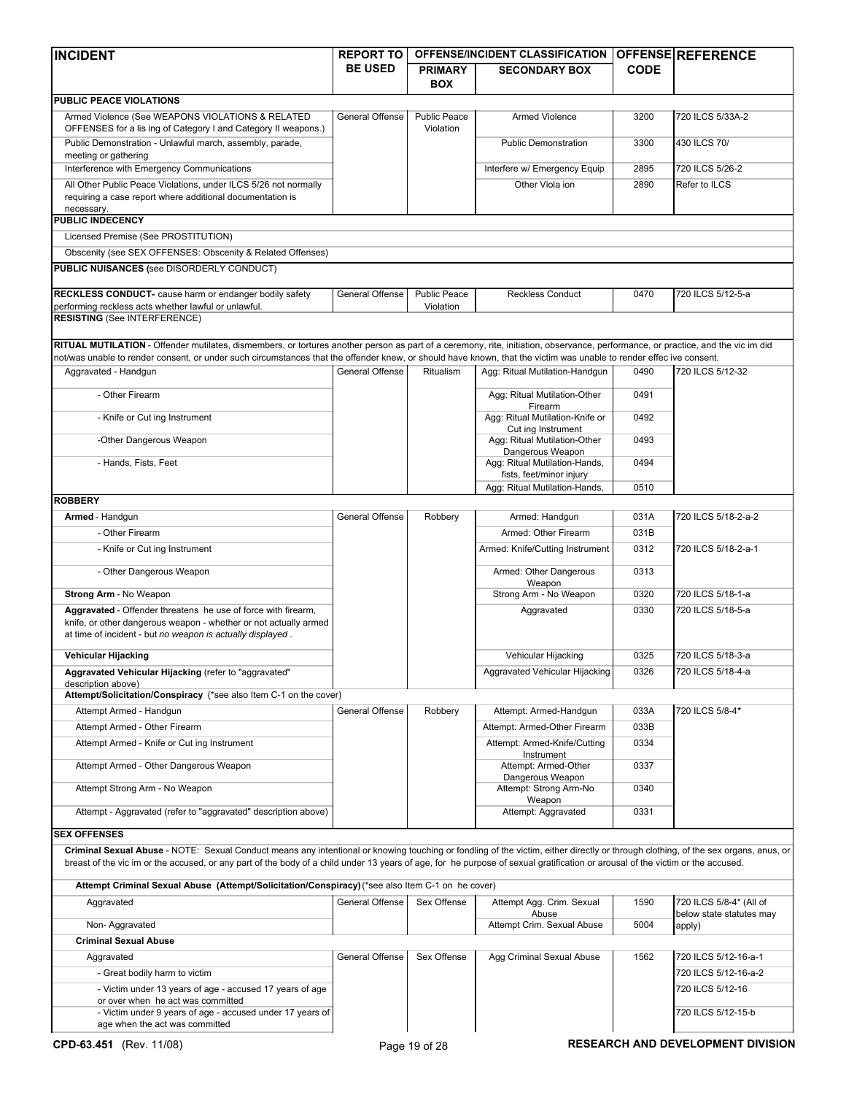| <b>INCIDENT</b>                                                                                                                                                                                                                                                                                                                                                      | <b>REPORT TO</b>       |                                  | <b>OFFENSE/INCIDENT CLASSIFICATION</b>             |             | <b>OFFENSE REFERENCE</b>                            |
|----------------------------------------------------------------------------------------------------------------------------------------------------------------------------------------------------------------------------------------------------------------------------------------------------------------------------------------------------------------------|------------------------|----------------------------------|----------------------------------------------------|-------------|-----------------------------------------------------|
|                                                                                                                                                                                                                                                                                                                                                                      | <b>BE USED</b>         | <b>PRIMARY</b>                   | <b>SECONDARY BOX</b>                               | <b>CODE</b> |                                                     |
|                                                                                                                                                                                                                                                                                                                                                                      |                        | <b>BOX</b>                       |                                                    |             |                                                     |
| PUBLIC PEACE VIOLATIONS                                                                                                                                                                                                                                                                                                                                              |                        |                                  |                                                    |             |                                                     |
| Armed Violence (See WEAPONS VIOLATIONS & RELATED<br>OFFENSES for a lis ing of Category I and Category II weapons.)                                                                                                                                                                                                                                                   | General Offense        | <b>Public Peace</b><br>Violation | Armed Violence                                     | 3200        | 720 ILCS 5/33A-2                                    |
| Public Demonstration - Unlawful march, assembly, parade,<br>meeting or gathering                                                                                                                                                                                                                                                                                     |                        |                                  | <b>Public Demonstration</b>                        | 3300        | 430 ILCS 70/                                        |
| Interference with Emergency Communications                                                                                                                                                                                                                                                                                                                           |                        |                                  | Interfere w/ Emergency Equip                       | 2895        | 720 ILCS 5/26-2                                     |
| All Other Public Peace Violations, under ILCS 5/26 not normally                                                                                                                                                                                                                                                                                                      |                        |                                  | Other Viola ion                                    | 2890        | Refer to ILCS                                       |
| requiring a case report where additional documentation is<br>necessary.                                                                                                                                                                                                                                                                                              |                        |                                  |                                                    |             |                                                     |
| <b>PUBLIC INDECENCY</b>                                                                                                                                                                                                                                                                                                                                              |                        |                                  |                                                    |             |                                                     |
| Licensed Premise (See PROSTITUTION)                                                                                                                                                                                                                                                                                                                                  |                        |                                  |                                                    |             |                                                     |
| Obscenity (see SEX OFFENSES: Obscenity & Related Offenses)                                                                                                                                                                                                                                                                                                           |                        |                                  |                                                    |             |                                                     |
| PUBLIC NUISANCES (see DISORDERLY CONDUCT)                                                                                                                                                                                                                                                                                                                            |                        |                                  |                                                    |             |                                                     |
| RECKLESS CONDUCT- cause harm or endanger bodily safety<br>performing reckless acts whether lawful or unlawful.                                                                                                                                                                                                                                                       | General Offense        | <b>Public Peace</b><br>Violation | <b>Reckless Conduct</b>                            | 0470        | 720 ILCS 5/12-5-a                                   |
| <b>RESISTING (See INTERFERENCE)</b>                                                                                                                                                                                                                                                                                                                                  |                        |                                  |                                                    |             |                                                     |
| RITUAL MUTILATION - Offender mutilates, dismembers, or tortures another person as part of a ceremony, rite, initiation, observance, performance, or practice, and the vic im did                                                                                                                                                                                     |                        |                                  |                                                    |             |                                                     |
| not/was unable to render consent, or under such circumstances that the offender knew, or should have known, that the victim was unable to render effec ive consent.<br>Aggravated - Handgun                                                                                                                                                                          | <b>General Offense</b> | Ritualism                        | Agg: Ritual Mutilation-Handgun                     | 0490        | 720 ILCS 5/12-32                                    |
| - Other Firearm                                                                                                                                                                                                                                                                                                                                                      |                        |                                  | Agg: Ritual Mutilation-Other                       | 0491        |                                                     |
| - Knife or Cut ing Instrument                                                                                                                                                                                                                                                                                                                                        |                        |                                  | Firearm<br>Agg: Ritual Mutilation-Knife or         | 0492        |                                                     |
| -Other Dangerous Weapon                                                                                                                                                                                                                                                                                                                                              |                        |                                  | Cut ing Instrument<br>Agg: Ritual Mutilation-Other | 0493        |                                                     |
| - Hands, Fists, Feet                                                                                                                                                                                                                                                                                                                                                 |                        |                                  | Dangerous Weapon<br>Agg: Ritual Mutilation-Hands,  | 0494        |                                                     |
|                                                                                                                                                                                                                                                                                                                                                                      |                        |                                  | fists, feet/minor injury                           | 0510        |                                                     |
| <b>ROBBERY</b>                                                                                                                                                                                                                                                                                                                                                       |                        |                                  | Agg: Ritual Mutilation-Hands,                      |             |                                                     |
| Armed - Handgun                                                                                                                                                                                                                                                                                                                                                      | General Offense        | Robbery                          | Armed: Handgun                                     | 031A        | 720 ILCS 5/18-2-a-2                                 |
| - Other Firearm                                                                                                                                                                                                                                                                                                                                                      |                        |                                  | Armed: Other Firearm                               | 031B        |                                                     |
| - Knife or Cut ing Instrument                                                                                                                                                                                                                                                                                                                                        |                        |                                  | Armed: Knife/Cutting Instrument                    | 0312        | 720 ILCS 5/18-2-a-1                                 |
| - Other Dangerous Weapon                                                                                                                                                                                                                                                                                                                                             |                        |                                  | Armed: Other Dangerous                             | 0313        |                                                     |
| Strong Arm - No Weapon                                                                                                                                                                                                                                                                                                                                               |                        |                                  | Weapon<br>Strong Arm - No Weapon                   | 0320        | 720 ILCS 5/18-1-a                                   |
| Aggravated - Offender threatens he use of force with firearm,                                                                                                                                                                                                                                                                                                        |                        |                                  | Aggravated                                         | 0330        | 720 ILCS 5/18-5-a                                   |
| knife, or other dangerous weapon - whether or not actually armed<br>at time of incident - but no weapon is actually displayed.                                                                                                                                                                                                                                       |                        |                                  |                                                    |             |                                                     |
| Vehicular Hijacking                                                                                                                                                                                                                                                                                                                                                  |                        |                                  | Vehicular Hijacking                                | 0325        | 720 ILCS 5/18-3-a                                   |
| Aggravated Vehicular Hijacking (refer to "aggravated"                                                                                                                                                                                                                                                                                                                |                        |                                  | Aggravated Vehicular Hijacking                     | 0326        | 720 ILCS 5/18-4-a                                   |
| description above)<br>Attempt/Solicitation/Conspiracy (*see also Item C-1 on the cover)                                                                                                                                                                                                                                                                              |                        |                                  |                                                    |             |                                                     |
| Attempt Armed - Handgun                                                                                                                                                                                                                                                                                                                                              | General Offense        | Robbery                          | Attempt: Armed-Handgun                             | 033A        | 720 ILCS 5/8-4*                                     |
| Attempt Armed - Other Firearm                                                                                                                                                                                                                                                                                                                                        |                        |                                  | Attempt: Armed-Other Firearm                       | 033B        |                                                     |
| Attempt Armed - Knife or Cut ing Instrument                                                                                                                                                                                                                                                                                                                          |                        |                                  | Attempt: Armed-Knife/Cutting<br>Instrument         | 0334        |                                                     |
| Attempt Armed - Other Dangerous Weapon                                                                                                                                                                                                                                                                                                                               |                        |                                  | Attempt: Armed-Other<br>Dangerous Weapon           | 0337        |                                                     |
| Attempt Strong Arm - No Weapon                                                                                                                                                                                                                                                                                                                                       |                        |                                  | Attempt: Strong Arm-No<br>Weapon                   | 0340        |                                                     |
| Attempt - Aggravated (refer to "aggravated" description above)                                                                                                                                                                                                                                                                                                       |                        |                                  | Attempt: Aggravated                                | 0331        |                                                     |
| <b>SEX OFFENSES</b>                                                                                                                                                                                                                                                                                                                                                  |                        |                                  |                                                    |             |                                                     |
| Criminal Sexual Abuse - NOTE: Sexual Conduct means any intentional or knowing touching or fondling of the victim, either directly or through clothing, of the sex organs, anus, or<br>breast of the vic im or the accused, or any part of the body of a child under 13 years of age, for he purpose of sexual gratification or arousal of the victim or the accused. |                        |                                  |                                                    |             |                                                     |
| Attempt Criminal Sexual Abuse (Attempt/Solicitation/Conspiracy) (*see also Item C-1 on he cover)                                                                                                                                                                                                                                                                     |                        |                                  |                                                    |             |                                                     |
| Aggravated                                                                                                                                                                                                                                                                                                                                                           | General Offense        | Sex Offense                      | Attempt Agg. Crim. Sexual<br>Abuse                 | 1590        | 720 ILCS 5/8-4* (All of<br>below state statutes may |
| Non-Aggravated                                                                                                                                                                                                                                                                                                                                                       |                        |                                  | Attempt Crim. Sexual Abuse                         | 5004        | apply)                                              |
| <b>Criminal Sexual Abuse</b>                                                                                                                                                                                                                                                                                                                                         |                        |                                  |                                                    |             |                                                     |
| Aggravated                                                                                                                                                                                                                                                                                                                                                           | General Offense        | Sex Offense                      | Agg Criminal Sexual Abuse                          | 1562        | 720 ILCS 5/12-16-a-1                                |
| - Great bodily harm to victim                                                                                                                                                                                                                                                                                                                                        |                        |                                  |                                                    |             | 720 ILCS 5/12-16-a-2                                |
| - Victim under 13 years of age - accused 17 years of age<br>or over when he act was committed                                                                                                                                                                                                                                                                        |                        |                                  |                                                    |             | 720 ILCS 5/12-16                                    |
| - Victim under 9 years of age - accused under 17 years of                                                                                                                                                                                                                                                                                                            |                        |                                  |                                                    |             | 720 ILCS 5/12-15-b                                  |
| age when the act was committed                                                                                                                                                                                                                                                                                                                                       |                        |                                  |                                                    |             |                                                     |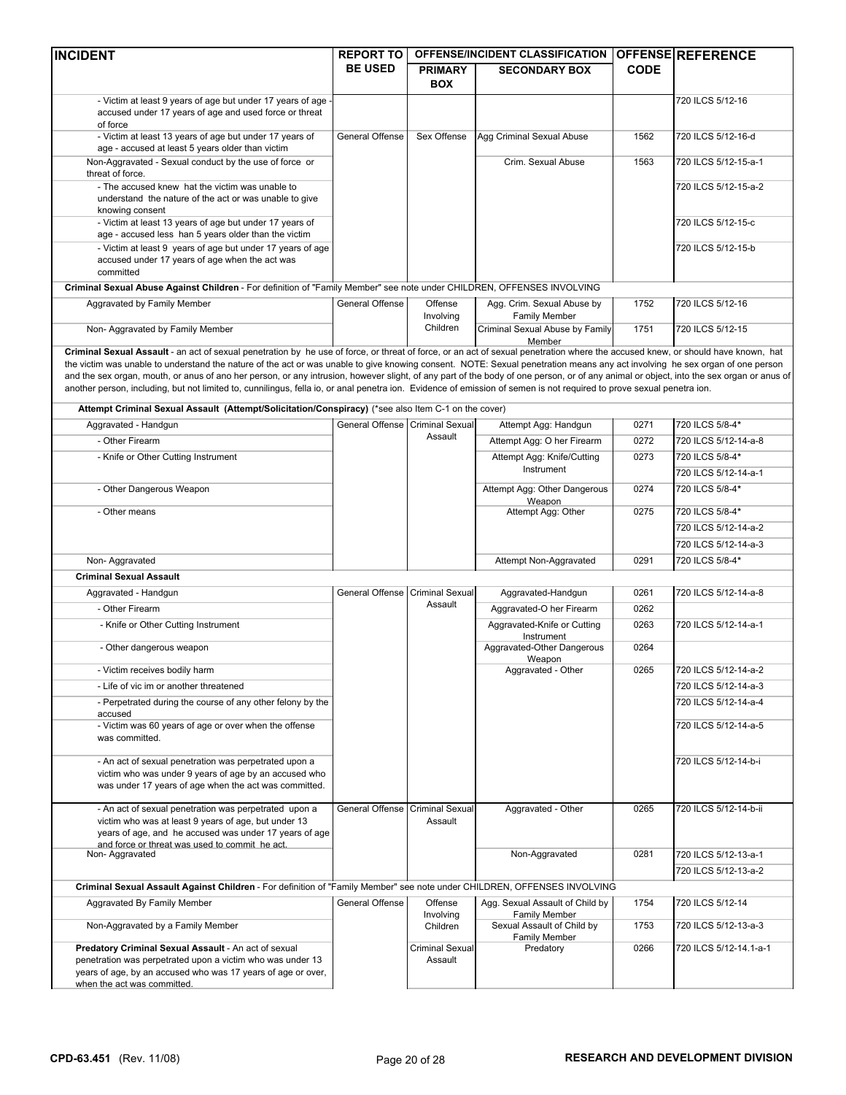| <b>INCIDENT</b>                                                                                                                                                                         | <b>REPORT TO</b>                |                        | <b>OFFENSE/INCIDENT CLASSIFICATION</b>      |             | <b>OFFENSE REFERENCE</b> |
|-----------------------------------------------------------------------------------------------------------------------------------------------------------------------------------------|---------------------------------|------------------------|---------------------------------------------|-------------|--------------------------|
|                                                                                                                                                                                         | <b>BE USED</b>                  | <b>PRIMARY</b>         | <b>SECONDARY BOX</b>                        | <b>CODE</b> |                          |
|                                                                                                                                                                                         |                                 | <b>BOX</b>             |                                             |             |                          |
|                                                                                                                                                                                         |                                 |                        |                                             |             |                          |
| - Victim at least 9 years of age but under 17 years of age<br>accused under 17 years of age and used force or threat                                                                    |                                 |                        |                                             |             | 720 ILCS 5/12-16         |
| of force                                                                                                                                                                                |                                 |                        |                                             |             |                          |
| - Victim at least 13 years of age but under 17 years of                                                                                                                                 | General Offense                 | Sex Offense            | Agg Criminal Sexual Abuse                   | 1562        | 720 ILCS 5/12-16-d       |
| age - accused at least 5 years older than victim                                                                                                                                        |                                 |                        |                                             |             |                          |
| Non-Aggravated - Sexual conduct by the use of force or                                                                                                                                  |                                 |                        | Crim. Sexual Abuse                          | 1563        | 720 ILCS 5/12-15-a-1     |
| threat of force.                                                                                                                                                                        |                                 |                        |                                             |             |                          |
| - The accused knew hat the victim was unable to                                                                                                                                         |                                 |                        |                                             |             | 720 ILCS 5/12-15-a-2     |
| understand the nature of the act or was unable to give                                                                                                                                  |                                 |                        |                                             |             |                          |
| knowing consent                                                                                                                                                                         |                                 |                        |                                             |             |                          |
| - Victim at least 13 years of age but under 17 years of                                                                                                                                 |                                 |                        |                                             |             | 720 ILCS 5/12-15-c       |
| age - accused less han 5 years older than the victim                                                                                                                                    |                                 |                        |                                             |             |                          |
| - Victim at least 9 years of age but under 17 years of age                                                                                                                              |                                 |                        |                                             |             | 720 ILCS 5/12-15-b       |
| accused under 17 years of age when the act was<br>committed                                                                                                                             |                                 |                        |                                             |             |                          |
|                                                                                                                                                                                         |                                 |                        |                                             |             |                          |
| Criminal Sexual Abuse Against Children - For definition of "Family Member" see note under CHILDREN, OFFENSES INVOLVING                                                                  |                                 |                        |                                             |             |                          |
| Aggravated by Family Member                                                                                                                                                             | General Offense                 | Offense                | Agg. Crim. Sexual Abuse by                  | 1752        | 720 ILCS 5/12-16         |
|                                                                                                                                                                                         |                                 | Involving              | Family Member                               |             |                          |
| Non-Aggravated by Family Member                                                                                                                                                         |                                 | Children               | Criminal Sexual Abuse by Family             | 1751        | 720 ILCS 5/12-15         |
| Criminal Sexual Assault - an act of sexual penetration by he use of force, or threat of force, or an act of sexual penetration where the accused knew, or should have known, hat        |                                 |                        | Member                                      |             |                          |
| the victim was unable to understand the nature of the act or was unable to give knowing consent. NOTE: Sexual penetration means any act involving he sex organ of one person            |                                 |                        |                                             |             |                          |
| and the sex organ, mouth, or anus of ano her person, or any intrusion, however slight, of any part of the body of one person, or of any animal or object, into the sex organ or anus of |                                 |                        |                                             |             |                          |
| another person, including, but not limited to, cunnilingus, fella io, or anal penetra ion. Evidence of emission of semen is not required to prove sexual penetra ion.                   |                                 |                        |                                             |             |                          |
|                                                                                                                                                                                         |                                 |                        |                                             |             |                          |
| Attempt Criminal Sexual Assault (Attempt/Solicitation/Conspiracy) (*see also Item C-1 on the cover)                                                                                     |                                 |                        |                                             |             |                          |
| Aggravated - Handgun                                                                                                                                                                    | General Offense Criminal Sexual |                        | Attempt Agg: Handgun                        | 0271        | 720 ILCS 5/8-4*          |
| - Other Firearm                                                                                                                                                                         |                                 | Assault                | Attempt Agg: O her Firearm                  | 0272        | 720 ILCS 5/12-14-a-8     |
|                                                                                                                                                                                         |                                 |                        |                                             | 0273        |                          |
| - Knife or Other Cutting Instrument                                                                                                                                                     |                                 |                        | Attempt Agg: Knife/Cutting<br>Instrument    |             | 720 ILCS 5/8-4*          |
|                                                                                                                                                                                         |                                 |                        |                                             |             | 720 ILCS 5/12-14-a-1     |
| - Other Dangerous Weapon                                                                                                                                                                |                                 |                        | Attempt Agg: Other Dangerous                | 0274        | 720 ILCS 5/8-4*          |
|                                                                                                                                                                                         |                                 |                        | Weapon                                      |             |                          |
| - Other means                                                                                                                                                                           |                                 |                        | Attempt Agg: Other                          | 0275        | 720 ILCS 5/8-4*          |
|                                                                                                                                                                                         |                                 |                        |                                             |             | 720 ILCS 5/12-14-a-2     |
|                                                                                                                                                                                         |                                 |                        |                                             |             | 720 ILCS 5/12-14-a-3     |
| Non-Aggravated                                                                                                                                                                          |                                 |                        | Attempt Non-Aggravated                      | 0291        | 720 ILCS 5/8-4*          |
| <b>Criminal Sexual Assault</b>                                                                                                                                                          |                                 |                        |                                             |             |                          |
|                                                                                                                                                                                         |                                 |                        |                                             |             |                          |
| Aggravated - Handgun                                                                                                                                                                    | General Offense Criminal Sexual | Assault                | Aggravated-Handgun                          | 0261        | 720 ILCS 5/12-14-a-8     |
| - Other Firearm                                                                                                                                                                         |                                 |                        | Aggravated-O her Firearm                    | 0262        |                          |
| - Knife or Other Cutting Instrument                                                                                                                                                     |                                 |                        | Aggravated-Knife or Cutting                 | 0263        | 720 ILCS 5/12-14-a-1     |
|                                                                                                                                                                                         |                                 |                        | Instrument                                  |             |                          |
| - Other dangerous weapon                                                                                                                                                                |                                 |                        | Aggravated-Other Dangerous                  | 0264        |                          |
|                                                                                                                                                                                         |                                 |                        | Weapon                                      | 0265        | 720 ILCS 5/12-14-a-2     |
| - Victim receives bodily harm                                                                                                                                                           |                                 |                        | Aggravated - Other                          |             |                          |
| - Life of vic im or another threatened                                                                                                                                                  |                                 |                        |                                             |             | 720 ILCS 5/12-14-a-3     |
| - Perpetrated during the course of any other felony by the                                                                                                                              |                                 |                        |                                             |             | 720 ILCS 5/12-14-a-4     |
| accused                                                                                                                                                                                 |                                 |                        |                                             |             |                          |
| - Victim was 60 years of age or over when the offense                                                                                                                                   |                                 |                        |                                             |             | 720 ILCS 5/12-14-a-5     |
| was committed.                                                                                                                                                                          |                                 |                        |                                             |             |                          |
| - An act of sexual penetration was perpetrated upon a                                                                                                                                   |                                 |                        |                                             |             | 720 ILCS 5/12-14-b-i     |
| victim who was under 9 years of age by an accused who                                                                                                                                   |                                 |                        |                                             |             |                          |
| was under 17 years of age when the act was committed.                                                                                                                                   |                                 |                        |                                             |             |                          |
|                                                                                                                                                                                         |                                 |                        |                                             |             |                          |
| - An act of sexual penetration was perpetrated upon a                                                                                                                                   | General Offense                 | <b>Criminal Sexual</b> | Aggravated - Other                          | 0265        | 720 ILCS 5/12-14-b-ii    |
| victim who was at least 9 years of age, but under 13                                                                                                                                    |                                 | Assault                |                                             |             |                          |
| years of age, and he accused was under 17 years of age<br>and force or threat was used to commit he act.                                                                                |                                 |                        |                                             |             |                          |
| Non-Aggravated                                                                                                                                                                          |                                 |                        | Non-Aggravated                              | 0281        | 720 ILCS 5/12-13-a-1     |
|                                                                                                                                                                                         |                                 |                        |                                             |             | 720 ILCS 5/12-13-a-2     |
|                                                                                                                                                                                         |                                 |                        |                                             |             |                          |
| Criminal Sexual Assault Against Children - For definition of "Family Member" see note under CHILDREN, OFFENSES INVOLVING                                                                |                                 |                        |                                             |             |                          |
| Aggravated By Family Member                                                                                                                                                             | General Offense                 | Offense                | Agg. Sexual Assault of Child by             | 1754        | 720 ILCS 5/12-14         |
|                                                                                                                                                                                         |                                 | Involving              | Family Member                               |             |                          |
| Non-Aggravated by a Family Member                                                                                                                                                       |                                 | Children               | Sexual Assault of Child by<br>Family Member | 1753        | 720 ILCS 5/12-13-a-3     |
| Predatory Criminal Sexual Assault - An act of sexual                                                                                                                                    |                                 | <b>Criminal Sexual</b> | Predatory                                   | 0266        | 720 ILCS 5/12-14.1-a-1   |
| penetration was perpetrated upon a victim who was under 13                                                                                                                              |                                 | Assault                |                                             |             |                          |
| years of age, by an accused who was 17 years of age or over,                                                                                                                            |                                 |                        |                                             |             |                          |
| when the act was committed.                                                                                                                                                             |                                 |                        |                                             |             |                          |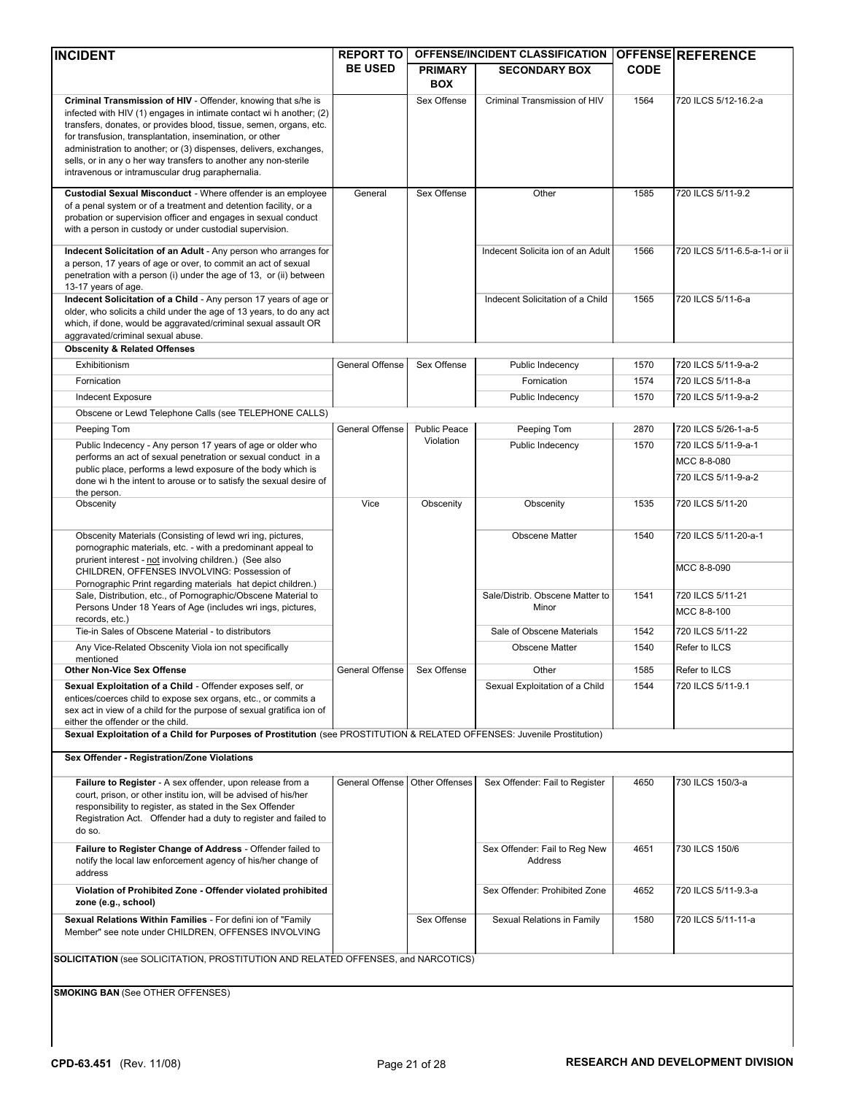| <b>INCIDENT</b>                                                                                                                                                                                                                                                                                                                                                                                                                                                    | <b>REPORT TO</b> |                                  | OFFENSE/INCIDENT CLASSIFICATION          |             | <b>OFFENSE REFERENCE</b>      |
|--------------------------------------------------------------------------------------------------------------------------------------------------------------------------------------------------------------------------------------------------------------------------------------------------------------------------------------------------------------------------------------------------------------------------------------------------------------------|------------------|----------------------------------|------------------------------------------|-------------|-------------------------------|
|                                                                                                                                                                                                                                                                                                                                                                                                                                                                    | <b>BE USED</b>   | <b>PRIMARY</b><br><b>BOX</b>     | <b>SECONDARY BOX</b>                     | <b>CODE</b> |                               |
| Criminal Transmission of HIV - Offender, knowing that s/he is<br>infected with HIV (1) engages in intimate contact wi h another; (2)<br>transfers, donates, or provides blood, tissue, semen, organs, etc.<br>for transfusion, transplantation, insemination, or other<br>administration to another; or (3) dispenses, delivers, exchanges,<br>sells, or in any o her way transfers to another any non-sterile<br>intravenous or intramuscular drug paraphernalia. |                  | Sex Offense                      | Criminal Transmission of HIV             | 1564        | 720 ILCS 5/12-16.2-a          |
| Custodial Sexual Misconduct - Where offender is an employee<br>of a penal system or of a treatment and detention facility, or a<br>probation or supervision officer and engages in sexual conduct<br>with a person in custody or under custodial supervision.                                                                                                                                                                                                      | General          | Sex Offense                      | Other                                    | 1585        | 720 ILCS 5/11-9.2             |
| Indecent Solicitation of an Adult - Any person who arranges for<br>a person, 17 years of age or over, to commit an act of sexual<br>penetration with a person (i) under the age of 13, or (ii) between<br>13-17 years of age.                                                                                                                                                                                                                                      |                  |                                  | Indecent Solicita ion of an Adult        | 1566        | 720 ILCS 5/11-6.5-a-1-i or ii |
| Indecent Solicitation of a Child - Any person 17 years of age or<br>older, who solicits a child under the age of 13 years, to do any act<br>which, if done, would be aggravated/criminal sexual assault OR<br>aggravated/criminal sexual abuse.                                                                                                                                                                                                                    |                  |                                  | Indecent Solicitation of a Child         | 1565        | 720 ILCS 5/11-6-a             |
| <b>Obscenity &amp; Related Offenses</b>                                                                                                                                                                                                                                                                                                                                                                                                                            |                  |                                  |                                          |             |                               |
| Exhibitionism                                                                                                                                                                                                                                                                                                                                                                                                                                                      | General Offense  | Sex Offense                      | Public Indecency                         | 1570        | 720 ILCS 5/11-9-a-2           |
| Fornication                                                                                                                                                                                                                                                                                                                                                                                                                                                        |                  |                                  | Fornication                              | 1574        | 720 ILCS 5/11-8-a             |
| Indecent Exposure                                                                                                                                                                                                                                                                                                                                                                                                                                                  |                  |                                  | Public Indecency                         | 1570        | 720 ILCS 5/11-9-a-2           |
| Obscene or Lewd Telephone Calls (see TELEPHONE CALLS)                                                                                                                                                                                                                                                                                                                                                                                                              |                  |                                  |                                          |             |                               |
| Peeping Tom                                                                                                                                                                                                                                                                                                                                                                                                                                                        | General Offense  | <b>Public Peace</b><br>Violation | Peeping Tom                              | 2870        | 720 ILCS 5/26-1-a-5           |
| Public Indecency - Any person 17 years of age or older who<br>performs an act of sexual penetration or sexual conduct in a                                                                                                                                                                                                                                                                                                                                         |                  |                                  | Public Indecency                         | 1570        | 720 ILCS 5/11-9-a-1           |
| public place, performs a lewd exposure of the body which is                                                                                                                                                                                                                                                                                                                                                                                                        |                  |                                  |                                          |             | MCC 8-8-080                   |
| done wi h the intent to arouse or to satisfy the sexual desire of                                                                                                                                                                                                                                                                                                                                                                                                  |                  |                                  |                                          |             | 720 ILCS 5/11-9-a-2           |
| the person.<br>Obscenity                                                                                                                                                                                                                                                                                                                                                                                                                                           | Vice             | Obscenity                        | Obscenity                                | 1535        | 720 ILCS 5/11-20              |
| Obscenity Materials (Consisting of lewd wri ing, pictures,                                                                                                                                                                                                                                                                                                                                                                                                         |                  |                                  | <b>Obscene Matter</b>                    | 1540        | 720 ILCS 5/11-20-a-1          |
| pornographic materials, etc. - with a predominant appeal to<br>prurient interest - not involving children.) (See also<br>CHILDREN, OFFENSES INVOLVING: Possession of                                                                                                                                                                                                                                                                                               |                  |                                  |                                          |             | MCC 8-8-090                   |
| Pornographic Print regarding materials hat depict children.)<br>Sale, Distribution, etc., of Pornographic/Obscene Material to                                                                                                                                                                                                                                                                                                                                      |                  |                                  | Sale/Distrib. Obscene Matter to          | 1541        | 720 ILCS 5/11-21              |
| Persons Under 18 Years of Age (includes wri ings, pictures,                                                                                                                                                                                                                                                                                                                                                                                                        |                  |                                  | Minor                                    |             | MCC 8-8-100                   |
| records, etc.)                                                                                                                                                                                                                                                                                                                                                                                                                                                     |                  |                                  |                                          |             |                               |
| Tie-in Sales of Obscene Material - to distributors                                                                                                                                                                                                                                                                                                                                                                                                                 |                  |                                  | Sale of Obscene Materials                | 1542        | 720 ILCS 5/11-22              |
| Any Vice-Related Obscenity Viola ion not specifically<br>mentioned                                                                                                                                                                                                                                                                                                                                                                                                 |                  |                                  | <b>Obscene Matter</b>                    | 1540        | Refer to ILCS                 |
| <b>Other Non-Vice Sex Offense</b>                                                                                                                                                                                                                                                                                                                                                                                                                                  | General Offense  | Sex Offense                      | Other                                    | 1585        | Refer to ILCS                 |
| Sexual Exploitation of a Child - Offender exposes self, or<br>entices/coerces child to expose sex organs, etc., or commits a<br>sex act in view of a child for the purpose of sexual gratifica ion of<br>either the offender or the child.                                                                                                                                                                                                                         |                  |                                  | Sexual Exploitation of a Child           | 1544        | 720 ILCS 5/11-9.1             |
| Sexual Exploitation of a Child for Purposes of Prostitution (see PROSTITUTION & RELATED OFFENSES: Juvenile Prostitution)                                                                                                                                                                                                                                                                                                                                           |                  |                                  |                                          |             |                               |
| Sex Offender - Registration/Zone Violations                                                                                                                                                                                                                                                                                                                                                                                                                        |                  |                                  |                                          |             |                               |
| Failure to Register - A sex offender, upon release from a<br>court, prison, or other institu ion, will be advised of his/her<br>responsibility to register, as stated in the Sex Offender<br>Registration Act. Offender had a duty to register and failed to<br>do so.                                                                                                                                                                                             | General Offense  | Other Offenses                   | Sex Offender: Fail to Register           | 4650        | 730 ILCS 150/3-a              |
| Failure to Register Change of Address - Offender failed to<br>notify the local law enforcement agency of his/her change of<br>address                                                                                                                                                                                                                                                                                                                              |                  |                                  | Sex Offender: Fail to Reg New<br>Address | 4651        | 730 ILCS 150/6                |
| Violation of Prohibited Zone - Offender violated prohibited<br>zone (e.g., school)                                                                                                                                                                                                                                                                                                                                                                                 |                  |                                  | Sex Offender: Prohibited Zone            | 4652        | 720 ILCS 5/11-9.3-a           |
| Sexual Relations Within Families - For defini ion of "Family<br>Member" see note under CHILDREN, OFFENSES INVOLVING                                                                                                                                                                                                                                                                                                                                                |                  | Sex Offense                      | Sexual Relations in Family               | 1580        | 720 ILCS 5/11-11-a            |
| <b>SOLICITATION</b> (see SOLICITATION, PROSTITUTION AND RELATED OFFENSES, and NARCOTICS)                                                                                                                                                                                                                                                                                                                                                                           |                  |                                  |                                          |             |                               |
| <b>SMOKING BAN (See OTHER OFFENSES)</b>                                                                                                                                                                                                                                                                                                                                                                                                                            |                  |                                  |                                          |             |                               |
|                                                                                                                                                                                                                                                                                                                                                                                                                                                                    |                  |                                  |                                          |             |                               |
|                                                                                                                                                                                                                                                                                                                                                                                                                                                                    |                  |                                  |                                          |             |                               |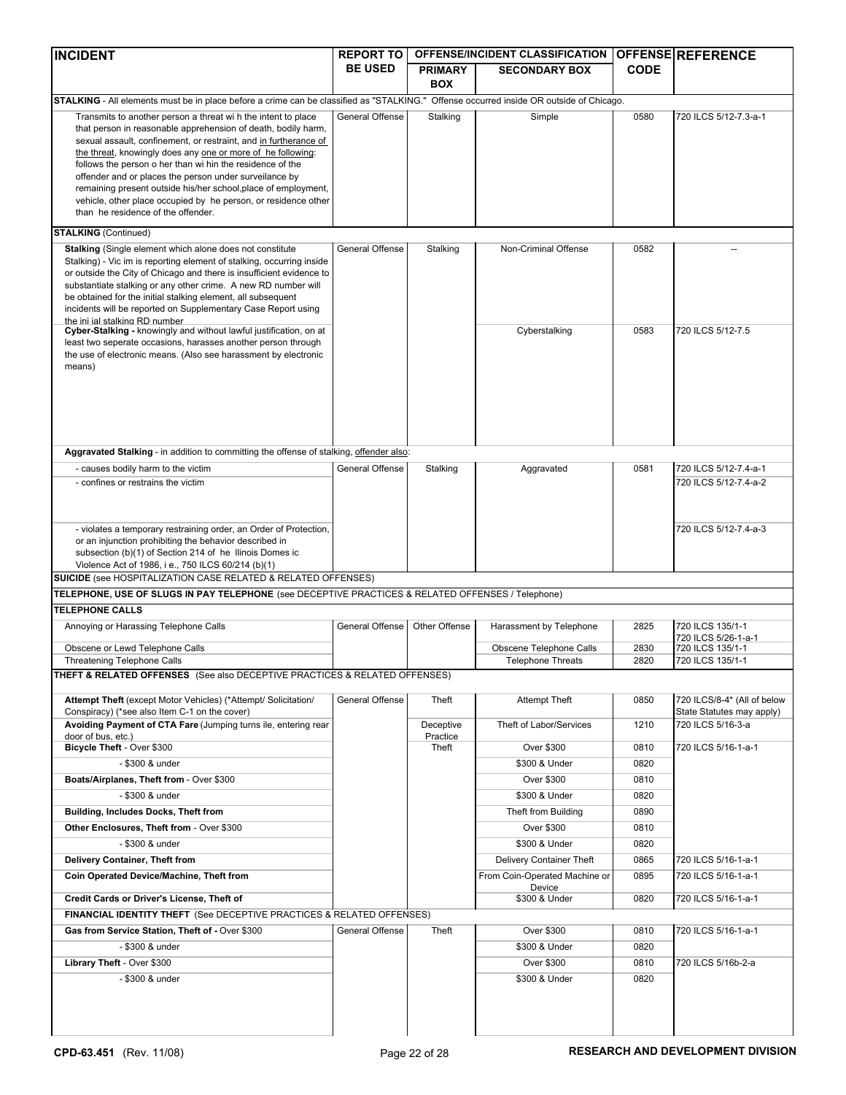| <b>INCIDENT</b>                                                                                                                                                                                                                                                                                                                                                                                                                                                                                   | <b>REPORT TO</b> |                              | OFFENSE/INCIDENT CLASSIFICATION |             | <b>OFFENSE REFERENCE</b>                                 |
|---------------------------------------------------------------------------------------------------------------------------------------------------------------------------------------------------------------------------------------------------------------------------------------------------------------------------------------------------------------------------------------------------------------------------------------------------------------------------------------------------|------------------|------------------------------|---------------------------------|-------------|----------------------------------------------------------|
|                                                                                                                                                                                                                                                                                                                                                                                                                                                                                                   | <b>BE USED</b>   | <b>PRIMARY</b><br><b>BOX</b> | <b>SECONDARY BOX</b>            | <b>CODE</b> |                                                          |
| STALKING - All elements must be in place before a crime can be classified as "STALKING." Offense occurred inside OR outside of Chicago.                                                                                                                                                                                                                                                                                                                                                           |                  |                              |                                 |             |                                                          |
| Transmits to another person a threat wi h the intent to place                                                                                                                                                                                                                                                                                                                                                                                                                                     | General Offense  | Stalking                     | Simple                          | 0580        | 720 ILCS 5/12-7.3-a-1                                    |
| that person in reasonable apprehension of death, bodily harm,<br>sexual assault, confinement, or restraint, and in furtherance of<br>the threat, knowingly does any one or more of he following:<br>follows the person o her than wi hin the residence of the<br>offender and or places the person under surveilance by<br>remaining present outside his/her school, place of employment,<br>vehicle, other place occupied by he person, or residence other<br>than he residence of the offender. |                  |                              |                                 |             |                                                          |
| <b>STALKING</b> (Continued)                                                                                                                                                                                                                                                                                                                                                                                                                                                                       |                  |                              |                                 |             |                                                          |
| Stalking (Single element which alone does not constitute<br>Stalking) - Vic im is reporting element of stalking, occurring inside<br>or outside the City of Chicago and there is insufficient evidence to<br>substantiate stalking or any other crime. A new RD number will<br>be obtained for the initial stalking element, all subsequent<br>incidents will be reported on Supplementary Case Report using<br>the ini ial stalking RD number                                                    | General Offense  | Stalking                     | Non-Criminal Offense            | 0582        |                                                          |
| Cyber-Stalking - knowingly and without lawful justification, on at<br>least two seperate occasions, harasses another person through<br>the use of electronic means. (Also see harassment by electronic<br>means)                                                                                                                                                                                                                                                                                  |                  |                              | Cyberstalking                   | 0583        | 720 ILCS 5/12-7.5                                        |
| Aggravated Stalking - in addition to committing the offense of stalking, offender also:                                                                                                                                                                                                                                                                                                                                                                                                           |                  |                              |                                 |             |                                                          |
| - causes bodily harm to the victim                                                                                                                                                                                                                                                                                                                                                                                                                                                                | General Offense  | Stalking                     | Aggravated                      | 0581        | 720 ILCS 5/12-7.4-a-1                                    |
| - confines or restrains the victim                                                                                                                                                                                                                                                                                                                                                                                                                                                                |                  |                              |                                 |             | 720 ILCS 5/12-7.4-a-2                                    |
| - violates a temporary restraining order, an Order of Protection,<br>or an injunction prohibiting the behavior described in<br>subsection (b)(1) of Section 214 of he Ilinois Domes ic<br>Violence Act of 1986, i e., 750 ILCS 60/214 (b)(1)<br><b>SUICIDE</b> (see HOSPITALIZATION CASE RELATED & RELATED OFFENSES)                                                                                                                                                                              |                  |                              |                                 |             | 720 ILCS 5/12-7.4-a-3                                    |
| TELEPHONE, USE OF SLUGS IN PAY TELEPHONE (see DECEPTIVE PRACTICES & RELATED OFFENSES / Telephone)                                                                                                                                                                                                                                                                                                                                                                                                 |                  |                              |                                 |             |                                                          |
| <b>TELEPHONE CALLS</b>                                                                                                                                                                                                                                                                                                                                                                                                                                                                            |                  |                              |                                 |             |                                                          |
| Annoying or Harassing Telephone Calls                                                                                                                                                                                                                                                                                                                                                                                                                                                             | General Offense  | Other Offense                | Harassment by Telephone         | 2825        | 720 ILCS 135/1-1<br>720 ILCS 5/26-1-a-1                  |
| Obscene or Lewd Telephone Calls                                                                                                                                                                                                                                                                                                                                                                                                                                                                   |                  |                              | Obscene Telephone Calls         | 2830        | 720 ILCS 135/1-1                                         |
| Threatening Telephone Calls                                                                                                                                                                                                                                                                                                                                                                                                                                                                       |                  |                              | <b>Telephone Threats</b>        | 2820        | 720 ILCS 135/1-1                                         |
| <b>THEFT &amp; RELATED OFFENSES</b> (See also DECEPTIVE PRACTICES & RELATED OFFENSES)                                                                                                                                                                                                                                                                                                                                                                                                             |                  |                              |                                 |             |                                                          |
| Attempt Theft (except Motor Vehicles) (*Attempt/ Solicitation/<br>Conspiracy) (*see also Item C-1 on the cover)                                                                                                                                                                                                                                                                                                                                                                                   | General Offense  | Theft                        | <b>Attempt Theft</b>            | 0850        | 720 ILCS/8-4* (All of below<br>State Statutes may apply) |
| Avoiding Payment of CTA Fare (Jumping turns ile, entering rear                                                                                                                                                                                                                                                                                                                                                                                                                                    |                  | Deceptive<br>Practice        | Theft of Labor/Services         | 1210        | 720 ILCS 5/16-3-a                                        |
| door of bus, etc.)<br>Bicycle Theft - Over \$300                                                                                                                                                                                                                                                                                                                                                                                                                                                  |                  | Theft                        | Over \$300                      | 0810        | 720 ILCS 5/16-1-a-1                                      |
| - \$300 & under                                                                                                                                                                                                                                                                                                                                                                                                                                                                                   |                  |                              | \$300 & Under                   | 0820        |                                                          |
| Boats/Airplanes, Theft from - Over \$300                                                                                                                                                                                                                                                                                                                                                                                                                                                          |                  |                              | Over \$300                      | 0810        |                                                          |
| - \$300 & under                                                                                                                                                                                                                                                                                                                                                                                                                                                                                   |                  |                              | \$300 & Under                   | 0820        |                                                          |
| Building, Includes Docks, Theft from                                                                                                                                                                                                                                                                                                                                                                                                                                                              |                  |                              | Theft from Building             | 0890        |                                                          |
| Other Enclosures, Theft from - Over \$300                                                                                                                                                                                                                                                                                                                                                                                                                                                         |                  |                              | Over \$300                      | 0810        |                                                          |
| - \$300 & under                                                                                                                                                                                                                                                                                                                                                                                                                                                                                   |                  |                              | \$300 & Under                   | 0820        |                                                          |
| Delivery Container, Theft from                                                                                                                                                                                                                                                                                                                                                                                                                                                                    |                  |                              | Delivery Container Theft        | 0865        | 720 ILCS 5/16-1-a-1                                      |
| Coin Operated Device/Machine, Theft from                                                                                                                                                                                                                                                                                                                                                                                                                                                          |                  |                              | From Coin-Operated Machine or   | 0895        | 720 ILCS 5/16-1-a-1                                      |
|                                                                                                                                                                                                                                                                                                                                                                                                                                                                                                   |                  |                              | Device                          |             |                                                          |
| Credit Cards or Driver's License, Theft of                                                                                                                                                                                                                                                                                                                                                                                                                                                        |                  |                              | \$300 & Under                   | 0820        | 720 ILCS 5/16-1-a-1                                      |
| <b>FINANCIAL IDENTITY THEFT</b> (See DECEPTIVE PRACTICES & RELATED OFFENSES)                                                                                                                                                                                                                                                                                                                                                                                                                      |                  |                              |                                 |             |                                                          |
| Gas from Service Station, Theft of - Over \$300                                                                                                                                                                                                                                                                                                                                                                                                                                                   | General Offense  | Theft                        | Over \$300                      | 0810        | 720 ILCS 5/16-1-a-1                                      |
| - \$300 & under                                                                                                                                                                                                                                                                                                                                                                                                                                                                                   |                  |                              | \$300 & Under                   | 0820        |                                                          |
| Library Theft - Over \$300                                                                                                                                                                                                                                                                                                                                                                                                                                                                        |                  |                              | Over \$300                      | 0810        | 720 ILCS 5/16b-2-a                                       |
| - \$300 & under                                                                                                                                                                                                                                                                                                                                                                                                                                                                                   |                  |                              | \$300 & Under                   | 0820        |                                                          |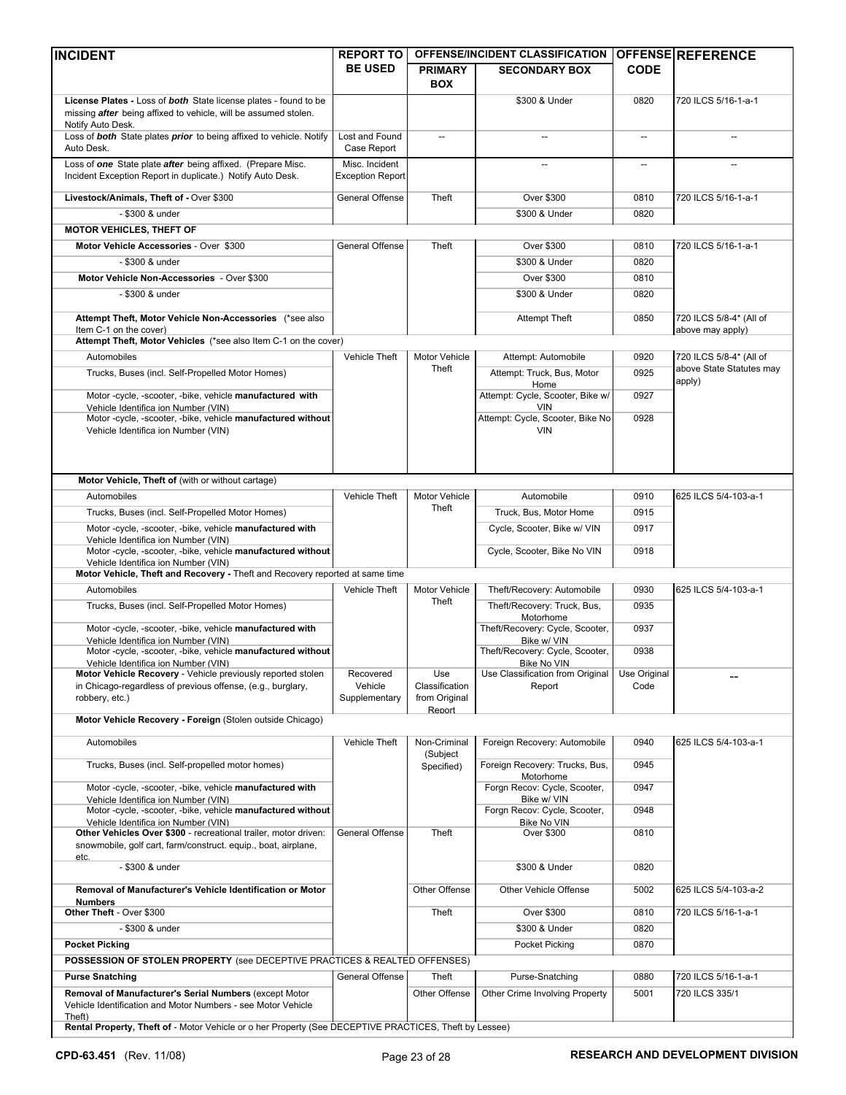| <b>INCIDENT</b>                                                                                                                                                 | <b>REPORT TO</b>                          |                                           | OFFENSE/INCIDENT CLASSIFICATION                          |              | <b>OFFENSE REFERENCE</b>                    |
|-----------------------------------------------------------------------------------------------------------------------------------------------------------------|-------------------------------------------|-------------------------------------------|----------------------------------------------------------|--------------|---------------------------------------------|
|                                                                                                                                                                 | <b>BE USED</b>                            | <b>PRIMARY</b>                            | <b>SECONDARY BOX</b>                                     | <b>CODE</b>  |                                             |
|                                                                                                                                                                 |                                           | <b>BOX</b>                                |                                                          |              |                                             |
| License Plates - Loss of both State license plates - found to be<br>missing <i>after</i> being affixed to vehicle, will be assumed stolen.<br>Notify Auto Desk. |                                           |                                           | \$300 & Under                                            | 0820         | 720 ILCS 5/16-1-a-1                         |
| Loss of <b>both</b> State plates <i>prior</i> to being affixed to vehicle. Notify<br>Auto Desk.                                                                 | Lost and Found<br>Case Report             | $\overline{\phantom{a}}$                  |                                                          | --           |                                             |
| Loss of one State plate after being affixed. (Prepare Misc.<br>Incident Exception Report in duplicate.) Notify Auto Desk.                                       | Misc. Incident<br><b>Exception Report</b> |                                           |                                                          | --           |                                             |
| Livestock/Animals, Theft of - Over \$300                                                                                                                        | General Offense                           | Theft                                     | <b>Over \$300</b>                                        | 0810         | 720 ILCS 5/16-1-a-1                         |
| - \$300 & under                                                                                                                                                 |                                           |                                           | \$300 & Under                                            | 0820         |                                             |
| <b>MOTOR VEHICLES, THEFT OF</b>                                                                                                                                 |                                           |                                           |                                                          |              |                                             |
| Motor Vehicle Accessories - Over \$300                                                                                                                          | General Offense                           | Theft                                     | Over \$300                                               | 0810         | 720 ILCS 5/16-1-a-1                         |
| - \$300 & under                                                                                                                                                 |                                           |                                           | \$300 & Under                                            | 0820         |                                             |
| Motor Vehicle Non-Accessories - Over \$300                                                                                                                      |                                           |                                           | Over \$300                                               | 0810         |                                             |
| - \$300 & under                                                                                                                                                 |                                           |                                           | \$300 & Under                                            | 0820         |                                             |
| Attempt Theft, Motor Vehicle Non-Accessories (*see also<br>Item C-1 on the cover)                                                                               |                                           |                                           | <b>Attempt Theft</b>                                     | 0850         | 720 ILCS 5/8-4* (All of<br>above may apply) |
| Attempt Theft, Motor Vehicles (*see also Item C-1 on the cover)                                                                                                 |                                           |                                           |                                                          |              |                                             |
| Automobiles                                                                                                                                                     | Vehicle Theft                             | Motor Vehicle                             | Attempt: Automobile                                      | 0920         | 720 ILCS 5/8-4* (All of                     |
| Trucks, Buses (incl. Self-Propelled Motor Homes)                                                                                                                |                                           | Theft                                     | Attempt: Truck, Bus, Motor                               | 0925         | above State Statutes may                    |
| Motor-cycle, -scooter, -bike, vehicle manufactured with                                                                                                         |                                           |                                           | Home<br>Attempt: Cycle, Scooter, Bike w/                 | 0927         | apply)                                      |
| Vehicle Identifica ion Number (VIN)<br>Motor -cycle, -scooter, -bike, vehicle manufactured without                                                              |                                           |                                           | <b>VIN</b><br>Attempt: Cycle, Scooter, Bike No           | 0928         |                                             |
| Vehicle Identifica ion Number (VIN)                                                                                                                             |                                           |                                           | <b>VIN</b>                                               |              |                                             |
| Motor Vehicle, Theft of (with or without cartage)                                                                                                               |                                           |                                           |                                                          |              |                                             |
| Automobiles                                                                                                                                                     | Vehicle Theft                             | Motor Vehicle                             | Automobile                                               | 0910         | 625 ILCS 5/4-103-a-1                        |
| Trucks, Buses (incl. Self-Propelled Motor Homes)                                                                                                                |                                           | Theft                                     | Truck, Bus, Motor Home                                   | 0915         |                                             |
| Motor-cycle, -scooter, -bike, vehicle manufactured with                                                                                                         |                                           |                                           | Cycle, Scooter, Bike w/ VIN                              | 0917         |                                             |
| Vehicle Identifica ion Number (VIN)<br>Motor -cycle, -scooter, -bike, vehicle manufactured without<br>Vehicle Identifica ion Number (VIN)                       |                                           |                                           | Cycle, Scooter, Bike No VIN                              | 0918         |                                             |
| Motor Vehicle, Theft and Recovery - Theft and Recovery reported at same time                                                                                    |                                           |                                           |                                                          |              |                                             |
| Automobiles                                                                                                                                                     | Vehicle Theft                             | Motor Vehicle                             | Theft/Recovery: Automobile                               | 0930         | 625 ILCS 5/4-103-a-1                        |
| Trucks, Buses (incl. Self-Propelled Motor Homes)                                                                                                                |                                           | Theft                                     | Theft/Recovery: Truck, Bus,<br>Motorhome                 | 0935         |                                             |
| Motor-cycle, -scooter, -bike, vehicle manufactured with<br>Vehicle Identifica ion Number (VIN)                                                                  |                                           |                                           | Theft/Recovery: Cycle, Scooter,<br>Bike w/ VIN           | 0937         |                                             |
| Motor -cycle, -scooter, -bike, vehicle manufactured without<br>Vehicle Identifica ion Number (VIN)                                                              |                                           |                                           | Theft/Recovery: Cycle, Scooter,<br>Bike No VIN           | 0938         |                                             |
| Motor Vehicle Recovery - Vehicle previously reported stolen                                                                                                     | Recovered                                 | Use                                       | Use Classification from Original                         | Use Original |                                             |
| in Chicago-regardless of previous offense, (e.g., burglary,<br>robbery, etc.)                                                                                   | Vehicle<br>Supplementary                  | Classification<br>from Original<br>Report | Report                                                   | Code         |                                             |
| Motor Vehicle Recovery - Foreign (Stolen outside Chicago)                                                                                                       |                                           |                                           |                                                          |              |                                             |
| Automobiles                                                                                                                                                     | <b>Vehicle Theft</b>                      | Non-Criminal                              | Foreign Recovery: Automobile                             | 0940         | 625 ILCS 5/4-103-a-1                        |
| Trucks, Buses (incl. Self-propelled motor homes)                                                                                                                |                                           | (Subject<br>Specified)                    | Foreign Recovery: Trucks, Bus,                           | 0945         |                                             |
| Motor-cycle, -scooter, -bike, vehicle manufactured with<br>Vehicle Identifica ion Number (VIN)                                                                  |                                           |                                           | Motorhome<br>Forgn Recov: Cycle, Scooter,<br>Bike w/ VIN | 0947         |                                             |
| Motor -cycle, -scooter, -bike, vehicle manufactured without<br>Vehicle Identifica ion Number (VIN)                                                              |                                           |                                           | Forgn Recov: Cycle, Scooter,<br><b>Bike No VIN</b>       | 0948         |                                             |
| Other Vehicles Over \$300 - recreational trailer, motor driven:<br>snowmobile, golf cart, farm/construct. equip., boat, airplane,                               | General Offense                           | Theft                                     | <b>Over \$300</b>                                        | 0810         |                                             |
| etc.<br>- \$300 & under                                                                                                                                         |                                           |                                           | \$300 & Under                                            | 0820         |                                             |
| Removal of Manufacturer's Vehicle Identification or Motor                                                                                                       |                                           | Other Offense                             | Other Vehicle Offense                                    | 5002         | 625 ILCS 5/4-103-a-2                        |
| <b>Numbers</b><br>Other Theft - Over \$300                                                                                                                      |                                           | Theft                                     | Over \$300                                               | 0810         | 720 ILCS 5/16-1-a-1                         |
| - \$300 & under                                                                                                                                                 |                                           |                                           | \$300 & Under                                            | 0820         |                                             |
| <b>Pocket Picking</b>                                                                                                                                           |                                           |                                           | Pocket Picking                                           | 0870         |                                             |
| POSSESSION OF STOLEN PROPERTY (see DECEPTIVE PRACTICES & REALTED OFFENSES)                                                                                      |                                           |                                           |                                                          |              |                                             |
| <b>Purse Snatching</b>                                                                                                                                          | General Offense                           | Theft                                     | Purse-Snatching                                          | 0880         | 720 ILCS 5/16-1-a-1                         |
| Removal of Manufacturer's Serial Numbers (except Motor<br>Vehicle Identification and Motor Numbers - see Motor Vehicle<br>Theft)                                |                                           | Other Offense                             | Other Crime Involving Property                           | 5001         | 720 ILCS 335/1                              |
| Rental Property, Theft of - Motor Vehicle or o her Property (See DECEPTIVE PRACTICES, Theft by Lessee)                                                          |                                           |                                           |                                                          |              |                                             |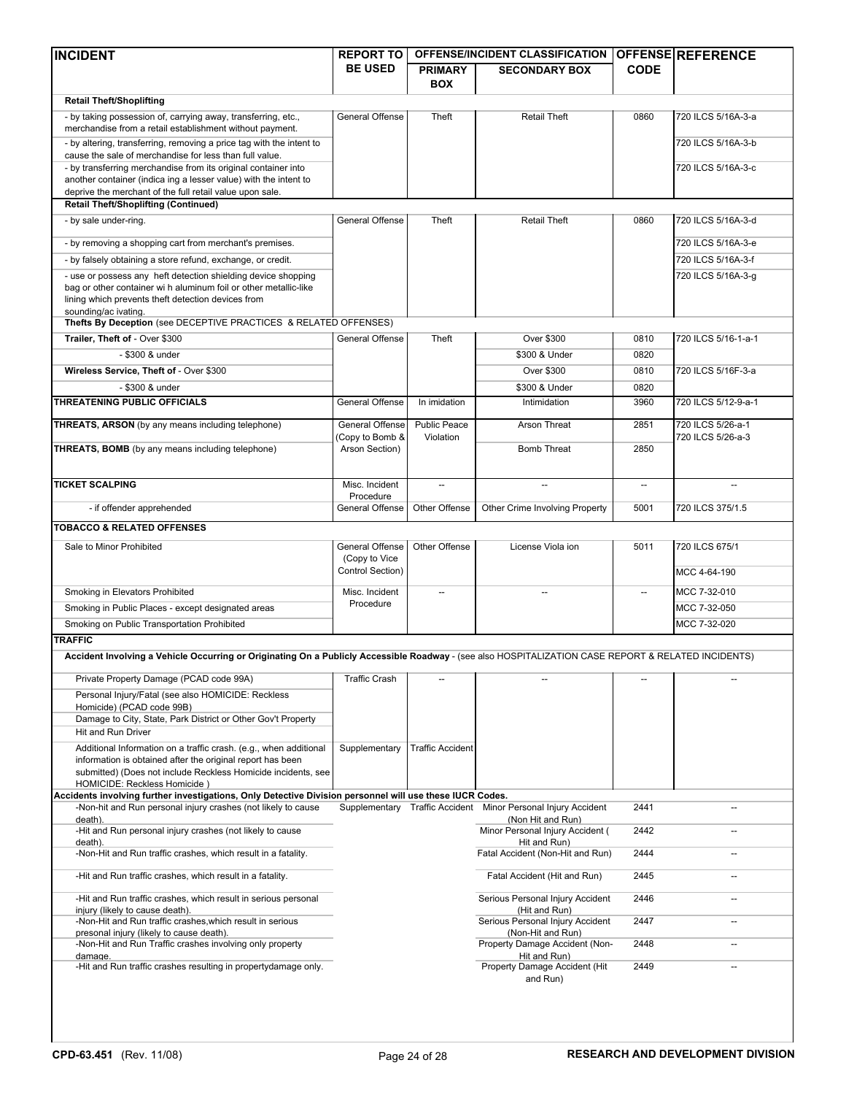| <b>INCIDENT</b>                                                                                                                                                           | <b>REPORT TO</b>                 |                          | OFFENSE/INCIDENT CLASSIFICATION                               |                          | <b>OFFENSE REFERENCE</b> |
|---------------------------------------------------------------------------------------------------------------------------------------------------------------------------|----------------------------------|--------------------------|---------------------------------------------------------------|--------------------------|--------------------------|
|                                                                                                                                                                           | <b>BE USED</b>                   | <b>PRIMARY</b>           | <b>SECONDARY BOX</b>                                          | <b>CODE</b>              |                          |
|                                                                                                                                                                           |                                  | <b>BOX</b>               |                                                               |                          |                          |
| <b>Retail Theft/Shoplifting</b>                                                                                                                                           |                                  |                          |                                                               |                          |                          |
| - by taking possession of, carrying away, transferring, etc.,<br>merchandise from a retail establishment without payment.                                                 | General Offense                  | Theft                    | <b>Retail Theft</b>                                           | 0860                     | 720 ILCS 5/16A-3-a       |
| - by altering, transferring, removing a price tag with the intent to<br>cause the sale of merchandise for less than full value.                                           |                                  |                          |                                                               |                          | 720 ILCS 5/16A-3-b       |
| - by transferring merchandise from its original container into                                                                                                            |                                  |                          |                                                               |                          | 720 ILCS 5/16A-3-c       |
| another container (indica ing a lesser value) with the intent to<br>deprive the merchant of the full retail value upon sale.                                              |                                  |                          |                                                               |                          |                          |
| <b>Retail Theft/Shoplifting (Continued)</b>                                                                                                                               |                                  |                          |                                                               |                          |                          |
| - by sale under-ring.                                                                                                                                                     | <b>General Offense</b>           | Theft                    | <b>Retail Theft</b>                                           | 0860                     | 720 ILCS 5/16A-3-d       |
| - by removing a shopping cart from merchant's premises.                                                                                                                   |                                  |                          |                                                               |                          | 720 ILCS 5/16A-3-e       |
| - by falsely obtaining a store refund, exchange, or credit.                                                                                                               |                                  |                          |                                                               |                          | 720 ILCS 5/16A-3-f       |
| - use or possess any heft detection shielding device shopping                                                                                                             |                                  |                          |                                                               |                          | 720 ILCS 5/16A-3-g       |
| bag or other container wi h aluminum foil or other metallic-like                                                                                                          |                                  |                          |                                                               |                          |                          |
| lining which prevents theft detection devices from<br>sounding/ac ivating.                                                                                                |                                  |                          |                                                               |                          |                          |
| Thefts By Deception (see DECEPTIVE PRACTICES & RELATED OFFENSES)                                                                                                          |                                  |                          |                                                               |                          |                          |
| Trailer, Theft of - Over \$300                                                                                                                                            | General Offense                  | Theft                    | Over \$300                                                    | 0810                     | 720 ILCS 5/16-1-a-1      |
| - \$300 & under                                                                                                                                                           |                                  |                          | \$300 & Under                                                 | 0820                     |                          |
| Wireless Service, Theft of - Over \$300                                                                                                                                   |                                  |                          | Over \$300                                                    | 0810                     | 720 ILCS 5/16F-3-a       |
| - \$300 & under                                                                                                                                                           |                                  |                          | \$300 & Under                                                 | 0820                     |                          |
| <b>THREATENING PUBLIC OFFICIALS</b>                                                                                                                                       | General Offense                  | In imidation             | Intimidation                                                  | 3960                     | 720 ILCS 5/12-9-a-1      |
| <b>THREATS, ARSON</b> (by any means including telephone)                                                                                                                  | General Offense                  | <b>Public Peace</b>      | Arson Threat                                                  | 2851                     | 720 ILCS 5/26-a-1        |
|                                                                                                                                                                           | Copy to Bomb &                   | Violation                |                                                               |                          | 720 ILCS 5/26-a-3        |
| <b>THREATS, BOMB</b> (by any means including telephone)                                                                                                                   | Arson Section)                   |                          | <b>Bomb Threat</b>                                            | 2850                     |                          |
|                                                                                                                                                                           |                                  |                          |                                                               |                          |                          |
| <b>TICKET SCALPING</b>                                                                                                                                                    | Misc. Incident<br>Procedure      | $\overline{\phantom{a}}$ | $\overline{\phantom{a}}$                                      | $\overline{\phantom{a}}$ | $-$                      |
| - if offender apprehended                                                                                                                                                 | General Offense                  | Other Offense            | Other Crime Involving Property                                | 5001                     | 720 ILCS 375/1.5         |
| <b>TOBACCO &amp; RELATED OFFENSES</b>                                                                                                                                     |                                  |                          |                                                               |                          |                          |
| Sale to Minor Prohibited                                                                                                                                                  | General Offense<br>(Copy to Vice | Other Offense            | License Viola ion                                             | 5011                     | 720 ILCS 675/1           |
|                                                                                                                                                                           | Control Section)                 |                          |                                                               |                          | MCC 4-64-190             |
| Smoking in Elevators Prohibited                                                                                                                                           | Misc. Incident<br>Procedure      |                          |                                                               |                          | MCC 7-32-010             |
| Smoking in Public Places - except designated areas                                                                                                                        |                                  |                          |                                                               |                          | MCC 7-32-050             |
| Smoking on Public Transportation Prohibited                                                                                                                               |                                  |                          |                                                               |                          | MCC 7-32-020             |
| <b>TRAFFIC</b>                                                                                                                                                            |                                  |                          |                                                               |                          |                          |
| Accident Involving a Vehicle Occurring or Originating On a Publicly Accessible Roadway - (see also HOSPITALIZATION CASE REPORT & RELATED INCIDENTS)                       |                                  |                          |                                                               |                          |                          |
| Private Property Damage (PCAD code 99A)                                                                                                                                   | <b>Traffic Crash</b>             |                          |                                                               |                          |                          |
| Personal Injury/Fatal (see also HOMICIDE: Reckless<br>Homicide) (PCAD code 99B)                                                                                           |                                  |                          |                                                               |                          |                          |
| Damage to City, State, Park District or Other Gov't Property                                                                                                              |                                  |                          |                                                               |                          |                          |
| Hit and Run Driver<br>Additional Information on a traffic crash. (e.g., when additional                                                                                   |                                  | <b>Traffic Accident</b>  |                                                               |                          |                          |
| information is obtained after the original report has been                                                                                                                | Supplementary                    |                          |                                                               |                          |                          |
| submitted) (Does not include Reckless Homicide incidents, see                                                                                                             |                                  |                          |                                                               |                          |                          |
| HOMICIDE: Reckless Homicide)                                                                                                                                              |                                  |                          |                                                               |                          |                          |
| Accidents involving further investigations, Only Detective Division personnel will use these IUCR Codes.<br>-Non-hit and Run personal injury crashes (not likely to cause |                                  |                          | Supplementary Traffic Accident Minor Personal Injury Accident | 2441                     |                          |
| death).                                                                                                                                                                   |                                  |                          | (Non Hit and Run)                                             |                          |                          |
| -Hit and Run personal injury crashes (not likely to cause                                                                                                                 |                                  |                          | Minor Personal Injury Accident (                              | 2442                     |                          |
| death).<br>-Non-Hit and Run traffic crashes, which result in a fatality.                                                                                                  |                                  |                          | Hit and Run)<br>Fatal Accident (Non-Hit and Run)              | 2444                     |                          |
| -Hit and Run traffic crashes, which result in a fatality.                                                                                                                 |                                  |                          | Fatal Accident (Hit and Run)                                  | 2445                     |                          |
| -Hit and Run traffic crashes, which result in serious personal                                                                                                            |                                  |                          | Serious Personal Injury Accident                              | 2446                     |                          |
| injury (likely to cause death).                                                                                                                                           |                                  |                          | (Hit and Run)                                                 |                          |                          |
| -Non-Hit and Run traffic crashes, which result in serious<br>presonal injury (likely to cause death).                                                                     |                                  |                          | Serious Personal Injury Accident<br>(Non-Hit and Run)         | 2447                     |                          |
| -Non-Hit and Run Traffic crashes involving only property<br>damage.                                                                                                       |                                  |                          | Property Damage Accident (Non-<br>Hit and Run)                | 2448                     |                          |
| -Hit and Run traffic crashes resulting in propertydamage only.                                                                                                            |                                  |                          | Property Damage Accident (Hit<br>and Run)                     | 2449                     |                          |
|                                                                                                                                                                           |                                  |                          |                                                               |                          |                          |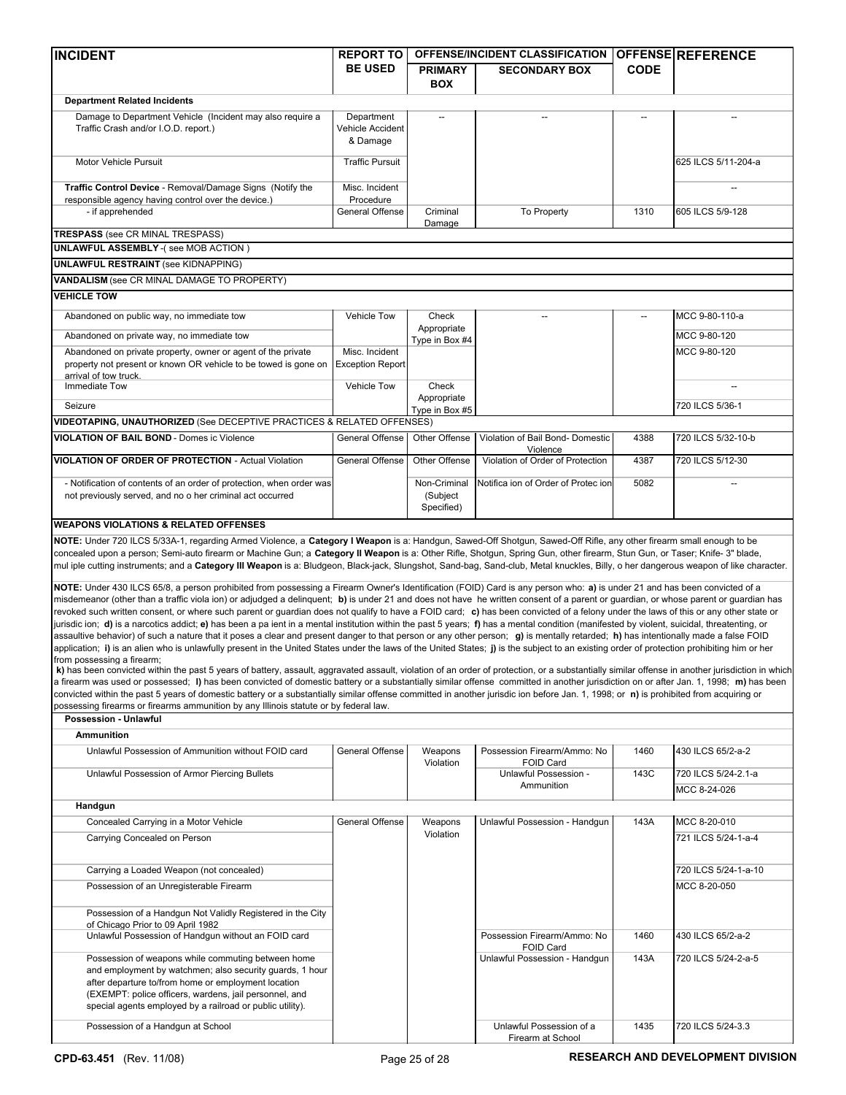| <b>INCIDENT</b>                                                                                                                                                                                                                                                                                                                                                                                                                                                                                                                                                                                                                                                                                                                                                                                                                                                                                                                                                                                                                                                                                                                                                                                                                                                                                                                                                                                                                                                                                                                                                                                                                                                                                                                                                                                                                                         | <b>REPORT TO</b>                           | <b>OFFENSE/INCIDENT CLASSIFICATION</b> |                                               |             | <b>OFFENSEIREFERENCE</b>            |  |
|---------------------------------------------------------------------------------------------------------------------------------------------------------------------------------------------------------------------------------------------------------------------------------------------------------------------------------------------------------------------------------------------------------------------------------------------------------------------------------------------------------------------------------------------------------------------------------------------------------------------------------------------------------------------------------------------------------------------------------------------------------------------------------------------------------------------------------------------------------------------------------------------------------------------------------------------------------------------------------------------------------------------------------------------------------------------------------------------------------------------------------------------------------------------------------------------------------------------------------------------------------------------------------------------------------------------------------------------------------------------------------------------------------------------------------------------------------------------------------------------------------------------------------------------------------------------------------------------------------------------------------------------------------------------------------------------------------------------------------------------------------------------------------------------------------------------------------------------------------|--------------------------------------------|----------------------------------------|-----------------------------------------------|-------------|-------------------------------------|--|
|                                                                                                                                                                                                                                                                                                                                                                                                                                                                                                                                                                                                                                                                                                                                                                                                                                                                                                                                                                                                                                                                                                                                                                                                                                                                                                                                                                                                                                                                                                                                                                                                                                                                                                                                                                                                                                                         | <b>BE USED</b>                             | <b>PRIMARY</b><br><b>BOX</b>           | <b>SECONDARY BOX</b>                          | <b>CODE</b> |                                     |  |
| <b>Department Related Incidents</b>                                                                                                                                                                                                                                                                                                                                                                                                                                                                                                                                                                                                                                                                                                                                                                                                                                                                                                                                                                                                                                                                                                                                                                                                                                                                                                                                                                                                                                                                                                                                                                                                                                                                                                                                                                                                                     |                                            |                                        |                                               |             |                                     |  |
| Damage to Department Vehicle (Incident may also require a<br>Traffic Crash and/or I.O.D. report.)                                                                                                                                                                                                                                                                                                                                                                                                                                                                                                                                                                                                                                                                                                                                                                                                                                                                                                                                                                                                                                                                                                                                                                                                                                                                                                                                                                                                                                                                                                                                                                                                                                                                                                                                                       | Department<br>Vehicle Accident<br>& Damage |                                        |                                               |             |                                     |  |
| Motor Vehicle Pursuit                                                                                                                                                                                                                                                                                                                                                                                                                                                                                                                                                                                                                                                                                                                                                                                                                                                                                                                                                                                                                                                                                                                                                                                                                                                                                                                                                                                                                                                                                                                                                                                                                                                                                                                                                                                                                                   | <b>Traffic Pursuit</b>                     |                                        |                                               |             | 625 ILCS 5/11-204-a                 |  |
| Traffic Control Device - Removal/Damage Signs (Notify the                                                                                                                                                                                                                                                                                                                                                                                                                                                                                                                                                                                                                                                                                                                                                                                                                                                                                                                                                                                                                                                                                                                                                                                                                                                                                                                                                                                                                                                                                                                                                                                                                                                                                                                                                                                               | Misc. Incident                             |                                        |                                               |             |                                     |  |
| responsible agency having control over the device.)<br>- if apprehended                                                                                                                                                                                                                                                                                                                                                                                                                                                                                                                                                                                                                                                                                                                                                                                                                                                                                                                                                                                                                                                                                                                                                                                                                                                                                                                                                                                                                                                                                                                                                                                                                                                                                                                                                                                 | Procedure<br>General Offense               | Criminal<br>Damage                     | To Property                                   | 1310        | 605 ILCS 5/9-128                    |  |
| <b>TRESPASS</b> (see CR MINAL TRESPASS)                                                                                                                                                                                                                                                                                                                                                                                                                                                                                                                                                                                                                                                                                                                                                                                                                                                                                                                                                                                                                                                                                                                                                                                                                                                                                                                                                                                                                                                                                                                                                                                                                                                                                                                                                                                                                 |                                            |                                        |                                               |             |                                     |  |
| <b>UNLAWFUL ASSEMBLY - (see MOB ACTION)</b>                                                                                                                                                                                                                                                                                                                                                                                                                                                                                                                                                                                                                                                                                                                                                                                                                                                                                                                                                                                                                                                                                                                                                                                                                                                                                                                                                                                                                                                                                                                                                                                                                                                                                                                                                                                                             |                                            |                                        |                                               |             |                                     |  |
| <b>UNLAWFUL RESTRAINT (see KIDNAPPING)</b>                                                                                                                                                                                                                                                                                                                                                                                                                                                                                                                                                                                                                                                                                                                                                                                                                                                                                                                                                                                                                                                                                                                                                                                                                                                                                                                                                                                                                                                                                                                                                                                                                                                                                                                                                                                                              |                                            |                                        |                                               |             |                                     |  |
| VANDALISM (see CR MINAL DAMAGE TO PROPERTY)                                                                                                                                                                                                                                                                                                                                                                                                                                                                                                                                                                                                                                                                                                                                                                                                                                                                                                                                                                                                                                                                                                                                                                                                                                                                                                                                                                                                                                                                                                                                                                                                                                                                                                                                                                                                             |                                            |                                        |                                               |             |                                     |  |
| <b>VEHICLE TOW</b>                                                                                                                                                                                                                                                                                                                                                                                                                                                                                                                                                                                                                                                                                                                                                                                                                                                                                                                                                                                                                                                                                                                                                                                                                                                                                                                                                                                                                                                                                                                                                                                                                                                                                                                                                                                                                                      |                                            |                                        |                                               |             |                                     |  |
| Abandoned on public way, no immediate tow                                                                                                                                                                                                                                                                                                                                                                                                                                                                                                                                                                                                                                                                                                                                                                                                                                                                                                                                                                                                                                                                                                                                                                                                                                                                                                                                                                                                                                                                                                                                                                                                                                                                                                                                                                                                               | Vehicle Tow                                | Check                                  |                                               |             | MCC 9-80-110-a                      |  |
| Abandoned on private way, no immediate tow                                                                                                                                                                                                                                                                                                                                                                                                                                                                                                                                                                                                                                                                                                                                                                                                                                                                                                                                                                                                                                                                                                                                                                                                                                                                                                                                                                                                                                                                                                                                                                                                                                                                                                                                                                                                              |                                            | Appropriate<br>Type in Box #4          |                                               |             | MCC 9-80-120                        |  |
| Abandoned on private property, owner or agent of the private<br>property not present or known OR vehicle to be towed is gone on<br>arrival of tow truck.                                                                                                                                                                                                                                                                                                                                                                                                                                                                                                                                                                                                                                                                                                                                                                                                                                                                                                                                                                                                                                                                                                                                                                                                                                                                                                                                                                                                                                                                                                                                                                                                                                                                                                | Misc. Incident<br><b>Exception Report</b>  |                                        |                                               |             | MCC 9-80-120                        |  |
| Immediate Tow                                                                                                                                                                                                                                                                                                                                                                                                                                                                                                                                                                                                                                                                                                                                                                                                                                                                                                                                                                                                                                                                                                                                                                                                                                                                                                                                                                                                                                                                                                                                                                                                                                                                                                                                                                                                                                           | <b>Vehicle Tow</b>                         | Check                                  |                                               |             |                                     |  |
| Seizure                                                                                                                                                                                                                                                                                                                                                                                                                                                                                                                                                                                                                                                                                                                                                                                                                                                                                                                                                                                                                                                                                                                                                                                                                                                                                                                                                                                                                                                                                                                                                                                                                                                                                                                                                                                                                                                 |                                            | Appropriate<br>Type in Box #5          |                                               |             | 720 ILCS 5/36-1                     |  |
| VIDEOTAPING, UNAUTHORIZED (See DECEPTIVE PRACTICES & RELATED OFFENSES)                                                                                                                                                                                                                                                                                                                                                                                                                                                                                                                                                                                                                                                                                                                                                                                                                                                                                                                                                                                                                                                                                                                                                                                                                                                                                                                                                                                                                                                                                                                                                                                                                                                                                                                                                                                  |                                            |                                        |                                               |             |                                     |  |
| <b>VIOLATION OF BAIL BOND - Domes ic Violence</b>                                                                                                                                                                                                                                                                                                                                                                                                                                                                                                                                                                                                                                                                                                                                                                                                                                                                                                                                                                                                                                                                                                                                                                                                                                                                                                                                                                                                                                                                                                                                                                                                                                                                                                                                                                                                       | General Offense                            | Other Offense                          | Violation of Bail Bond- Domestic              | 4388        | 720 ILCS 5/32-10-b                  |  |
| <b>VIOLATION OF ORDER OF PROTECTION - Actual Violation</b>                                                                                                                                                                                                                                                                                                                                                                                                                                                                                                                                                                                                                                                                                                                                                                                                                                                                                                                                                                                                                                                                                                                                                                                                                                                                                                                                                                                                                                                                                                                                                                                                                                                                                                                                                                                              | General Offense                            | Other Offense                          | Violence<br>Violation of Order of Protection  | 4387        | 720 ILCS 5/12-30                    |  |
| - Notification of contents of an order of protection, when order was<br>not previously served, and no o her criminal act occurred                                                                                                                                                                                                                                                                                                                                                                                                                                                                                                                                                                                                                                                                                                                                                                                                                                                                                                                                                                                                                                                                                                                                                                                                                                                                                                                                                                                                                                                                                                                                                                                                                                                                                                                       |                                            | Non-Criminal<br>(Subject<br>Specified) | Notifica ion of Order of Protec ion           | 5082        |                                     |  |
| <b>WEAPONS VIOLATIONS &amp; RELATED OFFENSES</b>                                                                                                                                                                                                                                                                                                                                                                                                                                                                                                                                                                                                                                                                                                                                                                                                                                                                                                                                                                                                                                                                                                                                                                                                                                                                                                                                                                                                                                                                                                                                                                                                                                                                                                                                                                                                        |                                            |                                        |                                               |             |                                     |  |
| NOTE: Under 720 ILCS 5/33A-1, regarding Armed Violence, a Category I Weapon is a: Handgun, Sawed-Off Shotgun, Sawed-Off Rifle, any other firearm small enough to be<br>concealed upon a person; Semi-auto firearm or Machine Gun; a Category II Weapon is a: Other Rifle, Shotgun, Spring Gun, other firearm, Stun Gun, or Taser; Knife- 3" blade,<br>mul iple cutting instruments; and a Category III Weapon is a: Bludgeon, Black-jack, Slungshot, Sand-bag, Sand-club, Metal knuckles, Billy, o her dangerous weapon of like character.                                                                                                                                                                                                                                                                                                                                                                                                                                                                                                                                                                                                                                                                                                                                                                                                                                                                                                                                                                                                                                                                                                                                                                                                                                                                                                              |                                            |                                        |                                               |             |                                     |  |
| NOTE: Under 430 ILCS 65/8, a person prohibited from possessing a Firearm Owner's Identification (FOID) Card is any person who: a) is under 21 and has been convicted of a<br>misdemeanor (other than a traffic viola ion) or adjudged a delinguent; b) is under 21 and does not have he written consent of a parent or guardian, or whose parent or guardian has<br>revoked such written consent, or where such parent or guardian does not qualify to have a FOID card; c) has been convicted of a felony under the laws of this or any other state or<br>jurisdic ion; d) is a narcotics addict; e) has been a pa ient in a mental institution within the past 5 years; f) has a mental condition (manifested by violent, suicidal, threatenting, or<br>assaultive behavior) of such a nature that it poses a clear and present danger to that person or any other person; g) is mentally retarded; h) has intentionally made a false FOID<br>application; i) is an alien who is unlawfully present in the United States under the laws of the United States; j) is the subject to an existing order of protection prohibiting him or her<br>from possessing a firearm:<br>k) has been convicted within the past 5 years of battery, assault, aggravated assault, violation of an order of protection, or a substantially similar offense in another jurisdiction in which<br>a firearm was used or possessed; I) has been convicted of domestic battery or a substantially similar offense committed in another jurisdiction on or after Jan. 1, 1998; m) has been<br>convicted within the past 5 years of domestic battery or a substantially similar offense committed in another jurisdic ion before Jan. 1, 1998; or n) is prohibited from acquiring or<br>possessing firearms or firearms ammunition by any Illinois statute or by federal law. |                                            |                                        |                                               |             |                                     |  |
| Possession - Unlawful                                                                                                                                                                                                                                                                                                                                                                                                                                                                                                                                                                                                                                                                                                                                                                                                                                                                                                                                                                                                                                                                                                                                                                                                                                                                                                                                                                                                                                                                                                                                                                                                                                                                                                                                                                                                                                   |                                            |                                        |                                               |             |                                     |  |
| <b>Ammunition</b>                                                                                                                                                                                                                                                                                                                                                                                                                                                                                                                                                                                                                                                                                                                                                                                                                                                                                                                                                                                                                                                                                                                                                                                                                                                                                                                                                                                                                                                                                                                                                                                                                                                                                                                                                                                                                                       |                                            |                                        |                                               |             |                                     |  |
| Unlawful Possession of Ammunition without FOID card                                                                                                                                                                                                                                                                                                                                                                                                                                                                                                                                                                                                                                                                                                                                                                                                                                                                                                                                                                                                                                                                                                                                                                                                                                                                                                                                                                                                                                                                                                                                                                                                                                                                                                                                                                                                     | General Offense                            | Weapons<br>Violation                   | Possession Firearm/Ammo: No<br>FOID Card      | 1460        | 430 ILCS 65/2-a-2                   |  |
| Unlawful Possession of Armor Piercing Bullets                                                                                                                                                                                                                                                                                                                                                                                                                                                                                                                                                                                                                                                                                                                                                                                                                                                                                                                                                                                                                                                                                                                                                                                                                                                                                                                                                                                                                                                                                                                                                                                                                                                                                                                                                                                                           |                                            |                                        | Unlawful Possession -<br>Ammunition           | 143C        | 720 ILCS 5/24-2.1-a<br>MCC 8-24-026 |  |
| Handgun                                                                                                                                                                                                                                                                                                                                                                                                                                                                                                                                                                                                                                                                                                                                                                                                                                                                                                                                                                                                                                                                                                                                                                                                                                                                                                                                                                                                                                                                                                                                                                                                                                                                                                                                                                                                                                                 |                                            |                                        |                                               |             |                                     |  |
| Concealed Carrying in a Motor Vehicle                                                                                                                                                                                                                                                                                                                                                                                                                                                                                                                                                                                                                                                                                                                                                                                                                                                                                                                                                                                                                                                                                                                                                                                                                                                                                                                                                                                                                                                                                                                                                                                                                                                                                                                                                                                                                   | General Offense                            | Weapons                                | Unlawful Possession - Handgun                 | 143A        | MCC 8-20-010                        |  |
| Carrying Concealed on Person                                                                                                                                                                                                                                                                                                                                                                                                                                                                                                                                                                                                                                                                                                                                                                                                                                                                                                                                                                                                                                                                                                                                                                                                                                                                                                                                                                                                                                                                                                                                                                                                                                                                                                                                                                                                                            |                                            | Violation                              |                                               |             | 721 ILCS 5/24-1-a-4                 |  |
| Carrying a Loaded Weapon (not concealed)                                                                                                                                                                                                                                                                                                                                                                                                                                                                                                                                                                                                                                                                                                                                                                                                                                                                                                                                                                                                                                                                                                                                                                                                                                                                                                                                                                                                                                                                                                                                                                                                                                                                                                                                                                                                                |                                            |                                        |                                               |             | 720 ILCS 5/24-1-a-10                |  |
| Possession of an Unregisterable Firearm                                                                                                                                                                                                                                                                                                                                                                                                                                                                                                                                                                                                                                                                                                                                                                                                                                                                                                                                                                                                                                                                                                                                                                                                                                                                                                                                                                                                                                                                                                                                                                                                                                                                                                                                                                                                                 |                                            |                                        |                                               |             | MCC 8-20-050                        |  |
| Possession of a Handgun Not Validly Registered in the City                                                                                                                                                                                                                                                                                                                                                                                                                                                                                                                                                                                                                                                                                                                                                                                                                                                                                                                                                                                                                                                                                                                                                                                                                                                                                                                                                                                                                                                                                                                                                                                                                                                                                                                                                                                              |                                            |                                        |                                               |             |                                     |  |
| of Chicago Prior to 09 April 1982<br>Unlawful Possession of Handgun without an FOID card                                                                                                                                                                                                                                                                                                                                                                                                                                                                                                                                                                                                                                                                                                                                                                                                                                                                                                                                                                                                                                                                                                                                                                                                                                                                                                                                                                                                                                                                                                                                                                                                                                                                                                                                                                |                                            |                                        | Possession Firearm/Ammo: No                   | 1460        | 430 ILCS 65/2-a-2                   |  |
| Possession of weapons while commuting between home                                                                                                                                                                                                                                                                                                                                                                                                                                                                                                                                                                                                                                                                                                                                                                                                                                                                                                                                                                                                                                                                                                                                                                                                                                                                                                                                                                                                                                                                                                                                                                                                                                                                                                                                                                                                      |                                            |                                        | FOID Card<br>Unlawful Possession - Handgun    | 143A        | 720 ILCS 5/24-2-a-5                 |  |
| and employment by watchmen; also security guards, 1 hour<br>after departure to/from home or employment location<br>(EXEMPT: police officers, wardens, jail personnel, and<br>special agents employed by a railroad or public utility).                                                                                                                                                                                                                                                                                                                                                                                                                                                                                                                                                                                                                                                                                                                                                                                                                                                                                                                                                                                                                                                                                                                                                                                                                                                                                                                                                                                                                                                                                                                                                                                                                  |                                            |                                        |                                               |             |                                     |  |
| Possession of a Handgun at School                                                                                                                                                                                                                                                                                                                                                                                                                                                                                                                                                                                                                                                                                                                                                                                                                                                                                                                                                                                                                                                                                                                                                                                                                                                                                                                                                                                                                                                                                                                                                                                                                                                                                                                                                                                                                       |                                            |                                        | Unlawful Possession of a<br>Firearm at School | 1435        | 720 ILCS 5/24-3.3                   |  |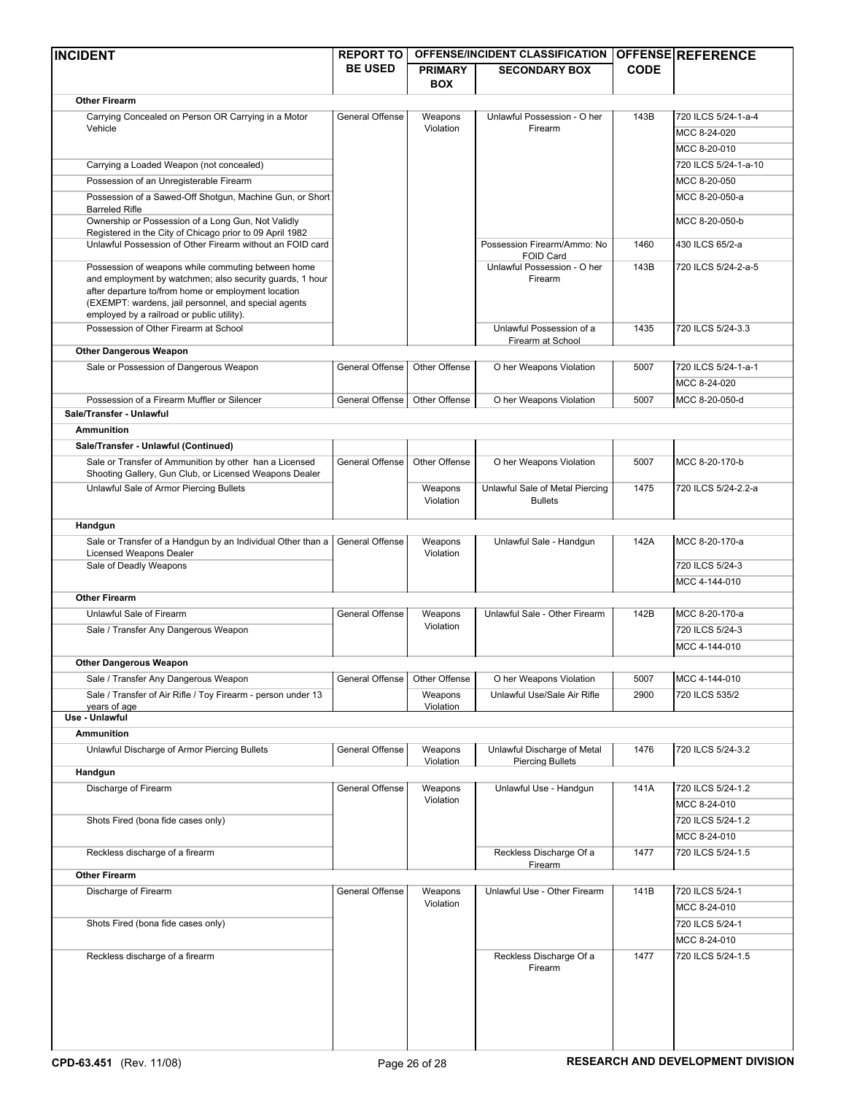| <b>INCIDENT</b>                                                                                                                                                                                                                                                             | <b>REPORT TO</b>       | OFFENSE/INCIDENT CLASSIFICATION |                                                        |             | OFFENSE REFERENCE    |
|-----------------------------------------------------------------------------------------------------------------------------------------------------------------------------------------------------------------------------------------------------------------------------|------------------------|---------------------------------|--------------------------------------------------------|-------------|----------------------|
|                                                                                                                                                                                                                                                                             | <b>BE USED</b>         | <b>PRIMARY</b>                  | <b>SECONDARY BOX</b>                                   | <b>CODE</b> |                      |
|                                                                                                                                                                                                                                                                             |                        | <b>BOX</b>                      |                                                        |             |                      |
| <b>Other Firearm</b>                                                                                                                                                                                                                                                        |                        |                                 |                                                        |             |                      |
| Carrying Concealed on Person OR Carrying in a Motor<br>Vehicle                                                                                                                                                                                                              | <b>General Offense</b> | Weapons<br>Violation            | Unlawful Possession - O her<br>Firearm                 | 143B        | 720 ILCS 5/24-1-a-4  |
|                                                                                                                                                                                                                                                                             |                        |                                 |                                                        |             | MCC 8-24-020         |
|                                                                                                                                                                                                                                                                             |                        |                                 |                                                        |             | MCC 8-20-010         |
| Carrying a Loaded Weapon (not concealed)                                                                                                                                                                                                                                    |                        |                                 |                                                        |             | 720 ILCS 5/24-1-a-10 |
| Possession of an Unregisterable Firearm                                                                                                                                                                                                                                     |                        |                                 |                                                        |             | MCC 8-20-050         |
| Possession of a Sawed-Off Shotqun, Machine Gun, or Short<br><b>Barreled Rifle</b>                                                                                                                                                                                           |                        |                                 |                                                        |             | MCC 8-20-050-a       |
| Ownership or Possession of a Long Gun, Not Validly<br>Registered in the City of Chicago prior to 09 April 1982                                                                                                                                                              |                        |                                 |                                                        |             | MCC 8-20-050-b       |
| Unlawful Possession of Other Firearm without an FOID card                                                                                                                                                                                                                   |                        |                                 | Possession Firearm/Ammo: No<br><b>FOID Card</b>        | 1460        | 430 ILCS 65/2-a      |
| Possession of weapons while commuting between home<br>and employment by watchmen; also security guards, 1 hour<br>after departure to/from home or employment location<br>(EXEMPT: wardens, jail personnel, and special agents<br>employed by a railroad or public utility). |                        |                                 | Unlawful Possession - O her<br>Firearm                 | 143B        | 720 ILCS 5/24-2-a-5  |
| Possession of Other Firearm at School                                                                                                                                                                                                                                       |                        |                                 | Unlawful Possession of a<br>Firearm at School          | 1435        | 720 ILCS 5/24-3.3    |
| <b>Other Dangerous Weapon</b>                                                                                                                                                                                                                                               |                        |                                 |                                                        |             |                      |
| Sale or Possession of Dangerous Weapon                                                                                                                                                                                                                                      | General Offense        | Other Offense                   | O her Weapons Violation                                | 5007        | 720 ILCS 5/24-1-a-1  |
|                                                                                                                                                                                                                                                                             |                        |                                 |                                                        |             | MCC 8-24-020         |
| Possession of a Firearm Muffler or Silencer                                                                                                                                                                                                                                 | General Offense        | Other Offense                   | O her Weapons Violation                                | 5007        | MCC 8-20-050-d       |
| Sale/Transfer - Unlawful                                                                                                                                                                                                                                                    |                        |                                 |                                                        |             |                      |
| <b>Ammunition</b>                                                                                                                                                                                                                                                           |                        |                                 |                                                        |             |                      |
| Sale/Transfer - Unlawful (Continued)                                                                                                                                                                                                                                        |                        |                                 |                                                        |             |                      |
| Sale or Transfer of Ammunition by other han a Licensed                                                                                                                                                                                                                      | General Offense        | Other Offense                   | O her Weapons Violation                                | 5007        | MCC 8-20-170-b       |
| Shooting Gallery, Gun Club, or Licensed Weapons Dealer                                                                                                                                                                                                                      |                        |                                 |                                                        |             |                      |
| Unlawful Sale of Armor Piercing Bullets                                                                                                                                                                                                                                     |                        | Weapons<br>Violation            | Unlawful Sale of Metal Piercing<br><b>Bullets</b>      | 1475        | 720 ILCS 5/24-2.2-a  |
| Handgun                                                                                                                                                                                                                                                                     |                        |                                 |                                                        |             |                      |
| Sale or Transfer of a Handgun by an Individual Other than a                                                                                                                                                                                                                 | General Offense        | Weapons                         | Unlawful Sale - Handgun                                | 142A        | MCC 8-20-170-a       |
| Licensed Weapons Dealer                                                                                                                                                                                                                                                     |                        | Violation                       |                                                        |             |                      |
| Sale of Deadly Weapons                                                                                                                                                                                                                                                      |                        |                                 |                                                        |             | 720 ILCS 5/24-3      |
| <b>Other Firearm</b>                                                                                                                                                                                                                                                        |                        |                                 |                                                        |             | MCC 4-144-010        |
| Unlawful Sale of Firearm                                                                                                                                                                                                                                                    | General Offense        |                                 |                                                        |             | MCC 8-20-170-a       |
|                                                                                                                                                                                                                                                                             |                        | Weapons<br>Violation            | Unlawful Sale - Other Firearm                          | 142B        |                      |
| Sale / Transfer Any Dangerous Weapon                                                                                                                                                                                                                                        |                        |                                 |                                                        |             | 720 ILCS 5/24-3      |
|                                                                                                                                                                                                                                                                             |                        |                                 |                                                        |             | MCC 4-144-010        |
| <b>Other Dangerous Weapon</b>                                                                                                                                                                                                                                               |                        |                                 |                                                        |             |                      |
| Sale / Transfer Any Dangerous Weapon                                                                                                                                                                                                                                        | General Offense        | Other Offense                   | O her Weapons Violation                                | 5007        | MCC 4-144-010        |
| Sale / Transfer of Air Rifle / Toy Firearm - person under 13<br>years of age                                                                                                                                                                                                |                        | Weapons<br>Violation            | Unlawful Use/Sale Air Rifle                            | 2900        | 720 ILCS 535/2       |
| Use - Unlawful                                                                                                                                                                                                                                                              |                        |                                 |                                                        |             |                      |
| <b>Ammunition</b>                                                                                                                                                                                                                                                           |                        |                                 |                                                        |             |                      |
| Unlawful Discharge of Armor Piercing Bullets                                                                                                                                                                                                                                | General Offense        | Weapons<br>Violation            | Unlawful Discharge of Metal<br><b>Piercing Bullets</b> | 1476        | 720 ILCS 5/24-3.2    |
| Handgun                                                                                                                                                                                                                                                                     |                        |                                 |                                                        |             |                      |
| Discharge of Firearm                                                                                                                                                                                                                                                        | General Offense        | Weapons                         | Unlawful Use - Handgun                                 | 141A        | 720 ILCS 5/24-1.2    |
|                                                                                                                                                                                                                                                                             |                        | Violation                       |                                                        |             | MCC 8-24-010         |
| Shots Fired (bona fide cases only)                                                                                                                                                                                                                                          |                        |                                 |                                                        |             | 720 ILCS 5/24-1.2    |
|                                                                                                                                                                                                                                                                             |                        |                                 |                                                        |             | MCC 8-24-010         |
| Reckless discharge of a firearm                                                                                                                                                                                                                                             |                        |                                 | Reckless Discharge Of a                                | 1477        | 720 ILCS 5/24-1.5    |
|                                                                                                                                                                                                                                                                             |                        |                                 | Firearm                                                |             |                      |
| <b>Other Firearm</b>                                                                                                                                                                                                                                                        |                        |                                 |                                                        |             |                      |
| Discharge of Firearm                                                                                                                                                                                                                                                        | General Offense        | Weapons<br>Violation            | Unlawful Use - Other Firearm                           | 141B        | 720 ILCS 5/24-1      |
|                                                                                                                                                                                                                                                                             |                        |                                 |                                                        |             | MCC 8-24-010         |
| Shots Fired (bona fide cases only)                                                                                                                                                                                                                                          |                        |                                 |                                                        |             | 720 ILCS 5/24-1      |
|                                                                                                                                                                                                                                                                             |                        |                                 |                                                        |             | MCC 8-24-010         |
| Reckless discharge of a firearm                                                                                                                                                                                                                                             |                        |                                 | Reckless Discharge Of a<br>Firearm                     | 1477        | 720 ILCS 5/24-1.5    |
|                                                                                                                                                                                                                                                                             |                        |                                 |                                                        |             |                      |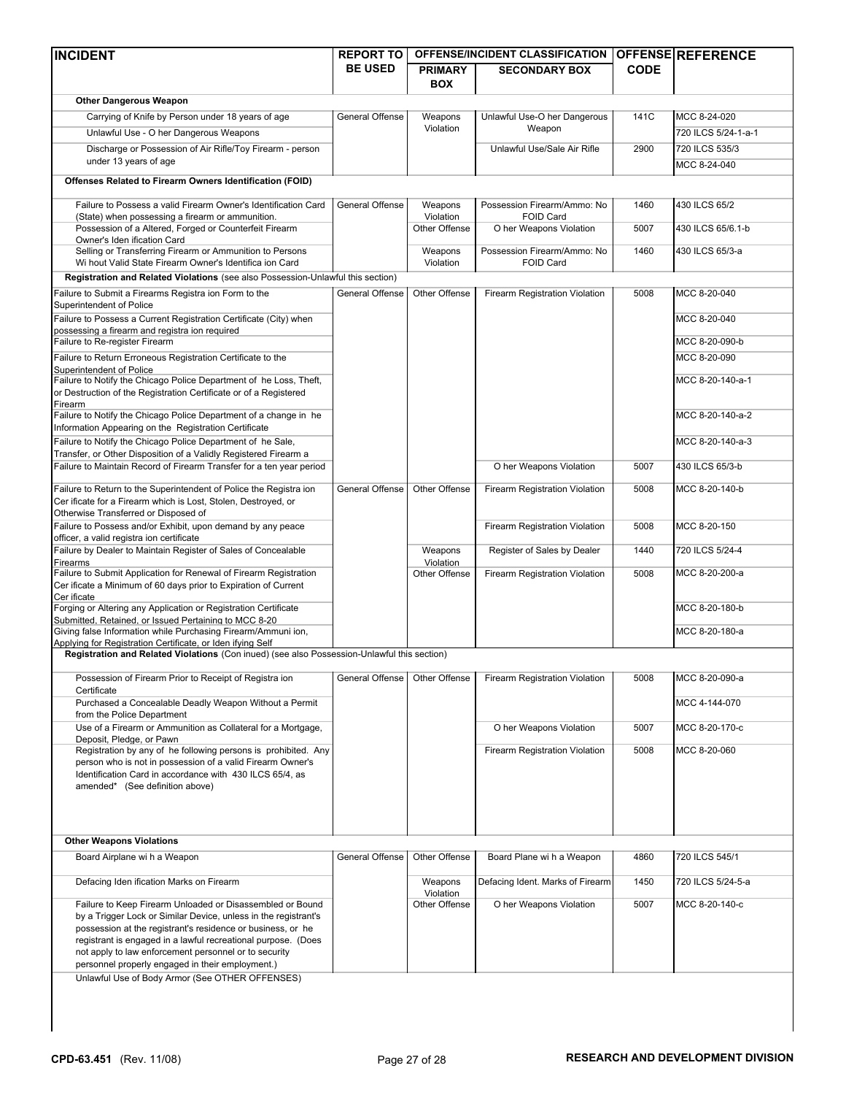| <b>INCIDENT</b>                                                                                                                                           | <b>REPORT TO</b> | <b>OFFENSE/INCIDENT CLASSIFICATION</b> |                                             |             | OFFENSE REFERENCE   |
|-----------------------------------------------------------------------------------------------------------------------------------------------------------|------------------|----------------------------------------|---------------------------------------------|-------------|---------------------|
|                                                                                                                                                           | <b>BE USED</b>   | <b>PRIMARY</b>                         | <b>SECONDARY BOX</b>                        | <b>CODE</b> |                     |
|                                                                                                                                                           |                  | <b>BOX</b>                             |                                             |             |                     |
| <b>Other Dangerous Weapon</b>                                                                                                                             |                  |                                        |                                             |             |                     |
| Carrying of Knife by Person under 18 years of age                                                                                                         | General Offense  | Weapons                                | Unlawful Use-O her Dangerous                | 141C        | MCC 8-24-020        |
| Unlawful Use - O her Dangerous Weapons                                                                                                                    |                  | Violation                              | Weapon                                      |             | 720 ILCS 5/24-1-a-1 |
| Discharge or Possession of Air Rifle/Toy Firearm - person                                                                                                 |                  |                                        | Unlawful Use/Sale Air Rifle                 | 2900        | 720 ILCS 535/3      |
| under 13 years of age                                                                                                                                     |                  |                                        |                                             |             | MCC 8-24-040        |
| Offenses Related to Firearm Owners Identification (FOID)                                                                                                  |                  |                                        |                                             |             |                     |
|                                                                                                                                                           |                  |                                        |                                             |             |                     |
| Failure to Possess a valid Firearm Owner's Identification Card                                                                                            | General Offense  | Weapons                                | Possession Firearm/Ammo: No                 | 1460        | 430 ILCS 65/2       |
| (State) when possessing a firearm or ammunition.<br>Possession of a Altered, Forged or Counterfeit Firearm                                                |                  | Violation<br>Other Offense             | <b>FOID Card</b><br>O her Weapons Violation | 5007        | 430 ILCS 65/6.1-b   |
| Owner's Iden ification Card                                                                                                                               |                  |                                        |                                             |             |                     |
| Selling or Transferring Firearm or Ammunition to Persons                                                                                                  |                  | Weapons                                | Possession Firearm/Ammo: No                 | 1460        | 430 ILCS 65/3-a     |
| Wi hout Valid State Firearm Owner's Identifica ion Card                                                                                                   |                  | Violation                              | <b>FOID Card</b>                            |             |                     |
| Registration and Related Violations (see also Possession-Unlawful this section)                                                                           |                  |                                        |                                             |             |                     |
| Failure to Submit a Firearms Registra ion Form to the                                                                                                     | General Offense  | Other Offense                          | Firearm Registration Violation              | 5008        | MCC 8-20-040        |
| Superintendent of Police<br>Failure to Possess a Current Registration Certificate (City) when                                                             |                  |                                        |                                             |             | MCC 8-20-040        |
| possessing a firearm and registra ion required                                                                                                            |                  |                                        |                                             |             |                     |
| Failure to Re-register Firearm                                                                                                                            |                  |                                        |                                             |             | MCC 8-20-090-b      |
| Failure to Return Erroneous Registration Certificate to the                                                                                               |                  |                                        |                                             |             | MCC 8-20-090        |
| Superintendent of Police<br>Failure to Notify the Chicago Police Department of he Loss, Theft,                                                            |                  |                                        |                                             |             | MCC 8-20-140-a-1    |
| or Destruction of the Registration Certificate or of a Registered                                                                                         |                  |                                        |                                             |             |                     |
| Firearm                                                                                                                                                   |                  |                                        |                                             |             |                     |
| Failure to Notify the Chicago Police Department of a change in he                                                                                         |                  |                                        |                                             |             | MCC 8-20-140-a-2    |
| Information Appearing on the Registration Certificate                                                                                                     |                  |                                        |                                             |             |                     |
| Failure to Notify the Chicago Police Department of he Sale,<br>Transfer, or Other Disposition of a Validly Registered Firearm a                           |                  |                                        |                                             |             | MCC 8-20-140-a-3    |
| Failure to Maintain Record of Firearm Transfer for a ten year period                                                                                      |                  |                                        | O her Weapons Violation                     | 5007        | 430 ILCS 65/3-b     |
|                                                                                                                                                           |                  |                                        |                                             |             |                     |
| Failure to Return to the Superintendent of Police the Registra ion<br>Cer ificate for a Firearm which is Lost, Stolen, Destroyed, or                      | General Offense  | Other Offense                          | Firearm Registration Violation              | 5008        | MCC 8-20-140-b      |
| Otherwise Transferred or Disposed of                                                                                                                      |                  |                                        |                                             |             |                     |
| Failure to Possess and/or Exhibit, upon demand by any peace                                                                                               |                  |                                        | Firearm Registration Violation              | 5008        | MCC 8-20-150        |
| officer, a valid registra ion certificate                                                                                                                 |                  |                                        |                                             |             |                     |
| Failure by Dealer to Maintain Register of Sales of Concealable<br>Firearms                                                                                |                  | Weapons<br>Violation                   | Register of Sales by Dealer                 | 1440        | 720 ILCS 5/24-4     |
| Failure to Submit Application for Renewal of Firearm Registration                                                                                         |                  | Other Offense                          | Firearm Registration Violation              | 5008        | MCC 8-20-200-a      |
| Cer ificate a Minimum of 60 days prior to Expiration of Current                                                                                           |                  |                                        |                                             |             |                     |
| Cer ificate<br>Forging or Altering any Application or Registration Certificate                                                                            |                  |                                        |                                             |             | MCC 8-20-180-b      |
| Submitted, Retained, or Issued Pertaining to MCC 8-20                                                                                                     |                  |                                        |                                             |             |                     |
| Giving false Information while Purchasing Firearm/Ammuni ion,                                                                                             |                  |                                        |                                             |             | MCC 8-20-180-a      |
| Applying for Registration Certificate, or Iden ifying Self<br>Registration and Related Violations (Con inued) (see also Possession-Unlawful this section) |                  |                                        |                                             |             |                     |
|                                                                                                                                                           |                  |                                        |                                             |             |                     |
| Possession of Firearm Prior to Receipt of Registra ion                                                                                                    | General Offense  | Other Offense                          | Firearm Registration Violation              | 5008        | MCC 8-20-090-a      |
| Certificate                                                                                                                                               |                  |                                        |                                             |             |                     |
| Purchased a Concealable Deadly Weapon Without a Permit<br>from the Police Department                                                                      |                  |                                        |                                             |             | MCC 4-144-070       |
| Use of a Firearm or Ammunition as Collateral for a Mortgage,                                                                                              |                  |                                        | O her Weapons Violation                     | 5007        | MCC 8-20-170-c      |
| Deposit, Pledge, or Pawn                                                                                                                                  |                  |                                        |                                             |             |                     |
| Registration by any of he following persons is prohibited. Any                                                                                            |                  |                                        | Firearm Registration Violation              | 5008        | MCC 8-20-060        |
| person who is not in possession of a valid Firearm Owner's<br>Identification Card in accordance with 430 ILCS 65/4, as                                    |                  |                                        |                                             |             |                     |
| amended* (See definition above)                                                                                                                           |                  |                                        |                                             |             |                     |
|                                                                                                                                                           |                  |                                        |                                             |             |                     |
|                                                                                                                                                           |                  |                                        |                                             |             |                     |
|                                                                                                                                                           |                  |                                        |                                             |             |                     |
| <b>Other Weapons Violations</b>                                                                                                                           |                  |                                        |                                             |             |                     |
| Board Airplane wi h a Weapon                                                                                                                              | General Offense  | Other Offense                          | Board Plane wi h a Weapon                   | 4860        | 720 ILCS 545/1      |
| Defacing Iden ification Marks on Firearm                                                                                                                  |                  | Weapons                                | Defacing Ident. Marks of Firearm            | 1450        | 720 ILCS 5/24-5-a   |
|                                                                                                                                                           |                  | Violation                              |                                             |             |                     |
| Failure to Keep Firearm Unloaded or Disassembled or Bound                                                                                                 |                  | Other Offense                          | O her Weapons Violation                     | 5007        | MCC 8-20-140-c      |
| by a Trigger Lock or Similar Device, unless in the registrant's<br>possession at the registrant's residence or business, or he                            |                  |                                        |                                             |             |                     |
| registrant is engaged in a lawful recreational purpose. (Does                                                                                             |                  |                                        |                                             |             |                     |
| not apply to law enforcement personnel or to security                                                                                                     |                  |                                        |                                             |             |                     |
| personnel properly engaged in their employment.)                                                                                                          |                  |                                        |                                             |             |                     |
| Unlawful Use of Body Armor (See OTHER OFFENSES)                                                                                                           |                  |                                        |                                             |             |                     |